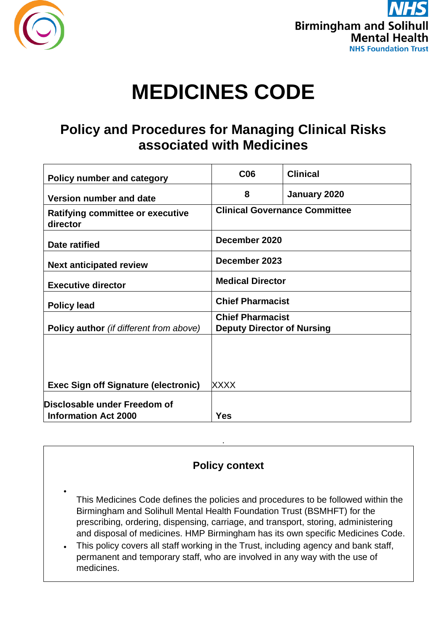



# **MEDICINES CODE**

# **Policy and Procedures for Managing Clinical Risks associated with Medicines**

| <b>Policy number and category</b>                           | C <sub>06</sub>                                              | <b>Clinical</b> |
|-------------------------------------------------------------|--------------------------------------------------------------|-----------------|
| Version number and date                                     | 8                                                            | January 2020    |
| <b>Ratifying committee or executive</b><br>director         | <b>Clinical Governance Committee</b>                         |                 |
| Date ratified                                               | December 2020                                                |                 |
| <b>Next anticipated review</b>                              | December 2023                                                |                 |
| <b>Executive director</b>                                   | <b>Medical Director</b>                                      |                 |
| <b>Policy lead</b>                                          | <b>Chief Pharmacist</b>                                      |                 |
| <b>Policy author</b> (if different from above)              | <b>Chief Pharmacist</b><br><b>Deputy Director of Nursing</b> |                 |
|                                                             |                                                              |                 |
|                                                             |                                                              |                 |
| <b>Exec Sign off Signature (electronic)</b>                 | <b>XXXX</b>                                                  |                 |
| Disclosable under Freedom of<br><b>Information Act 2000</b> | <b>Yes</b>                                                   |                 |

# **Policy context**

.

- This Medicines Code defines the policies and procedures to be followed within the Birmingham and Solihull Mental Health Foundation Trust (BSMHFT) for the prescribing, ordering, dispensing, carriage, and transport, storing, administering and disposal of medicines. HMP Birmingham has its own specific Medicines Code.
- This policy covers all staff working in the Trust, including agency and bank staff, permanent and temporary staff, who are involved in any way with the use of medicines.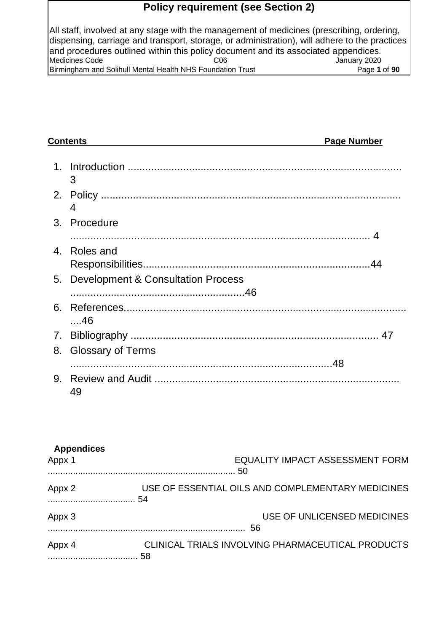# **Policy requirement (see Section 2)**

All staff, involved at any stage with the management of medicines (prescribing, ordering, dispensing, carriage and transport, storage, or administration), will adhere to the practices and procedures outlined within this policy document and its associated appendices.<br>Medicines Code danuary 2020 Medicines Code Birmingham and Solihull Mental Health NHS Foundation Trust Page **1** of **90**

| <b>Contents</b> |                                       | <b>Page Number</b> |
|-----------------|---------------------------------------|--------------------|
| $\mathbf 1$     | 3                                     |                    |
|                 | 4                                     |                    |
| 3.              | Procedure                             |                    |
| 4               | Roles and                             |                    |
|                 | 5. Development & Consultation Process |                    |
| 6.              | ….46                                  |                    |
| 7.              |                                       |                    |
| 8.              | <b>Glossary of Terms</b>              |                    |
|                 | 49                                    |                    |

| <b>Appendices</b><br>Appx 1 | <b>EQUALITY IMPACT ASSESSMENT FORM</b><br>.50     |
|-----------------------------|---------------------------------------------------|
| Appx 2                      | USE OF ESSENTIAL OILS AND COMPLEMENTARY MEDICINES |
| Appx 3                      | USE OF UNLICENSED MEDICINES<br>56                 |
| Appx 4                      | CLINICAL TRIALS INVOLVING PHARMACEUTICAL PRODUCTS |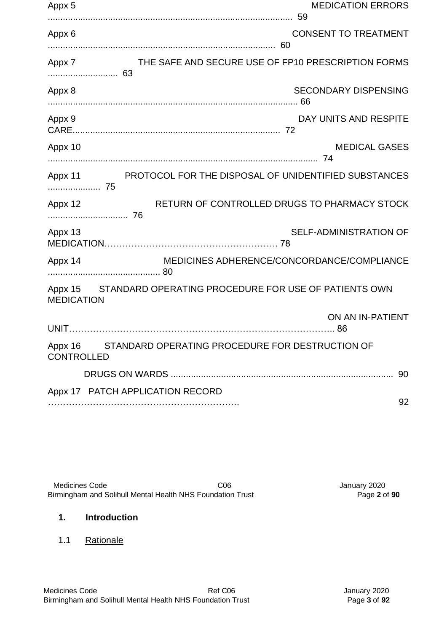| Appx 5                       | <b>MEDICATION ERRORS</b>                             |                      |
|------------------------------|------------------------------------------------------|----------------------|
| Appx 6                       | <b>CONSENT TO TREATMENT</b><br>60                    |                      |
| Appx 7                       | THE SAFE AND SECURE USE OF FP10 PRESCRIPTION FORMS   |                      |
| Appx 8                       | SECONDARY DISPENSING                                 |                      |
| Appx 9                       | DAY UNITS AND RESPITE                                |                      |
| Appx 10                      |                                                      | <b>MEDICAL GASES</b> |
| Appx 11<br>75                | PROTOCOL FOR THE DISPOSAL OF UNIDENTIFIED SUBSTANCES |                      |
| Appx 12                      | RETURN OF CONTROLLED DRUGS TO PHARMACY STOCK         |                      |
| Appx 13                      | <b>SELF-ADMINISTRATION OF</b>                        |                      |
| Appx 14                      | MEDICINES ADHERENCE/CONCORDANCE/COMPLIANCE           |                      |
| Appx 15<br><b>MEDICATION</b> | STANDARD OPERATING PROCEDURE FOR USE OF PATIENTS OWN |                      |
|                              | ON AN IN-PATIENT                                     |                      |
| Appx 16<br><b>CONTROLLED</b> | STANDARD OPERATING PROCEDURE FOR DESTRUCTION OF      |                      |
|                              |                                                      | 90                   |
|                              | Appx 17 PATCH APPLICATION RECORD                     | 92                   |

Medicines Code C06 C06 C06 C06 C06 Medicines Code discussed C06 C06 Alterningham and Solihull Mental Health NHS Foundation Trust Birmingham and Solihull Mental Health NHS Foundation Trust

# **1. Introduction**

1.1 Rationale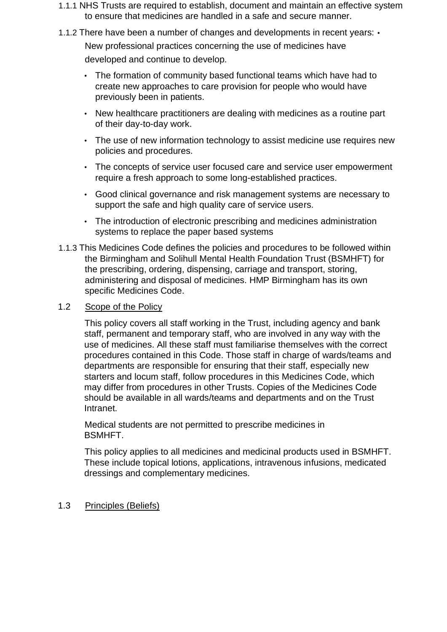- 1.1.1 NHS Trusts are required to establish, document and maintain an effective system to ensure that medicines are handled in a safe and secure manner.
- 1.1.2 There have been a number of changes and developments in recent vears:  $\cdot$

New professional practices concerning the use of medicines have developed and continue to develop.

- The formation of community based functional teams which have had to create new approaches to care provision for people who would have previously been in patients.
- New healthcare practitioners are dealing with medicines as a routine part of their day-to-day work.
- The use of new information technology to assist medicine use requires new policies and procedures.
- The concepts of service user focused care and service user empowerment require a fresh approach to some long-established practices.
- Good clinical governance and risk management systems are necessary to support the safe and high quality care of service users.
- The introduction of electronic prescribing and medicines administration systems to replace the paper based systems
- 1.1.3 This Medicines Code defines the policies and procedures to be followed within the Birmingham and Solihull Mental Health Foundation Trust (BSMHFT) for the prescribing, ordering, dispensing, carriage and transport, storing, administering and disposal of medicines. HMP Birmingham has its own specific Medicines Code.

#### 1.2 Scope of the Policy

This policy covers all staff working in the Trust, including agency and bank staff, permanent and temporary staff, who are involved in any way with the use of medicines. All these staff must familiarise themselves with the correct procedures contained in this Code. Those staff in charge of wards/teams and departments are responsible for ensuring that their staff, especially new starters and locum staff, follow procedures in this Medicines Code, which may differ from procedures in other Trusts. Copies of the Medicines Code should be available in all wards/teams and departments and on the Trust Intranet.

Medical students are not permitted to prescribe medicines in BSMHFT.

This policy applies to all medicines and medicinal products used in BSMHFT. These include topical lotions, applications, intravenous infusions, medicated dressings and complementary medicines.

#### 1.3 Principles (Beliefs)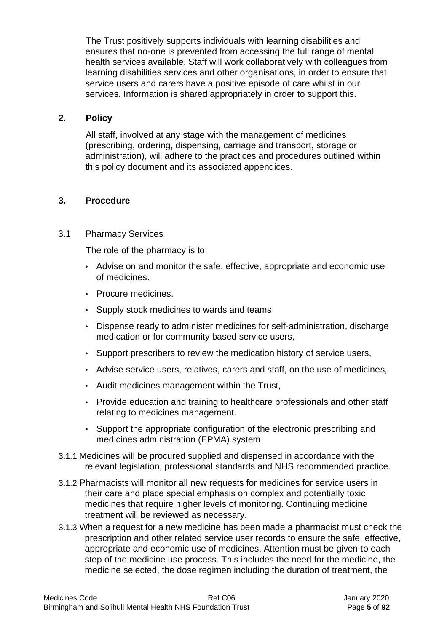The Trust positively supports individuals with learning disabilities and ensures that no-one is prevented from accessing the full range of mental health services available. Staff will work collaboratively with colleagues from learning disabilities services and other organisations, in order to ensure that service users and carers have a positive episode of care whilst in our services. Information is shared appropriately in order to support this.

#### **2. Policy**

All staff, involved at any stage with the management of medicines (prescribing, ordering, dispensing, carriage and transport, storage or administration), will adhere to the practices and procedures outlined within this policy document and its associated appendices.

# **3. Procedure**

### 3.1 Pharmacy Services

The role of the pharmacy is to:

- Advise on and monitor the safe, effective, appropriate and economic use of medicines.
- Procure medicines.
- Supply stock medicines to wards and teams
- Dispense ready to administer medicines for self-administration, discharge medication or for community based service users,
- Support prescribers to review the medication history of service users,
- Advise service users, relatives, carers and staff, on the use of medicines,
- Audit medicines management within the Trust,
- Provide education and training to healthcare professionals and other staff relating to medicines management.
- Support the appropriate configuration of the electronic prescribing and medicines administration (EPMA) system
- 3.1.1 Medicines will be procured supplied and dispensed in accordance with the relevant legislation, professional standards and NHS recommended practice.
- 3.1.2 Pharmacists will monitor all new requests for medicines for service users in their care and place special emphasis on complex and potentially toxic medicines that require higher levels of monitoring. Continuing medicine treatment will be reviewed as necessary.
- 3.1.3 When a request for a new medicine has been made a pharmacist must check the prescription and other related service user records to ensure the safe, effective, appropriate and economic use of medicines. Attention must be given to each step of the medicine use process. This includes the need for the medicine, the medicine selected, the dose regimen including the duration of treatment, the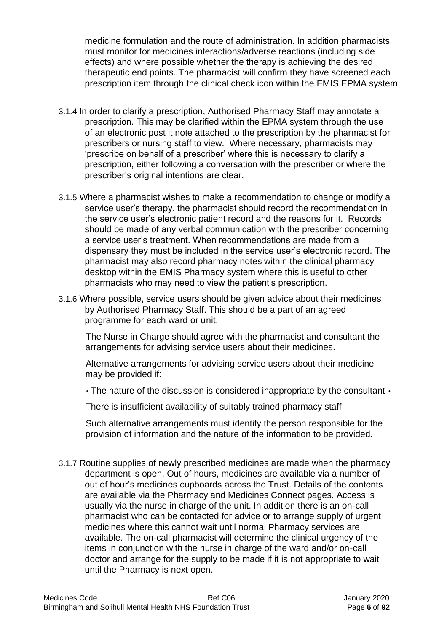medicine formulation and the route of administration. In addition pharmacists must monitor for medicines interactions/adverse reactions (including side effects) and where possible whether the therapy is achieving the desired therapeutic end points. The pharmacist will confirm they have screened each prescription item through the clinical check icon within the EMIS EPMA system

- 3.1.4 In order to clarify a prescription, Authorised Pharmacy Staff may annotate a prescription. This may be clarified within the EPMA system through the use of an electronic post it note attached to the prescription by the pharmacist for prescribers or nursing staff to view. Where necessary, pharmacists may 'prescribe on behalf of a prescriber' where this is necessary to clarify a prescription, either following a conversation with the prescriber or where the prescriber's original intentions are clear.
- 3.1.5 Where a pharmacist wishes to make a recommendation to change or modify a service user's therapy, the pharmacist should record the recommendation in the service user's electronic patient record and the reasons for it. Records should be made of any verbal communication with the prescriber concerning a service user's treatment. When recommendations are made from a dispensary they must be included in the service user's electronic record. The pharmacist may also record pharmacy notes within the clinical pharmacy desktop within the EMIS Pharmacy system where this is useful to other pharmacists who may need to view the patient's prescription.
- 3.1.6 Where possible, service users should be given advice about their medicines by Authorised Pharmacy Staff. This should be a part of an agreed programme for each ward or unit.

The Nurse in Charge should agree with the pharmacist and consultant the arrangements for advising service users about their medicines.

Alternative arrangements for advising service users about their medicine may be provided if:

• The nature of the discussion is considered inappropriate by the consultant •

There is insufficient availability of suitably trained pharmacy staff

Such alternative arrangements must identify the person responsible for the provision of information and the nature of the information to be provided.

3.1.7 Routine supplies of newly prescribed medicines are made when the pharmacy department is open. Out of hours, medicines are available via a number of out of hour's medicines cupboards across the Trust. Details of the contents are available via the Pharmacy and Medicines Connect pages. Access is usually via the nurse in charge of the unit. In addition there is an on-call pharmacist who can be contacted for advice or to arrange supply of urgent medicines where this cannot wait until normal Pharmacy services are available. The on-call pharmacist will determine the clinical urgency of the items in conjunction with the nurse in charge of the ward and/or on-call doctor and arrange for the supply to be made if it is not appropriate to wait until the Pharmacy is next open.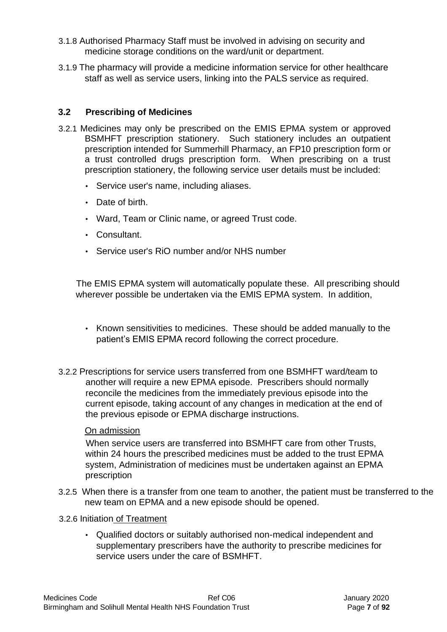- 3.1.8 Authorised Pharmacy Staff must be involved in advising on security and medicine storage conditions on the ward/unit or department.
- 3.1.9 The pharmacy will provide a medicine information service for other healthcare staff as well as service users, linking into the PALS service as required.

# **3.2 Prescribing of Medicines**

- 3.2.1 Medicines may only be prescribed on the EMIS EPMA system or approved BSMHFT prescription stationery. Such stationery includes an outpatient prescription intended for Summerhill Pharmacy, an FP10 prescription form or a trust controlled drugs prescription form. When prescribing on a trust prescription stationery, the following service user details must be included:
	- Service user's name, including aliases.
	- Date of birth.
	- Ward, Team or Clinic name, or agreed Trust code.
	- Consultant.
	- Service user's RiO number and/or NHS number

The EMIS EPMA system will automatically populate these. All prescribing should wherever possible be undertaken via the EMIS EPMA system. In addition,

- Known sensitivities to medicines. These should be added manually to the patient's EMIS EPMA record following the correct procedure.
- 3.2.2 Prescriptions for service users transferred from one BSMHFT ward/team to another will require a new EPMA episode. Prescribers should normally reconcile the medicines from the immediately previous episode into the current episode, taking account of any changes in medication at the end of the previous episode or EPMA discharge instructions.

#### On admission

When service users are transferred into BSMHFT care from other Trusts, within 24 hours the prescribed medicines must be added to the trust EPMA system, Administration of medicines must be undertaken against an EPMA prescription

- 3.2.5 When there is a transfer from one team to another, the patient must be transferred to the new team on EPMA and a new episode should be opened.
- 3.2.6 Initiation of Treatment
	- Qualified doctors or suitably authorised non-medical independent and supplementary prescribers have the authority to prescribe medicines for service users under the care of BSMHFT.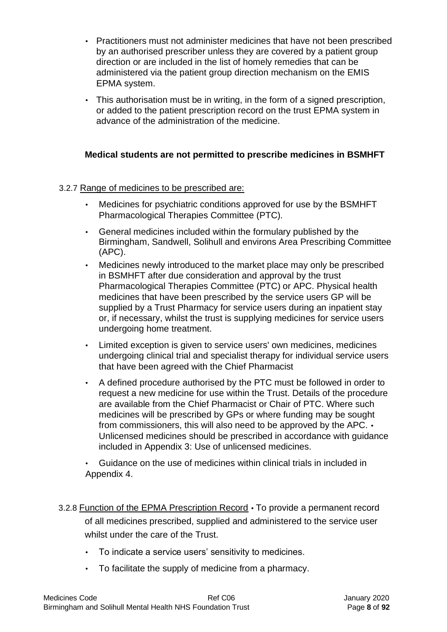- Practitioners must not administer medicines that have not been prescribed by an authorised prescriber unless they are covered by a patient group direction or are included in the list of homely remedies that can be administered via the patient group direction mechanism on the EMIS EPMA system.
- This authorisation must be in writing, in the form of a signed prescription, or added to the patient prescription record on the trust EPMA system in advance of the administration of the medicine.

# **Medical students are not permitted to prescribe medicines in BSMHFT**

### 3.2.7 Range of medicines to be prescribed are:

- Medicines for psychiatric conditions approved for use by the BSMHFT Pharmacological Therapies Committee (PTC).
- General medicines included within the formulary published by the Birmingham, Sandwell, Solihull and environs Area Prescribing Committee (APC).
- Medicines newly introduced to the market place may only be prescribed in BSMHFT after due consideration and approval by the trust Pharmacological Therapies Committee (PTC) or APC. Physical health medicines that have been prescribed by the service users GP will be supplied by a Trust Pharmacy for service users during an inpatient stay or, if necessary, whilst the trust is supplying medicines for service users undergoing home treatment.
- Limited exception is given to service users' own medicines, medicines undergoing clinical trial and specialist therapy for individual service users that have been agreed with the Chief Pharmacist
- A defined procedure authorised by the PTC must be followed in order to request a new medicine for use within the Trust. Details of the procedure are available from the Chief Pharmacist or Chair of PTC. Where such medicines will be prescribed by GPs or where funding may be sought from commissioners, this will also need to be approved by the APC. • Unlicensed medicines should be prescribed in accordance with guidance included in Appendix 3: Use of unlicensed medicines.
- Guidance on the use of medicines within clinical trials in included in Appendix 4.
- 3.2.8 Function of the EPMA Prescription Record To provide a permanent record of all medicines prescribed, supplied and administered to the service user whilst under the care of the Trust.
	- To indicate a service users' sensitivity to medicines.
	- To facilitate the supply of medicine from a pharmacy.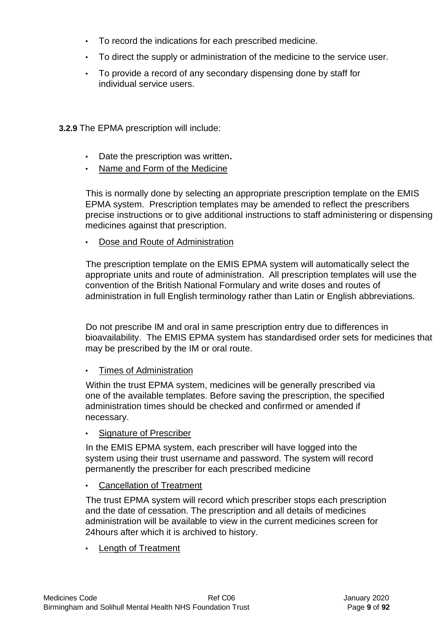- To record the indications for each prescribed medicine.
- To direct the supply or administration of the medicine to the service user.
- To provide a record of any secondary dispensing done by staff for individual service users.

**3.2.9** The EPMA prescription will include:

- Date the prescription was written**.**
- Name and Form of the Medicine

This is normally done by selecting an appropriate prescription template on the EMIS EPMA system. Prescription templates may be amended to reflect the prescribers precise instructions or to give additional instructions to staff administering or dispensing medicines against that prescription.

• Dose and Route of Administration

The prescription template on the EMIS EPMA system will automatically select the appropriate units and route of administration. All prescription templates will use the convention of the British National Formulary and write doses and routes of administration in full English terminology rather than Latin or English abbreviations.

Do not prescribe IM and oral in same prescription entry due to differences in bioavailability. The EMIS EPMA system has standardised order sets for medicines that may be prescribed by the IM or oral route.

# • Times of Administration

Within the trust EPMA system, medicines will be generally prescribed via one of the available templates. Before saving the prescription, the specified administration times should be checked and confirmed or amended if necessary.

Signature of Prescriber

In the EMIS EPMA system, each prescriber will have logged into the system using their trust username and password. The system will record permanently the prescriber for each prescribed medicine

**Cancellation of Treatment** 

The trust EPMA system will record which prescriber stops each prescription and the date of cessation. The prescription and all details of medicines administration will be available to view in the current medicines screen for 24hours after which it is archived to history.

• Length of Treatment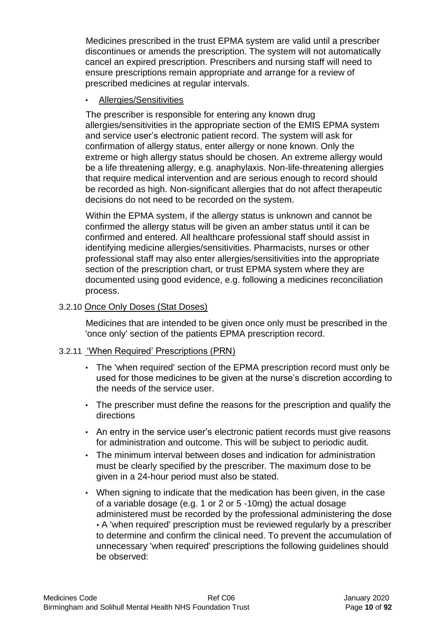Medicines prescribed in the trust EPMA system are valid until a prescriber discontinues or amends the prescription. The system will not automatically cancel an expired prescription. Prescribers and nursing staff will need to ensure prescriptions remain appropriate and arrange for a review of prescribed medicines at regular intervals.

### • Allergies/Sensitivities

The prescriber is responsible for entering any known drug allergies/sensitivities in the appropriate section of the EMIS EPMA system and service user's electronic patient record. The system will ask for confirmation of allergy status, enter allergy or none known. Only the extreme or high allergy status should be chosen. An extreme allergy would be a life threatening allergy, e.g. anaphylaxis. Non-life-threatening allergies that require medical intervention and are serious enough to record should be recorded as high. Non-significant allergies that do not affect therapeutic decisions do not need to be recorded on the system.

Within the EPMA system, if the allergy status is unknown and cannot be confirmed the allergy status will be given an amber status until it can be confirmed and entered. All healthcare professional staff should assist in identifying medicine allergies/sensitivities. Pharmacists, nurses or other professional staff may also enter allergies/sensitivities into the appropriate section of the prescription chart, or trust EPMA system where they are documented using good evidence, e.g. following a medicines reconciliation process.

# 3.2.10 Once Only Doses (Stat Doses)

Medicines that are intended to be given once only must be prescribed in the 'once only' section of the patients EPMA prescription record.

#### 3.2.11 'When Required' Prescriptions (PRN)

- The 'when required' section of the EPMA prescription record must only be used for those medicines to be given at the nurse's discretion according to the needs of the service user.
- The prescriber must define the reasons for the prescription and qualify the directions
- An entry in the service user's electronic patient records must give reasons for administration and outcome. This will be subject to periodic audit.
- The minimum interval between doses and indication for administration must be clearly specified by the prescriber. The maximum dose to be given in a 24-hour period must also be stated.
- When signing to indicate that the medication has been given, in the case of a variable dosage (e.g. 1 or 2 or 5 -10mg) the actual dosage administered must be recorded by the professional administering the dose • A 'when required' prescription must be reviewed regularly by a prescriber to determine and confirm the clinical need. To prevent the accumulation of unnecessary 'when required' prescriptions the following guidelines should be observed: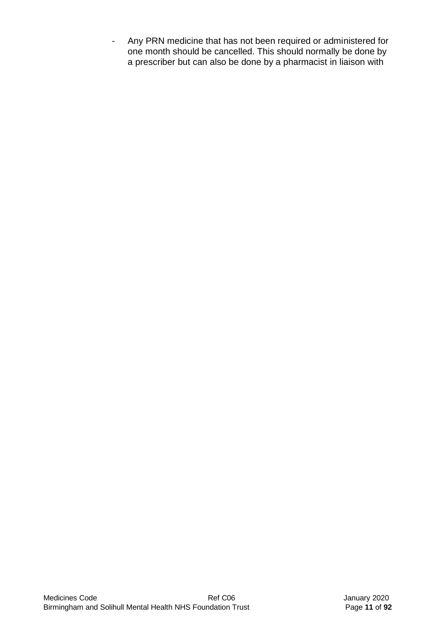- Any PRN medicine that has not been required or administered for one month should be cancelled. This should normally be done by a prescriber but can also be done by a pharmacist in liaison with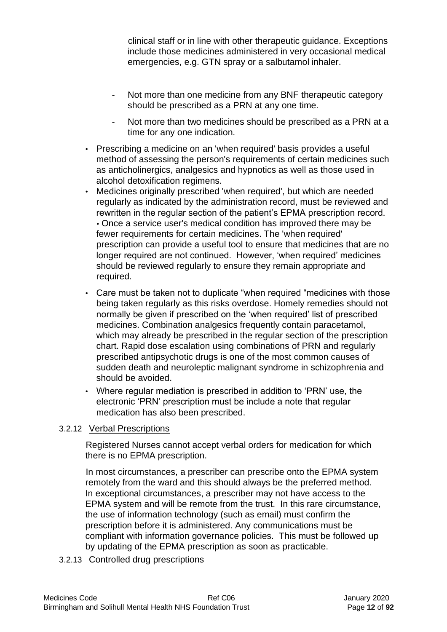clinical staff or in line with other therapeutic guidance. Exceptions include those medicines administered in very occasional medical emergencies, e.g. GTN spray or a salbutamol inhaler.

- Not more than one medicine from any BNF therapeutic category should be prescribed as a PRN at any one time.
- Not more than two medicines should be prescribed as a PRN at a time for any one indication.
- Prescribing a medicine on an 'when required' basis provides a useful method of assessing the person's requirements of certain medicines such as anticholinergics, analgesics and hypnotics as well as those used in alcohol detoxification regimens.
- Medicines originally prescribed 'when required', but which are needed regularly as indicated by the administration record, must be reviewed and rewritten in the regular section of the patient's EPMA prescription record. • Once a service user's medical condition has improved there may be fewer requirements for certain medicines. The 'when required' prescription can provide a useful tool to ensure that medicines that are no longer required are not continued. However, 'when required' medicines should be reviewed regularly to ensure they remain appropriate and required.
- Care must be taken not to duplicate "when required "medicines with those being taken regularly as this risks overdose. Homely remedies should not normally be given if prescribed on the 'when required' list of prescribed medicines. Combination analgesics frequently contain paracetamol, which may already be prescribed in the regular section of the prescription chart. Rapid dose escalation using combinations of PRN and regularly prescribed antipsychotic drugs is one of the most common causes of sudden death and neuroleptic malignant syndrome in schizophrenia and should be avoided.
- Where regular mediation is prescribed in addition to 'PRN' use, the electronic 'PRN' prescription must be include a note that regular medication has also been prescribed.

# 3.2.12 Verbal Prescriptions

Registered Nurses cannot accept verbal orders for medication for which there is no EPMA prescription.

In most circumstances, a prescriber can prescribe onto the EPMA system remotely from the ward and this should always be the preferred method. In exceptional circumstances, a prescriber may not have access to the EPMA system and will be remote from the trust. In this rare circumstance, the use of information technology (such as email) must confirm the prescription before it is administered. Any communications must be compliant with information governance policies. This must be followed up by updating of the EPMA prescription as soon as practicable.

3.2.13 Controlled drug prescriptions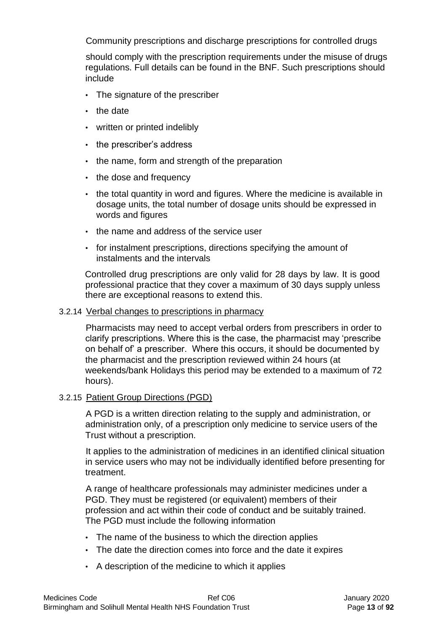Community prescriptions and discharge prescriptions for controlled drugs

should comply with the prescription requirements under the misuse of drugs regulations. Full details can be found in the BNF. Such prescriptions should include

- The signature of the prescriber
- the date
- written or printed indelibly
- the prescriber's address
- the name, form and strength of the preparation
- the dose and frequency
- the total quantity in word and figures. Where the medicine is available in dosage units, the total number of dosage units should be expressed in words and figures
- the name and address of the service user
- for instalment prescriptions, directions specifying the amount of instalments and the intervals

Controlled drug prescriptions are only valid for 28 days by law. It is good professional practice that they cover a maximum of 30 days supply unless there are exceptional reasons to extend this.

#### 3.2.14 Verbal changes to prescriptions in pharmacy

Pharmacists may need to accept verbal orders from prescribers in order to clarify prescriptions. Where this is the case, the pharmacist may 'prescribe on behalf of' a prescriber. Where this occurs, it should be documented by the pharmacist and the prescription reviewed within 24 hours (at weekends/bank Holidays this period may be extended to a maximum of 72 hours).

#### 3.2.15 Patient Group Directions (PGD)

A PGD is a written direction relating to the supply and administration, or administration only, of a prescription only medicine to service users of the Trust without a prescription.

It applies to the administration of medicines in an identified clinical situation in service users who may not be individually identified before presenting for treatment.

A range of healthcare professionals may administer medicines under a PGD. They must be registered (or equivalent) members of their profession and act within their code of conduct and be suitably trained. The PGD must include the following information

- The name of the business to which the direction applies
- The date the direction comes into force and the date it expires
- A description of the medicine to which it applies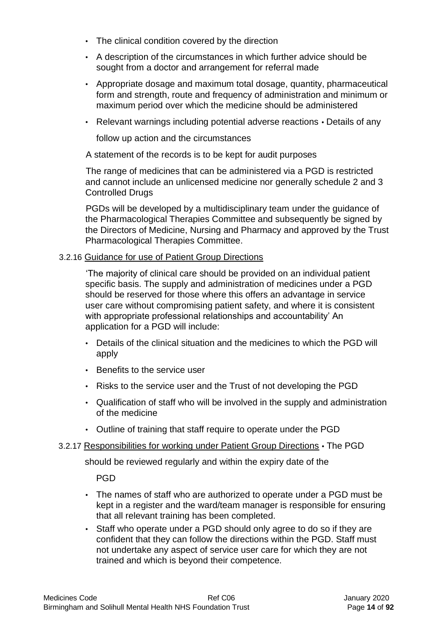- The clinical condition covered by the direction
- A description of the circumstances in which further advice should be sought from a doctor and arrangement for referral made
- Appropriate dosage and maximum total dosage, quantity, pharmaceutical form and strength, route and frequency of administration and minimum or maximum period over which the medicine should be administered
- Relevant warnings including potential adverse reactions Details of any

follow up action and the circumstances

A statement of the records is to be kept for audit purposes

The range of medicines that can be administered via a PGD is restricted and cannot include an unlicensed medicine nor generally schedule 2 and 3 Controlled Drugs

PGDs will be developed by a multidisciplinary team under the guidance of the Pharmacological Therapies Committee and subsequently be signed by the Directors of Medicine, Nursing and Pharmacy and approved by the Trust Pharmacological Therapies Committee.

### 3.2.16 Guidance for use of Patient Group Directions

'The majority of clinical care should be provided on an individual patient specific basis. The supply and administration of medicines under a PGD should be reserved for those where this offers an advantage in service user care without compromising patient safety, and where it is consistent with appropriate professional relationships and accountability' An application for a PGD will include:

- Details of the clinical situation and the medicines to which the PGD will apply
- Benefits to the service user
- Risks to the service user and the Trust of not developing the PGD
- Qualification of staff who will be involved in the supply and administration of the medicine
- Outline of training that staff require to operate under the PGD

#### 3.2.17 Responsibilities for working under Patient Group Directions • The PGD

should be reviewed regularly and within the expiry date of the

PGD

- The names of staff who are authorized to operate under a PGD must be kept in a register and the ward/team manager is responsible for ensuring that all relevant training has been completed.
- Staff who operate under a PGD should only agree to do so if they are confident that they can follow the directions within the PGD. Staff must not undertake any aspect of service user care for which they are not trained and which is beyond their competence.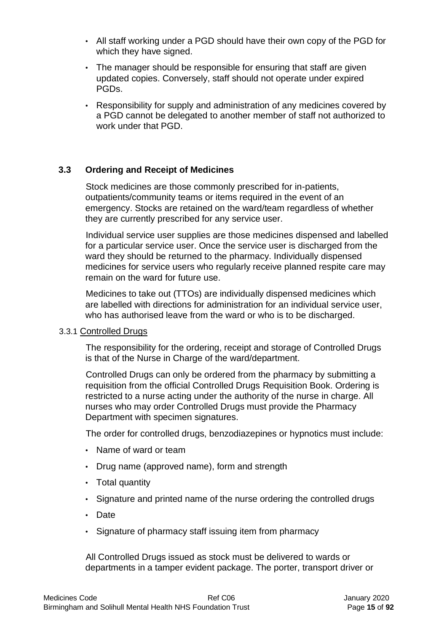- All staff working under a PGD should have their own copy of the PGD for which they have signed.
- The manager should be responsible for ensuring that staff are given updated copies. Conversely, staff should not operate under expired PGDs.
- Responsibility for supply and administration of any medicines covered by a PGD cannot be delegated to another member of staff not authorized to work under that PGD.

### **3.3 Ordering and Receipt of Medicines**

Stock medicines are those commonly prescribed for in-patients, outpatients/community teams or items required in the event of an emergency. Stocks are retained on the ward/team regardless of whether they are currently prescribed for any service user.

Individual service user supplies are those medicines dispensed and labelled for a particular service user. Once the service user is discharged from the ward they should be returned to the pharmacy. Individually dispensed medicines for service users who regularly receive planned respite care may remain on the ward for future use.

Medicines to take out (TTOs) are individually dispensed medicines which are labelled with directions for administration for an individual service user, who has authorised leave from the ward or who is to be discharged.

#### 3.3.1 Controlled Drugs

The responsibility for the ordering, receipt and storage of Controlled Drugs is that of the Nurse in Charge of the ward/department.

Controlled Drugs can only be ordered from the pharmacy by submitting a requisition from the official Controlled Drugs Requisition Book. Ordering is restricted to a nurse acting under the authority of the nurse in charge. All nurses who may order Controlled Drugs must provide the Pharmacy Department with specimen signatures.

The order for controlled drugs, benzodiazepines or hypnotics must include:

- Name of ward or team
- Drug name (approved name), form and strength
- Total quantity
- Signature and printed name of the nurse ordering the controlled drugs
- Date
- Signature of pharmacy staff issuing item from pharmacy

All Controlled Drugs issued as stock must be delivered to wards or departments in a tamper evident package. The porter, transport driver or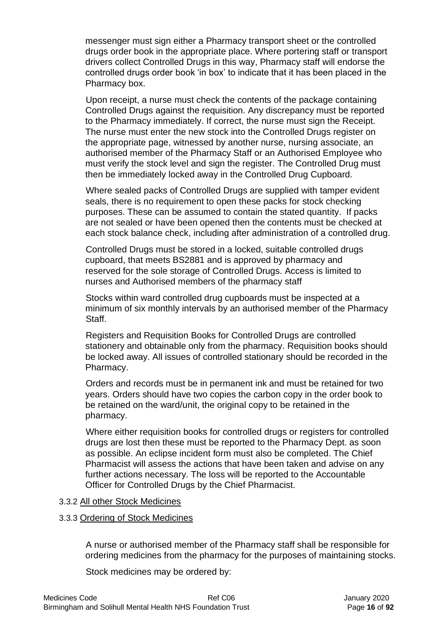messenger must sign either a Pharmacy transport sheet or the controlled drugs order book in the appropriate place. Where portering staff or transport drivers collect Controlled Drugs in this way, Pharmacy staff will endorse the controlled drugs order book 'in box' to indicate that it has been placed in the Pharmacy box.

Upon receipt, a nurse must check the contents of the package containing Controlled Drugs against the requisition. Any discrepancy must be reported to the Pharmacy immediately. If correct, the nurse must sign the Receipt. The nurse must enter the new stock into the Controlled Drugs register on the appropriate page, witnessed by another nurse, nursing associate, an authorised member of the Pharmacy Staff or an Authorised Employee who must verify the stock level and sign the register. The Controlled Drug must then be immediately locked away in the Controlled Drug Cupboard.

Where sealed packs of Controlled Drugs are supplied with tamper evident seals, there is no requirement to open these packs for stock checking purposes. These can be assumed to contain the stated quantity. If packs are not sealed or have been opened then the contents must be checked at each stock balance check, including after administration of a controlled drug.

Controlled Drugs must be stored in a locked, suitable controlled drugs cupboard, that meets BS2881 and is approved by pharmacy and reserved for the sole storage of Controlled Drugs. Access is limited to nurses and Authorised members of the pharmacy staff

Stocks within ward controlled drug cupboards must be inspected at a minimum of six monthly intervals by an authorised member of the Pharmacy Staff.

Registers and Requisition Books for Controlled Drugs are controlled stationery and obtainable only from the pharmacy. Requisition books should be locked away. All issues of controlled stationary should be recorded in the Pharmacy.

Orders and records must be in permanent ink and must be retained for two years. Orders should have two copies the carbon copy in the order book to be retained on the ward/unit, the original copy to be retained in the pharmacy.

Where either requisition books for controlled drugs or registers for controlled drugs are lost then these must be reported to the Pharmacy Dept. as soon as possible. An eclipse incident form must also be completed. The Chief Pharmacist will assess the actions that have been taken and advise on any further actions necessary. The loss will be reported to the Accountable Officer for Controlled Drugs by the Chief Pharmacist.

#### 3.3.2 All other Stock Medicines

#### 3.3.3 Ordering of Stock Medicines

A nurse or authorised member of the Pharmacy staff shall be responsible for ordering medicines from the pharmacy for the purposes of maintaining stocks.

Stock medicines may be ordered by: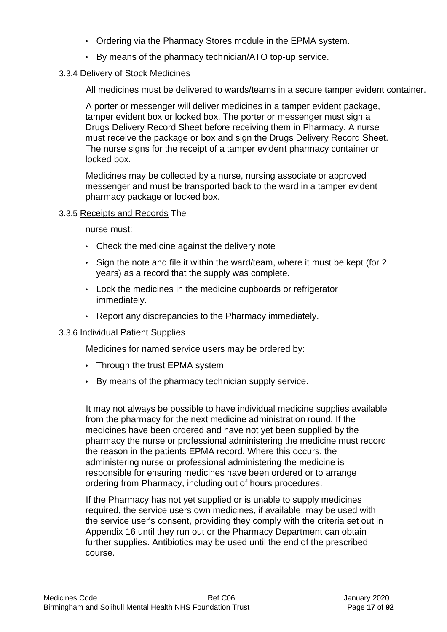- Ordering via the Pharmacy Stores module in the EPMA system.
- By means of the pharmacy technician/ATO top-up service.

#### 3.3.4 Delivery of Stock Medicines

All medicines must be delivered to wards/teams in a secure tamper evident container.

A porter or messenger will deliver medicines in a tamper evident package, tamper evident box or locked box. The porter or messenger must sign a Drugs Delivery Record Sheet before receiving them in Pharmacy. A nurse must receive the package or box and sign the Drugs Delivery Record Sheet. The nurse signs for the receipt of a tamper evident pharmacy container or locked box.

Medicines may be collected by a nurse, nursing associate or approved messenger and must be transported back to the ward in a tamper evident pharmacy package or locked box.

### 3.3.5 Receipts and Records The

nurse must:

- Check the medicine against the delivery note
- Sign the note and file it within the ward/team, where it must be kept (for 2 years) as a record that the supply was complete.
- Lock the medicines in the medicine cupboards or refrigerator immediately.
- Report any discrepancies to the Pharmacy immediately.

# 3.3.6 Individual Patient Supplies

Medicines for named service users may be ordered by:

- Through the trust EPMA system
- By means of the pharmacy technician supply service.

It may not always be possible to have individual medicine supplies available from the pharmacy for the next medicine administration round. If the medicines have been ordered and have not yet been supplied by the pharmacy the nurse or professional administering the medicine must record the reason in the patients EPMA record. Where this occurs, the administering nurse or professional administering the medicine is responsible for ensuring medicines have been ordered or to arrange ordering from Pharmacy, including out of hours procedures.

If the Pharmacy has not yet supplied or is unable to supply medicines required, the service users own medicines, if available, may be used with the service user's consent, providing they comply with the criteria set out in Appendix 16 until they run out or the Pharmacy Department can obtain further supplies. Antibiotics may be used until the end of the prescribed course.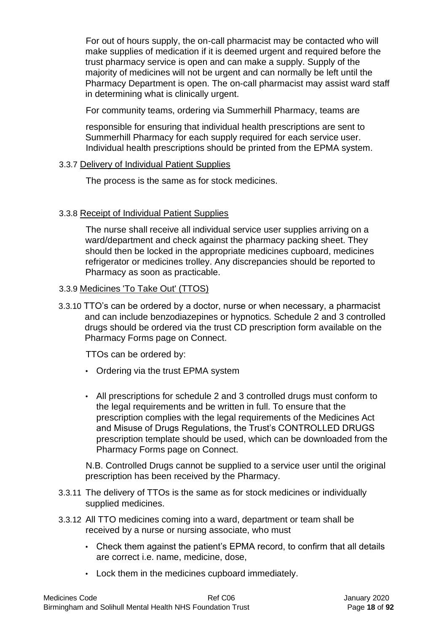For out of hours supply, the on-call pharmacist may be contacted who will make supplies of medication if it is deemed urgent and required before the trust pharmacy service is open and can make a supply. Supply of the majority of medicines will not be urgent and can normally be left until the Pharmacy Department is open. The on-call pharmacist may assist ward staff in determining what is clinically urgent.

For community teams, ordering via Summerhill Pharmacy, teams are

responsible for ensuring that individual health prescriptions are sent to Summerhill Pharmacy for each supply required for each service user. Individual health prescriptions should be printed from the EPMA system.

### 3.3.7 Delivery of Individual Patient Supplies

The process is the same as for stock medicines.

# 3.3.8 Receipt of Individual Patient Supplies

The nurse shall receive all individual service user supplies arriving on a ward/department and check against the pharmacy packing sheet. They should then be locked in the appropriate medicines cupboard, medicines refrigerator or medicines trolley. Any discrepancies should be reported to Pharmacy as soon as practicable.

#### 3.3.9 Medicines 'To Take Out' (TTOS)

3.3.10 TTO's can be ordered by a doctor, nurse or when necessary, a pharmacist and can include benzodiazepines or hypnotics. Schedule 2 and 3 controlled drugs should be ordered via the trust CD prescription form available on the Pharmacy Forms page on Connect.

TTOs can be ordered by:

- Ordering via the trust EPMA system
- All prescriptions for schedule 2 and 3 controlled drugs must conform to the legal requirements and be written in full. To ensure that the prescription complies with the legal requirements of the Medicines Act and Misuse of Drugs Regulations, the Trust's CONTROLLED DRUGS prescription template should be used, which can be downloaded from the Pharmacy Forms page on Connect.

N.B. Controlled Drugs cannot be supplied to a service user until the original prescription has been received by the Pharmacy.

- 3.3.11 The delivery of TTOs is the same as for stock medicines or individually supplied medicines.
- 3.3.12 All TTO medicines coming into a ward, department or team shall be received by a nurse or nursing associate, who must
	- Check them against the patient's EPMA record, to confirm that all details are correct i.e. name, medicine, dose,
	- Lock them in the medicines cupboard immediately.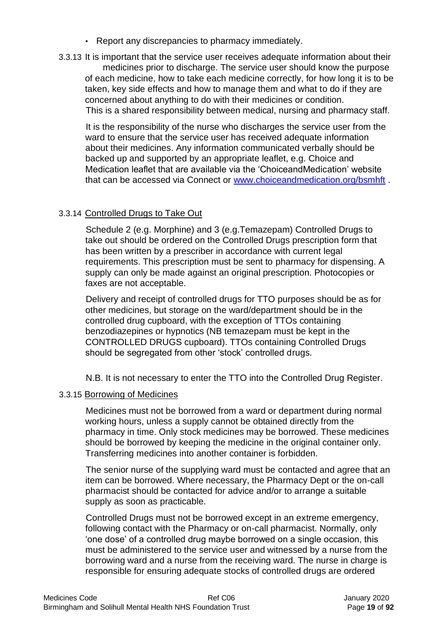- Report any discrepancies to pharmacy immediately.
- 3.3.13 It is important that the service user receives adequate information about their medicines prior to discharge. The service user should know the purpose of each medicine, how to take each medicine correctly, for how long it is to be taken, key side effects and how to manage them and what to do if they are concerned about anything to do with their medicines or condition. This is a shared responsibility between medical, nursing and pharmacy staff.

It is the responsibility of the nurse who discharges the service user from the ward to ensure that the service user has received adequate information about their medicines. Any information communicated verbally should be backed up and supported by an appropriate leaflet, e.g. Choice and Medication leaflet that are available via the 'ChoiceandMedication' website that can be accessed via Connect o[r](http://www.choiceandmedication.org/bsmhft) [www.choiceandmedication.org/bsmhft](http://www.choiceandmedication.org/bsmhft) .

# 3.3.14 Controlled Drugs to Take Out

Schedule 2 (e.g. Morphine) and 3 (e.g.Temazepam) Controlled Drugs to take out should be ordered on the Controlled Drugs prescription form that has been written by a prescriber in accordance with current legal requirements. This prescription must be sent to pharmacy for dispensing. A supply can only be made against an original prescription. Photocopies or faxes are not acceptable.

Delivery and receipt of controlled drugs for TTO purposes should be as for other medicines, but storage on the ward/department should be in the controlled drug cupboard, with the exception of TTOs containing benzodiazepines or hypnotics (NB temazepam must be kept in the CONTROLLED DRUGS cupboard). TTOs containing Controlled Drugs should be segregated from other 'stock' controlled drugs.

N.B. It is not necessary to enter the TTO into the Controlled Drug Register.

#### 3.3.15 Borrowing of Medicines

Medicines must not be borrowed from a ward or department during normal working hours, unless a supply cannot be obtained directly from the pharmacy in time. Only stock medicines may be borrowed. These medicines should be borrowed by keeping the medicine in the original container only. Transferring medicines into another container is forbidden.

The senior nurse of the supplying ward must be contacted and agree that an item can be borrowed. Where necessary, the Pharmacy Dept or the on-call pharmacist should be contacted for advice and/or to arrange a suitable supply as soon as practicable.

Controlled Drugs must not be borrowed except in an extreme emergency, following contact with the Pharmacy or on-call pharmacist. Normally, only 'one dose' of a controlled drug maybe borrowed on a single occasion, this must be administered to the service user and witnessed by a nurse from the borrowing ward and a nurse from the receiving ward. The nurse in charge is responsible for ensuring adequate stocks of controlled drugs are ordered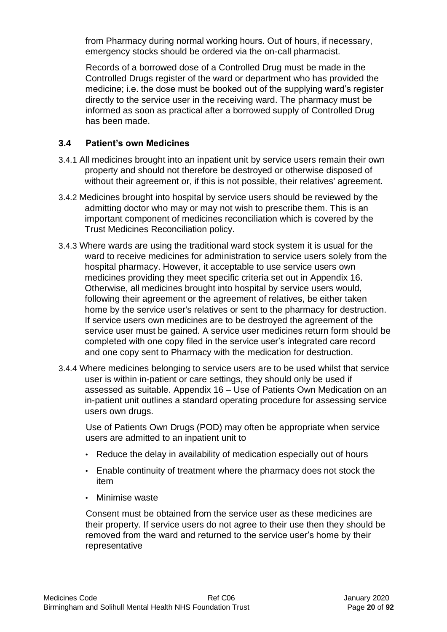from Pharmacy during normal working hours. Out of hours, if necessary, emergency stocks should be ordered via the on-call pharmacist.

Records of a borrowed dose of a Controlled Drug must be made in the Controlled Drugs register of the ward or department who has provided the medicine; i.e. the dose must be booked out of the supplying ward's register directly to the service user in the receiving ward. The pharmacy must be informed as soon as practical after a borrowed supply of Controlled Drug has been made.

## **3.4 Patient's own Medicines**

- 3.4.1 All medicines brought into an inpatient unit by service users remain their own property and should not therefore be destroyed or otherwise disposed of without their agreement or, if this is not possible, their relatives' agreement.
- 3.4.2 Medicines brought into hospital by service users should be reviewed by the admitting doctor who may or may not wish to prescribe them. This is an important component of medicines reconciliation which is covered by the Trust Medicines Reconciliation policy.
- 3.4.3 Where wards are using the traditional ward stock system it is usual for the ward to receive medicines for administration to service users solely from the hospital pharmacy. However, it acceptable to use service users own medicines providing they meet specific criteria set out in Appendix 16. Otherwise, all medicines brought into hospital by service users would, following their agreement or the agreement of relatives, be either taken home by the service user's relatives or sent to the pharmacy for destruction. If service users own medicines are to be destroyed the agreement of the service user must be gained. A service user medicines return form should be completed with one copy filed in the service user's integrated care record and one copy sent to Pharmacy with the medication for destruction.
- 3.4.4 Where medicines belonging to service users are to be used whilst that service user is within in-patient or care settings, they should only be used if assessed as suitable. Appendix 16 – Use of Patients Own Medication on an in-patient unit outlines a standard operating procedure for assessing service users own drugs.

Use of Patients Own Drugs (POD) may often be appropriate when service users are admitted to an inpatient unit to

- Reduce the delay in availability of medication especially out of hours
- Enable continuity of treatment where the pharmacy does not stock the item
- Minimise waste

Consent must be obtained from the service user as these medicines are their property. If service users do not agree to their use then they should be removed from the ward and returned to the service user's home by their representative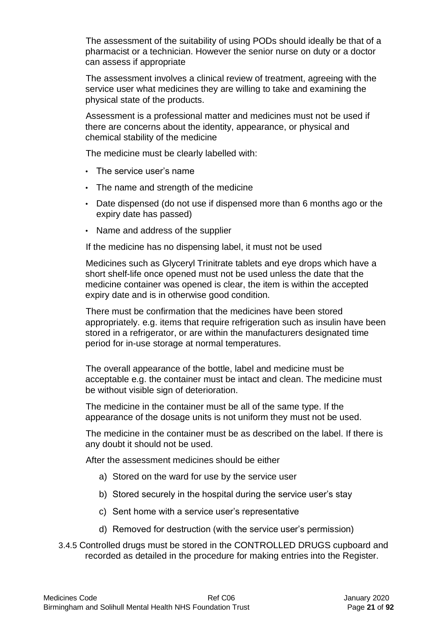The assessment of the suitability of using PODs should ideally be that of a pharmacist or a technician. However the senior nurse on duty or a doctor can assess if appropriate

The assessment involves a clinical review of treatment, agreeing with the service user what medicines they are willing to take and examining the physical state of the products.

Assessment is a professional matter and medicines must not be used if there are concerns about the identity, appearance, or physical and chemical stability of the medicine

The medicine must be clearly labelled with:

- The service user's name
- The name and strength of the medicine
- Date dispensed (do not use if dispensed more than 6 months ago or the expiry date has passed)
- Name and address of the supplier

If the medicine has no dispensing label, it must not be used

Medicines such as Glyceryl Trinitrate tablets and eye drops which have a short shelf-life once opened must not be used unless the date that the medicine container was opened is clear, the item is within the accepted expiry date and is in otherwise good condition.

There must be confirmation that the medicines have been stored appropriately. e.g. items that require refrigeration such as insulin have been stored in a refrigerator, or are within the manufacturers designated time period for in-use storage at normal temperatures.

The overall appearance of the bottle, label and medicine must be acceptable e.g. the container must be intact and clean. The medicine must be without visible sign of deterioration.

The medicine in the container must be all of the same type. If the appearance of the dosage units is not uniform they must not be used.

The medicine in the container must be as described on the label. If there is any doubt it should not be used.

After the assessment medicines should be either

- a) Stored on the ward for use by the service user
- b) Stored securely in the hospital during the service user's stay
- c) Sent home with a service user's representative
- d) Removed for destruction (with the service user's permission)
- 3.4.5 Controlled drugs must be stored in the CONTROLLED DRUGS cupboard and recorded as detailed in the procedure for making entries into the Register.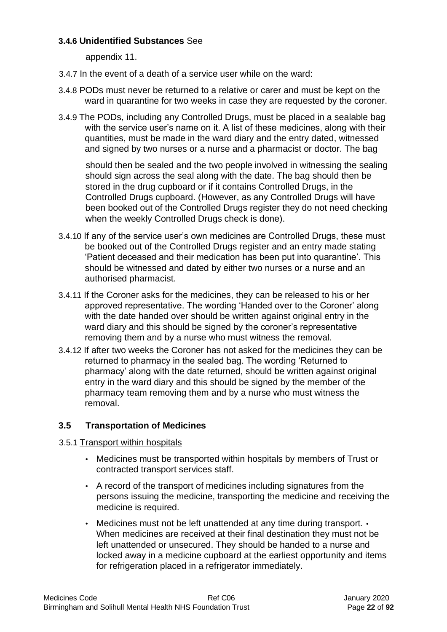### **3.4.6 Unidentified Substances** See

appendix 11.

- 3.4.7 In the event of a death of a service user while on the ward:
- 3.4.8 PODs must never be returned to a relative or carer and must be kept on the ward in quarantine for two weeks in case they are requested by the coroner.
- 3.4.9 The PODs, including any Controlled Drugs, must be placed in a sealable bag with the service user's name on it. A list of these medicines, along with their quantities, must be made in the ward diary and the entry dated, witnessed and signed by two nurses or a nurse and a pharmacist or doctor. The bag

should then be sealed and the two people involved in witnessing the sealing should sign across the seal along with the date. The bag should then be stored in the drug cupboard or if it contains Controlled Drugs, in the Controlled Drugs cupboard. (However, as any Controlled Drugs will have been booked out of the Controlled Drugs register they do not need checking when the weekly Controlled Drugs check is done).

- 3.4.10 If any of the service user's own medicines are Controlled Drugs, these must be booked out of the Controlled Drugs register and an entry made stating 'Patient deceased and their medication has been put into quarantine'. This should be witnessed and dated by either two nurses or a nurse and an authorised pharmacist.
- 3.4.11 If the Coroner asks for the medicines, they can be released to his or her approved representative. The wording 'Handed over to the Coroner' along with the date handed over should be written against original entry in the ward diary and this should be signed by the coroner's representative removing them and by a nurse who must witness the removal.
- 3.4.12 If after two weeks the Coroner has not asked for the medicines they can be returned to pharmacy in the sealed bag. The wording 'Returned to pharmacy' along with the date returned, should be written against original entry in the ward diary and this should be signed by the member of the pharmacy team removing them and by a nurse who must witness the removal.

# **3.5 Transportation of Medicines**

- 3.5.1 Transport within hospitals
	- Medicines must be transported within hospitals by members of Trust or contracted transport services staff.
	- A record of the transport of medicines including signatures from the persons issuing the medicine, transporting the medicine and receiving the medicine is required.
	- Medicines must not be left unattended at any time during transport. When medicines are received at their final destination they must not be left unattended or unsecured. They should be handed to a nurse and locked away in a medicine cupboard at the earliest opportunity and items for refrigeration placed in a refrigerator immediately.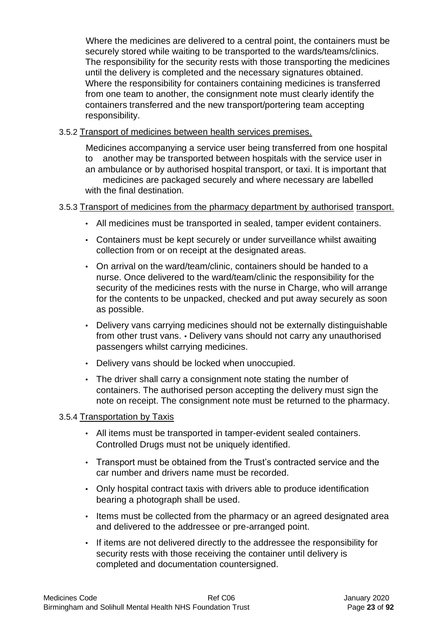Where the medicines are delivered to a central point, the containers must be securely stored while waiting to be transported to the wards/teams/clinics. The responsibility for the security rests with those transporting the medicines until the delivery is completed and the necessary signatures obtained. Where the responsibility for containers containing medicines is transferred from one team to another, the consignment note must clearly identify the containers transferred and the new transport/portering team accepting responsibility.

#### 3.5.2 Transport of medicines between health services premises.

Medicines accompanying a service user being transferred from one hospital to another may be transported between hospitals with the service user in an ambulance or by authorised hospital transport, or taxi. It is important that medicines are packaged securely and where necessary are labelled with the final destination.

### 3.5.3 Transport of medicines from the pharmacy department by authorised transport.

- All medicines must be transported in sealed, tamper evident containers.
- Containers must be kept securely or under surveillance whilst awaiting collection from or on receipt at the designated areas.
- On arrival on the ward/team/clinic, containers should be handed to a nurse. Once delivered to the ward/team/clinic the responsibility for the security of the medicines rests with the nurse in Charge, who will arrange for the contents to be unpacked, checked and put away securely as soon as possible.
- Delivery vans carrying medicines should not be externally distinguishable from other trust vans. • Delivery vans should not carry any unauthorised passengers whilst carrying medicines.
- Delivery vans should be locked when unoccupied.
- The driver shall carry a consignment note stating the number of containers. The authorised person accepting the delivery must sign the note on receipt. The consignment note must be returned to the pharmacy.

#### 3.5.4 Transportation by Taxis

- All items must be transported in tamper-evident sealed containers. Controlled Drugs must not be uniquely identified.
- Transport must be obtained from the Trust's contracted service and the car number and drivers name must be recorded.
- Only hospital contract taxis with drivers able to produce identification bearing a photograph shall be used.
- Items must be collected from the pharmacy or an agreed designated area and delivered to the addressee or pre-arranged point.
- If items are not delivered directly to the addressee the responsibility for security rests with those receiving the container until delivery is completed and documentation countersigned.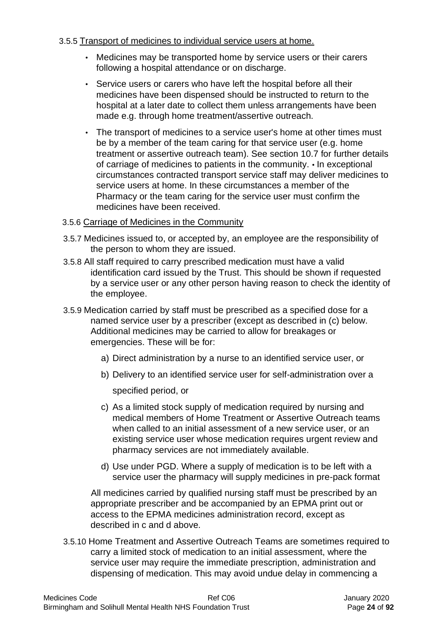#### 3.5.5 Transport of medicines to individual service users at home.

- Medicines may be transported home by service users or their carers following a hospital attendance or on discharge.
- Service users or carers who have left the hospital before all their medicines have been dispensed should be instructed to return to the hospital at a later date to collect them unless arrangements have been made e.g. through home treatment/assertive outreach.
- The transport of medicines to a service user's home at other times must be by a member of the team caring for that service user (e.g. home treatment or assertive outreach team). See section 10.7 for further details of carriage of medicines to patients in the community. • In exceptional circumstances contracted transport service staff may deliver medicines to service users at home. In these circumstances a member of the Pharmacy or the team caring for the service user must confirm the medicines have been received.

### 3.5.6 Carriage of Medicines in the Community

- 3.5.7 Medicines issued to, or accepted by, an employee are the responsibility of the person to whom they are issued.
- 3.5.8 All staff required to carry prescribed medication must have a valid identification card issued by the Trust. This should be shown if requested by a service user or any other person having reason to check the identity of the employee.
- 3.5.9 Medication carried by staff must be prescribed as a specified dose for a named service user by a prescriber (except as described in (c) below. Additional medicines may be carried to allow for breakages or emergencies. These will be for:
	- a) Direct administration by a nurse to an identified service user, or
	- b) Delivery to an identified service user for self-administration over a

specified period, or

- c) As a limited stock supply of medication required by nursing and medical members of Home Treatment or Assertive Outreach teams when called to an initial assessment of a new service user, or an existing service user whose medication requires urgent review and pharmacy services are not immediately available.
- d) Use under PGD. Where a supply of medication is to be left with a service user the pharmacy will supply medicines in pre-pack format

All medicines carried by qualified nursing staff must be prescribed by an appropriate prescriber and be accompanied by an EPMA print out or access to the EPMA medicines administration record, except as described in c and d above.

3.5.10 Home Treatment and Assertive Outreach Teams are sometimes required to carry a limited stock of medication to an initial assessment, where the service user may require the immediate prescription, administration and dispensing of medication. This may avoid undue delay in commencing a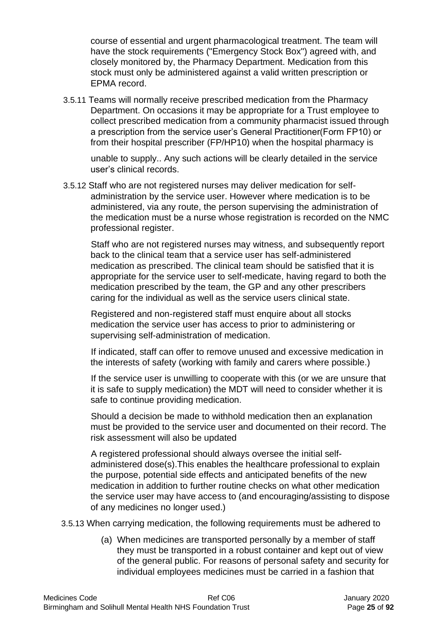course of essential and urgent pharmacological treatment. The team will have the stock requirements ("Emergency Stock Box") agreed with, and closely monitored by, the Pharmacy Department. Medication from this stock must only be administered against a valid written prescription or EPMA record.

3.5.11 Teams will normally receive prescribed medication from the Pharmacy Department. On occasions it may be appropriate for a Trust employee to collect prescribed medication from a community pharmacist issued through a prescription from the service user's General Practitioner(Form FP10) or from their hospital prescriber (FP/HP10) when the hospital pharmacy is

unable to supply.. Any such actions will be clearly detailed in the service user's clinical records.

3.5.12 Staff who are not registered nurses may deliver medication for selfadministration by the service user. However where medication is to be administered, via any route, the person supervising the administration of the medication must be a nurse whose registration is recorded on the NMC professional register.

Staff who are not registered nurses may witness, and subsequently report back to the clinical team that a service user has self-administered medication as prescribed. The clinical team should be satisfied that it is appropriate for the service user to self-medicate, having regard to both the medication prescribed by the team, the GP and any other prescribers caring for the individual as well as the service users clinical state.

Registered and non-registered staff must enquire about all stocks medication the service user has access to prior to administering or supervising self-administration of medication.

If indicated, staff can offer to remove unused and excessive medication in the interests of safety (working with family and carers where possible.)

If the service user is unwilling to cooperate with this (or we are unsure that it is safe to supply medication) the MDT will need to consider whether it is safe to continue providing medication.

Should a decision be made to withhold medication then an explanation must be provided to the service user and documented on their record. The risk assessment will also be updated

A registered professional should always oversee the initial selfadministered dose(s).This enables the healthcare professional to explain the purpose, potential side effects and anticipated benefits of the new medication in addition to further routine checks on what other medication the service user may have access to (and encouraging/assisting to dispose of any medicines no longer used.)

3.5.13 When carrying medication, the following requirements must be adhered to

(a) When medicines are transported personally by a member of staff they must be transported in a robust container and kept out of view of the general public. For reasons of personal safety and security for individual employees medicines must be carried in a fashion that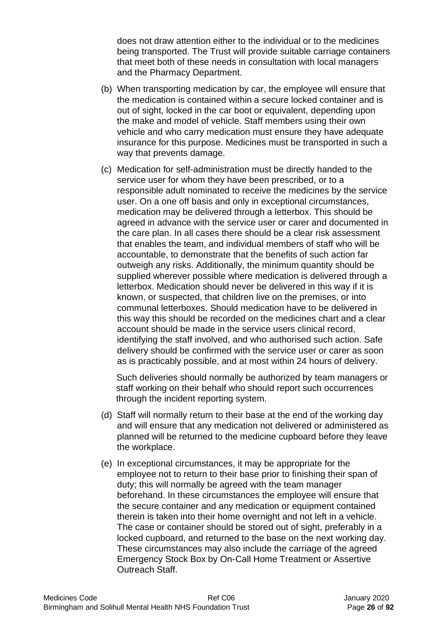does not draw attention either to the individual or to the medicines being transported. The Trust will provide suitable carriage containers that meet both of these needs in consultation with local managers and the Pharmacy Department.

- (b) When transporting medication by car, the employee will ensure that the medication is contained within a secure locked container and is out of sight, locked in the car boot or equivalent, depending upon the make and model of vehicle. Staff members using their own vehicle and who carry medication must ensure they have adequate insurance for this purpose. Medicines must be transported in such a way that prevents damage.
- (c) Medication for self-administration must be directly handed to the service user for whom they have been prescribed, or to a responsible adult nominated to receive the medicines by the service user. On a one off basis and only in exceptional circumstances, medication may be delivered through a letterbox. This should be agreed in advance with the service user or carer and documented in the care plan. In all cases there should be a clear risk assessment that enables the team, and individual members of staff who will be accountable, to demonstrate that the benefits of such action far outweigh any risks. Additionally, the minimum quantity should be supplied wherever possible where medication is delivered through a letterbox. Medication should never be delivered in this way if it is known, or suspected, that children live on the premises, or into communal letterboxes. Should medication have to be delivered in this way this should be recorded on the medicines chart and a clear account should be made in the service users clinical record, identifying the staff involved, and who authorised such action. Safe delivery should be confirmed with the service user or carer as soon as is practicably possible, and at most within 24 hours of delivery.

Such deliveries should normally be authorized by team managers or staff working on their behalf who should report such occurrences through the incident reporting system.

- (d) Staff will normally return to their base at the end of the working day and will ensure that any medication not delivered or administered as planned will be returned to the medicine cupboard before they leave the workplace.
- (e) In exceptional circumstances, it may be appropriate for the employee not to return to their base prior to finishing their span of duty; this will normally be agreed with the team manager beforehand. In these circumstances the employee will ensure that the secure container and any medication or equipment contained therein is taken into their home overnight and not left in a vehicle. The case or container should be stored out of sight, preferably in a locked cupboard, and returned to the base on the next working day. These circumstances may also include the carriage of the agreed Emergency Stock Box by On-Call Home Treatment or Assertive Outreach Staff.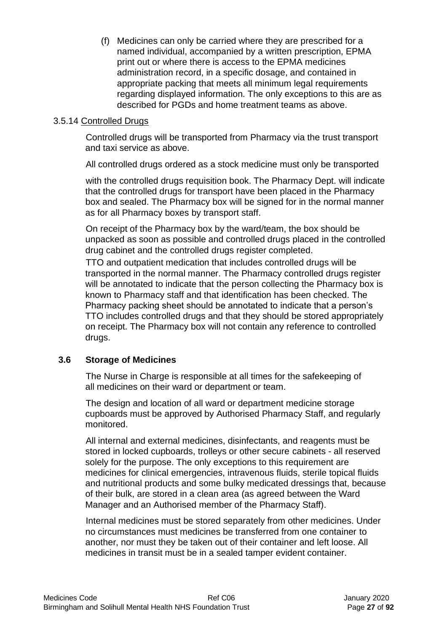(f) Medicines can only be carried where they are prescribed for a named individual, accompanied by a written prescription, EPMA print out or where there is access to the EPMA medicines administration record, in a specific dosage, and contained in appropriate packing that meets all minimum legal requirements regarding displayed information. The only exceptions to this are as described for PGDs and home treatment teams as above.

### 3.5.14 Controlled Drugs

Controlled drugs will be transported from Pharmacy via the trust transport and taxi service as above.

All controlled drugs ordered as a stock medicine must only be transported

with the controlled drugs requisition book. The Pharmacy Dept. will indicate that the controlled drugs for transport have been placed in the Pharmacy box and sealed. The Pharmacy box will be signed for in the normal manner as for all Pharmacy boxes by transport staff.

On receipt of the Pharmacy box by the ward/team, the box should be unpacked as soon as possible and controlled drugs placed in the controlled drug cabinet and the controlled drugs register completed.

TTO and outpatient medication that includes controlled drugs will be transported in the normal manner. The Pharmacy controlled drugs register will be annotated to indicate that the person collecting the Pharmacy box is known to Pharmacy staff and that identification has been checked. The Pharmacy packing sheet should be annotated to indicate that a person's TTO includes controlled drugs and that they should be stored appropriately on receipt. The Pharmacy box will not contain any reference to controlled drugs.

# **3.6 Storage of Medicines**

The Nurse in Charge is responsible at all times for the safekeeping of all medicines on their ward or department or team.

The design and location of all ward or department medicine storage cupboards must be approved by Authorised Pharmacy Staff, and regularly monitored.

All internal and external medicines, disinfectants, and reagents must be stored in locked cupboards, trolleys or other secure cabinets - all reserved solely for the purpose. The only exceptions to this requirement are medicines for clinical emergencies, intravenous fluids, sterile topical fluids and nutritional products and some bulky medicated dressings that, because of their bulk, are stored in a clean area (as agreed between the Ward Manager and an Authorised member of the Pharmacy Staff).

Internal medicines must be stored separately from other medicines. Under no circumstances must medicines be transferred from one container to another, nor must they be taken out of their container and left loose. All medicines in transit must be in a sealed tamper evident container.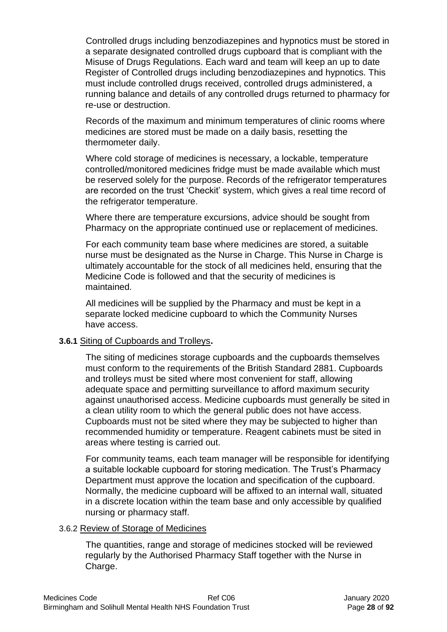Controlled drugs including benzodiazepines and hypnotics must be stored in a separate designated controlled drugs cupboard that is compliant with the Misuse of Drugs Regulations. Each ward and team will keep an up to date Register of Controlled drugs including benzodiazepines and hypnotics. This must include controlled drugs received, controlled drugs administered, a running balance and details of any controlled drugs returned to pharmacy for re-use or destruction.

Records of the maximum and minimum temperatures of clinic rooms where medicines are stored must be made on a daily basis, resetting the thermometer daily.

Where cold storage of medicines is necessary, a lockable, temperature controlled/monitored medicines fridge must be made available which must be reserved solely for the purpose. Records of the refrigerator temperatures are recorded on the trust 'Checkit' system, which gives a real time record of the refrigerator temperature.

Where there are temperature excursions, advice should be sought from Pharmacy on the appropriate continued use or replacement of medicines.

For each community team base where medicines are stored, a suitable nurse must be designated as the Nurse in Charge. This Nurse in Charge is ultimately accountable for the stock of all medicines held, ensuring that the Medicine Code is followed and that the security of medicines is maintained.

All medicines will be supplied by the Pharmacy and must be kept in a separate locked medicine cupboard to which the Community Nurses have access.

#### **3.6.1** Siting of Cupboards and Trolleys**.**

The siting of medicines storage cupboards and the cupboards themselves must conform to the requirements of the British Standard 2881. Cupboards and trolleys must be sited where most convenient for staff, allowing adequate space and permitting surveillance to afford maximum security against unauthorised access. Medicine cupboards must generally be sited in a clean utility room to which the general public does not have access. Cupboards must not be sited where they may be subjected to higher than recommended humidity or temperature. Reagent cabinets must be sited in areas where testing is carried out.

For community teams, each team manager will be responsible for identifying a suitable lockable cupboard for storing medication. The Trust's Pharmacy Department must approve the location and specification of the cupboard. Normally, the medicine cupboard will be affixed to an internal wall, situated in a discrete location within the team base and only accessible by qualified nursing or pharmacy staff.

#### 3.6.2 Review of Storage of Medicines

The quantities, range and storage of medicines stocked will be reviewed regularly by the Authorised Pharmacy Staff together with the Nurse in Charge.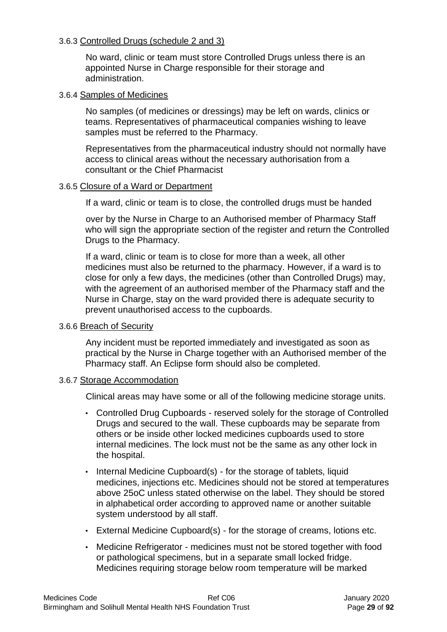#### 3.6.3 Controlled Drugs (schedule 2 and 3)

No ward, clinic or team must store Controlled Drugs unless there is an appointed Nurse in Charge responsible for their storage and administration.

#### 3.6.4 Samples of Medicines

No samples (of medicines or dressings) may be left on wards, clinics or teams. Representatives of pharmaceutical companies wishing to leave samples must be referred to the Pharmacy.

Representatives from the pharmaceutical industry should not normally have access to clinical areas without the necessary authorisation from a consultant or the Chief Pharmacist

#### 3.6.5 Closure of a Ward or Department

If a ward, clinic or team is to close, the controlled drugs must be handed

over by the Nurse in Charge to an Authorised member of Pharmacy Staff who will sign the appropriate section of the register and return the Controlled Drugs to the Pharmacy.

If a ward, clinic or team is to close for more than a week, all other medicines must also be returned to the pharmacy. However, if a ward is to close for only a few days, the medicines (other than Controlled Drugs) may, with the agreement of an authorised member of the Pharmacy staff and the Nurse in Charge, stay on the ward provided there is adequate security to prevent unauthorised access to the cupboards.

#### 3.6.6 Breach of Security

Any incident must be reported immediately and investigated as soon as practical by the Nurse in Charge together with an Authorised member of the Pharmacy staff. An Eclipse form should also be completed.

#### 3.6.7 Storage Accommodation

Clinical areas may have some or all of the following medicine storage units.

- Controlled Drug Cupboards reserved solely for the storage of Controlled Drugs and secured to the wall. These cupboards may be separate from others or be inside other locked medicines cupboards used to store internal medicines. The lock must not be the same as any other lock in the hospital.
- Internal Medicine Cupboard(s) for the storage of tablets, liquid medicines, injections etc. Medicines should not be stored at temperatures above 25oC unless stated otherwise on the label. They should be stored in alphabetical order according to approved name or another suitable system understood by all staff.
- External Medicine Cupboard(s) for the storage of creams, lotions etc.
- Medicine Refrigerator medicines must not be stored together with food or pathological specimens, but in a separate small locked fridge. Medicines requiring storage below room temperature will be marked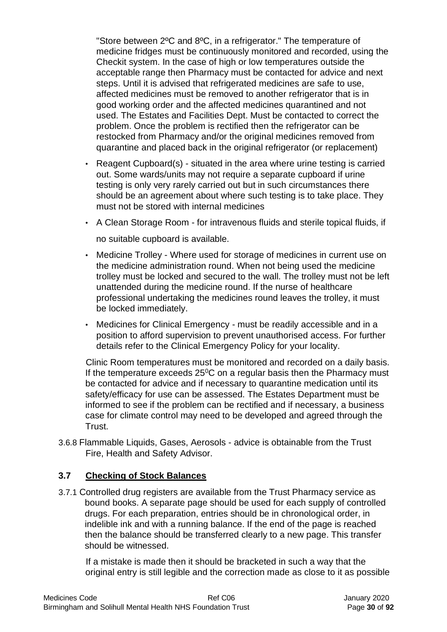"Store between 2ºC and 8ºC, in a refrigerator." The temperature of medicine fridges must be continuously monitored and recorded, using the Checkit system. In the case of high or low temperatures outside the acceptable range then Pharmacy must be contacted for advice and next steps. Until it is advised that refrigerated medicines are safe to use, affected medicines must be removed to another refrigerator that is in good working order and the affected medicines quarantined and not used. The Estates and Facilities Dept. Must be contacted to correct the problem. Once the problem is rectified then the refrigerator can be restocked from Pharmacy and/or the original medicines removed from quarantine and placed back in the original refrigerator (or replacement)

- Reagent Cupboard(s) situated in the area where urine testing is carried out. Some wards/units may not require a separate cupboard if urine testing is only very rarely carried out but in such circumstances there should be an agreement about where such testing is to take place. They must not be stored with internal medicines
- A Clean Storage Room for intravenous fluids and sterile topical fluids, if

no suitable cupboard is available.

- Medicine Trolley Where used for storage of medicines in current use on the medicine administration round. When not being used the medicine trolley must be locked and secured to the wall. The trolley must not be left unattended during the medicine round. If the nurse of healthcare professional undertaking the medicines round leaves the trolley, it must be locked immediately.
- Medicines for Clinical Emergency must be readily accessible and in a position to afford supervision to prevent unauthorised access. For further details refer to the Clinical Emergency Policy for your locality.

Clinic Room temperatures must be monitored and recorded on a daily basis. If the temperature exceeds  $25^{\circ}$ C on a regular basis then the Pharmacy must be contacted for advice and if necessary to quarantine medication until its safety/efficacy for use can be assessed. The Estates Department must be informed to see if the problem can be rectified and if necessary, a business case for climate control may need to be developed and agreed through the Trust.

3.6.8 Flammable Liquids, Gases, Aerosols - advice is obtainable from the Trust Fire, Health and Safety Advisor.

# **3.7 Checking of Stock Balances**

3.7.1 Controlled drug registers are available from the Trust Pharmacy service as bound books. A separate page should be used for each supply of controlled drugs. For each preparation, entries should be in chronological order, in indelible ink and with a running balance. If the end of the page is reached then the balance should be transferred clearly to a new page. This transfer should be witnessed.

If a mistake is made then it should be bracketed in such a way that the original entry is still legible and the correction made as close to it as possible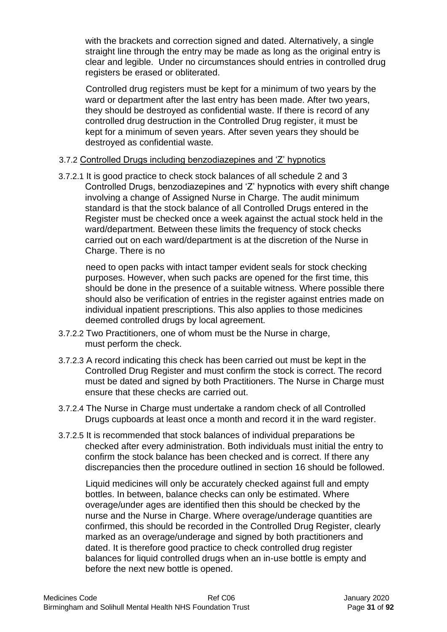with the brackets and correction signed and dated. Alternatively, a single straight line through the entry may be made as long as the original entry is clear and legible. Under no circumstances should entries in controlled drug registers be erased or obliterated.

Controlled drug registers must be kept for a minimum of two years by the ward or department after the last entry has been made. After two years, they should be destroyed as confidential waste. If there is record of any controlled drug destruction in the Controlled Drug register, it must be kept for a minimum of seven years. After seven years they should be destroyed as confidential waste.

#### 3.7.2 Controlled Drugs including benzodiazepines and 'Z' hypnotics

3.7.2.1 It is good practice to check stock balances of all schedule 2 and 3 Controlled Drugs, benzodiazepines and 'Z' hypnotics with every shift change involving a change of Assigned Nurse in Charge. The audit minimum standard is that the stock balance of all Controlled Drugs entered in the Register must be checked once a week against the actual stock held in the ward/department. Between these limits the frequency of stock checks carried out on each ward/department is at the discretion of the Nurse in Charge. There is no

need to open packs with intact tamper evident seals for stock checking purposes. However, when such packs are opened for the first time, this should be done in the presence of a suitable witness. Where possible there should also be verification of entries in the register against entries made on individual inpatient prescriptions. This also applies to those medicines deemed controlled drugs by local agreement.

- 3.7.2.2 Two Practitioners, one of whom must be the Nurse in charge, must perform the check.
- 3.7.2.3 A record indicating this check has been carried out must be kept in the Controlled Drug Register and must confirm the stock is correct. The record must be dated and signed by both Practitioners. The Nurse in Charge must ensure that these checks are carried out.
- 3.7.2.4 The Nurse in Charge must undertake a random check of all Controlled Drugs cupboards at least once a month and record it in the ward register.
- 3.7.2.5 It is recommended that stock balances of individual preparations be checked after every administration. Both individuals must initial the entry to confirm the stock balance has been checked and is correct. If there any discrepancies then the procedure outlined in section 16 should be followed.

Liquid medicines will only be accurately checked against full and empty bottles. In between, balance checks can only be estimated. Where overage/under ages are identified then this should be checked by the nurse and the Nurse in Charge. Where overage/underage quantities are confirmed, this should be recorded in the Controlled Drug Register, clearly marked as an overage/underage and signed by both practitioners and dated. It is therefore good practice to check controlled drug register balances for liquid controlled drugs when an in-use bottle is empty and before the next new bottle is opened.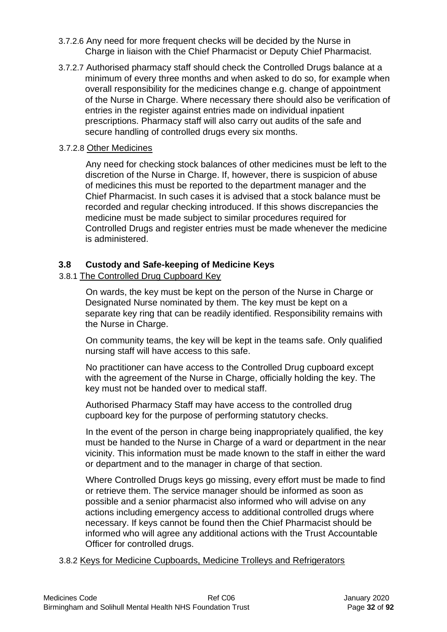- 3.7.2.6 Any need for more frequent checks will be decided by the Nurse in Charge in liaison with the Chief Pharmacist or Deputy Chief Pharmacist.
- 3.7.2.7 Authorised pharmacy staff should check the Controlled Drugs balance at a minimum of every three months and when asked to do so, for example when overall responsibility for the medicines change e.g. change of appointment of the Nurse in Charge. Where necessary there should also be verification of entries in the register against entries made on individual inpatient prescriptions. Pharmacy staff will also carry out audits of the safe and secure handling of controlled drugs every six months.

### 3.7.2.8 Other Medicines

Any need for checking stock balances of other medicines must be left to the discretion of the Nurse in Charge. If, however, there is suspicion of abuse of medicines this must be reported to the department manager and the Chief Pharmacist. In such cases it is advised that a stock balance must be recorded and regular checking introduced. If this shows discrepancies the medicine must be made subject to similar procedures required for Controlled Drugs and register entries must be made whenever the medicine is administered.

### **3.8 Custody and Safe-keeping of Medicine Keys**

# 3.8.1 The Controlled Drug Cupboard Key

On wards, the key must be kept on the person of the Nurse in Charge or Designated Nurse nominated by them. The key must be kept on a separate key ring that can be readily identified. Responsibility remains with the Nurse in Charge.

On community teams, the key will be kept in the teams safe. Only qualified nursing staff will have access to this safe.

No practitioner can have access to the Controlled Drug cupboard except with the agreement of the Nurse in Charge, officially holding the key. The key must not be handed over to medical staff.

Authorised Pharmacy Staff may have access to the controlled drug cupboard key for the purpose of performing statutory checks.

In the event of the person in charge being inappropriately qualified, the key must be handed to the Nurse in Charge of a ward or department in the near vicinity. This information must be made known to the staff in either the ward or department and to the manager in charge of that section.

Where Controlled Drugs keys go missing, every effort must be made to find or retrieve them. The service manager should be informed as soon as possible and a senior pharmacist also informed who will advise on any actions including emergency access to additional controlled drugs where necessary. If keys cannot be found then the Chief Pharmacist should be informed who will agree any additional actions with the Trust Accountable Officer for controlled drugs.

3.8.2 Keys for Medicine Cupboards, Medicine Trolleys and Refrigerators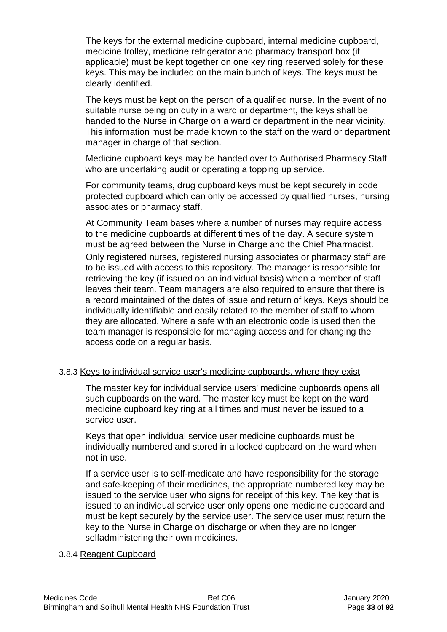The keys for the external medicine cupboard, internal medicine cupboard, medicine trolley, medicine refrigerator and pharmacy transport box (if applicable) must be kept together on one key ring reserved solely for these keys. This may be included on the main bunch of keys. The keys must be clearly identified.

The keys must be kept on the person of a qualified nurse. In the event of no suitable nurse being on duty in a ward or department, the keys shall be handed to the Nurse in Charge on a ward or department in the near vicinity. This information must be made known to the staff on the ward or department manager in charge of that section.

Medicine cupboard keys may be handed over to Authorised Pharmacy Staff who are undertaking audit or operating a topping up service.

For community teams, drug cupboard keys must be kept securely in code protected cupboard which can only be accessed by qualified nurses, nursing associates or pharmacy staff.

At Community Team bases where a number of nurses may require access to the medicine cupboards at different times of the day. A secure system must be agreed between the Nurse in Charge and the Chief Pharmacist.

Only registered nurses, registered nursing associates or pharmacy staff are to be issued with access to this repository. The manager is responsible for retrieving the key (if issued on an individual basis) when a member of staff leaves their team. Team managers are also required to ensure that there is a record maintained of the dates of issue and return of keys. Keys should be individually identifiable and easily related to the member of staff to whom they are allocated. Where a safe with an electronic code is used then the team manager is responsible for managing access and for changing the access code on a regular basis.

#### 3.8.3 Keys to individual service user's medicine cupboards, where they exist

The master key for individual service users' medicine cupboards opens all such cupboards on the ward. The master key must be kept on the ward medicine cupboard key ring at all times and must never be issued to a service user.

Keys that open individual service user medicine cupboards must be individually numbered and stored in a locked cupboard on the ward when not in use.

If a service user is to self-medicate and have responsibility for the storage and safe-keeping of their medicines, the appropriate numbered key may be issued to the service user who signs for receipt of this key. The key that is issued to an individual service user only opens one medicine cupboard and must be kept securely by the service user. The service user must return the key to the Nurse in Charge on discharge or when they are no longer selfadministering their own medicines.

#### 3.8.4 Reagent Cupboard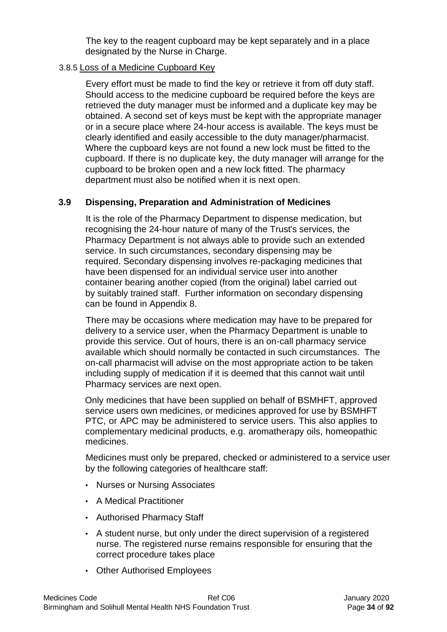The key to the reagent cupboard may be kept separately and in a place designated by the Nurse in Charge.

## 3.8.5 Loss of a Medicine Cupboard Key

Every effort must be made to find the key or retrieve it from off duty staff. Should access to the medicine cupboard be required before the keys are retrieved the duty manager must be informed and a duplicate key may be obtained. A second set of keys must be kept with the appropriate manager or in a secure place where 24-hour access is available. The keys must be clearly identified and easily accessible to the duty manager/pharmacist. Where the cupboard keys are not found a new lock must be fitted to the cupboard. If there is no duplicate key, the duty manager will arrange for the cupboard to be broken open and a new lock fitted. The pharmacy department must also be notified when it is next open.

# **3.9 Dispensing, Preparation and Administration of Medicines**

It is the role of the Pharmacy Department to dispense medication, but recognising the 24-hour nature of many of the Trust's services, the Pharmacy Department is not always able to provide such an extended service. In such circumstances, secondary dispensing may be required. Secondary dispensing involves re-packaging medicines that have been dispensed for an individual service user into another container bearing another copied (from the original) label carried out by suitably trained staff. Further information on secondary dispensing can be found in Appendix 8.

There may be occasions where medication may have to be prepared for delivery to a service user, when the Pharmacy Department is unable to provide this service. Out of hours, there is an on-call pharmacy service available which should normally be contacted in such circumstances. The on-call pharmacist will advise on the most appropriate action to be taken including supply of medication if it is deemed that this cannot wait until Pharmacy services are next open.

Only medicines that have been supplied on behalf of BSMHFT, approved service users own medicines, or medicines approved for use by BSMHFT PTC, or APC may be administered to service users. This also applies to complementary medicinal products, e.g. aromatherapy oils, homeopathic medicines.

Medicines must only be prepared, checked or administered to a service user by the following categories of healthcare staff:

- Nurses or Nursing Associates
- A Medical Practitioner
- Authorised Pharmacy Staff
- A student nurse, but only under the direct supervision of a registered nurse. The registered nurse remains responsible for ensuring that the correct procedure takes place
- Other Authorised Employees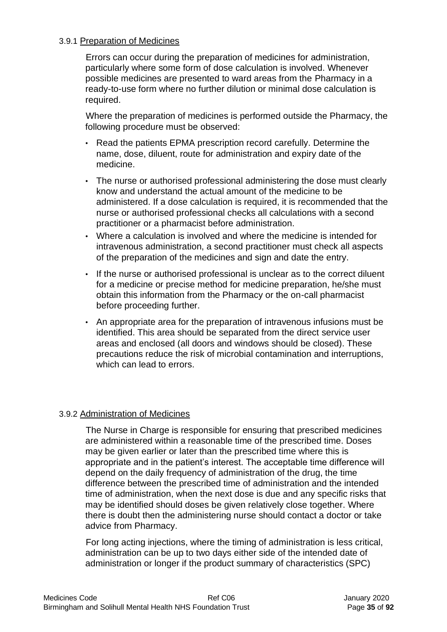#### 3.9.1 Preparation of Medicines

Errors can occur during the preparation of medicines for administration, particularly where some form of dose calculation is involved. Whenever possible medicines are presented to ward areas from the Pharmacy in a ready-to-use form where no further dilution or minimal dose calculation is required.

Where the preparation of medicines is performed outside the Pharmacy, the following procedure must be observed:

- Read the patients EPMA prescription record carefully. Determine the name, dose, diluent, route for administration and expiry date of the medicine.
- The nurse or authorised professional administering the dose must clearly know and understand the actual amount of the medicine to be administered. If a dose calculation is required, it is recommended that the nurse or authorised professional checks all calculations with a second practitioner or a pharmacist before administration.
- Where a calculation is involved and where the medicine is intended for intravenous administration, a second practitioner must check all aspects of the preparation of the medicines and sign and date the entry.
- If the nurse or authorised professional is unclear as to the correct diluent for a medicine or precise method for medicine preparation, he/she must obtain this information from the Pharmacy or the on-call pharmacist before proceeding further.
- An appropriate area for the preparation of intravenous infusions must be identified. This area should be separated from the direct service user areas and enclosed (all doors and windows should be closed). These precautions reduce the risk of microbial contamination and interruptions, which can lead to errors.

#### 3.9.2 Administration of Medicines

The Nurse in Charge is responsible for ensuring that prescribed medicines are administered within a reasonable time of the prescribed time. Doses may be given earlier or later than the prescribed time where this is appropriate and in the patient's interest. The acceptable time difference will depend on the daily frequency of administration of the drug, the time difference between the prescribed time of administration and the intended time of administration, when the next dose is due and any specific risks that may be identified should doses be given relatively close together. Where there is doubt then the administering nurse should contact a doctor or take advice from Pharmacy.

For long acting injections, where the timing of administration is less critical, administration can be up to two days either side of the intended date of administration or longer if the product summary of characteristics (SPC)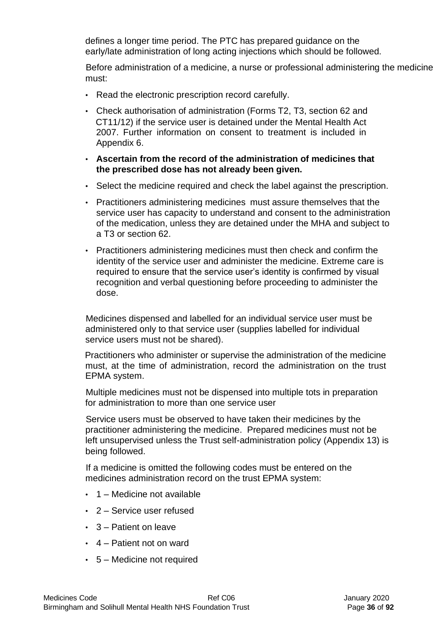defines a longer time period. The PTC has prepared guidance on the early/late administration of long acting injections which should be followed.

Before administration of a medicine, a nurse or professional administering the medicine must:

- Read the electronic prescription record carefully.
- Check authorisation of administration (Forms T2, T3, section 62 and CT11/12) if the service user is detained under the Mental Health Act 2007. Further information on consent to treatment is included in Appendix 6.
- **Ascertain from the record of the administration of medicines that the prescribed dose has not already been given.**
- Select the medicine required and check the label against the prescription.
- Practitioners administering medicines must assure themselves that the service user has capacity to understand and consent to the administration of the medication, unless they are detained under the MHA and subject to a T3 or section 62.
- Practitioners administering medicines must then check and confirm the identity of the service user and administer the medicine. Extreme care is required to ensure that the service user's identity is confirmed by visual recognition and verbal questioning before proceeding to administer the dose.

Medicines dispensed and labelled for an individual service user must be administered only to that service user (supplies labelled for individual service users must not be shared).

Practitioners who administer or supervise the administration of the medicine must, at the time of administration, record the administration on the trust EPMA system.

Multiple medicines must not be dispensed into multiple tots in preparation for administration to more than one service user

Service users must be observed to have taken their medicines by the practitioner administering the medicine. Prepared medicines must not be left unsupervised unless the Trust self-administration policy (Appendix 13) is being followed.

If a medicine is omitted the following codes must be entered on the medicines administration record on the trust EPMA system:

- 1 Medicine not available
- 2 Service user refused
- 3 Patient on leave
- 4 Patient not on ward
- 5 Medicine not required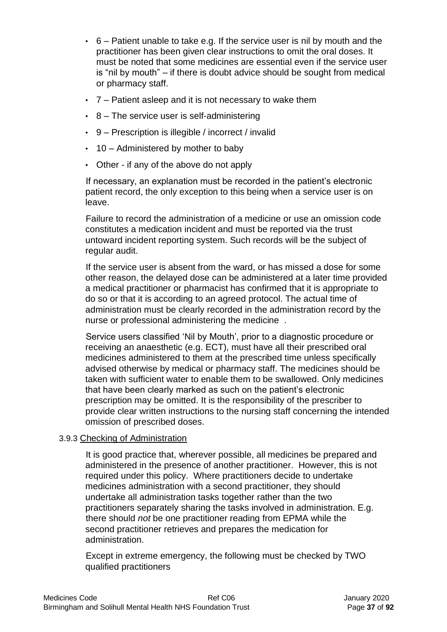- $\cdot$  6 Patient unable to take e.g. If the service user is nil by mouth and the practitioner has been given clear instructions to omit the oral doses. It must be noted that some medicines are essential even if the service user is "nil by mouth" – if there is doubt advice should be sought from medical or pharmacy staff.
- 7 Patient asleep and it is not necessary to wake them
- $\cdot$  8 The service user is self-administering
- 9 Prescription is illegible / incorrect / invalid
- $\cdot$  10 Administered by mother to baby
- Other if any of the above do not apply

If necessary, an explanation must be recorded in the patient's electronic patient record, the only exception to this being when a service user is on leave.

Failure to record the administration of a medicine or use an omission code constitutes a medication incident and must be reported via the trust untoward incident reporting system. Such records will be the subject of regular audit.

If the service user is absent from the ward, or has missed a dose for some other reason, the delayed dose can be administered at a later time provided a medical practitioner or pharmacist has confirmed that it is appropriate to do so or that it is according to an agreed protocol. The actual time of administration must be clearly recorded in the administration record by the nurse or professional administering the medicine .

Service users classified 'Nil by Mouth', prior to a diagnostic procedure or receiving an anaesthetic (e.g. ECT), must have all their prescribed oral medicines administered to them at the prescribed time unless specifically advised otherwise by medical or pharmacy staff. The medicines should be taken with sufficient water to enable them to be swallowed. Only medicines that have been clearly marked as such on the patient's electronic prescription may be omitted. It is the responsibility of the prescriber to provide clear written instructions to the nursing staff concerning the intended omission of prescribed doses.

### 3.9.3 Checking of Administration

It is good practice that, wherever possible, all medicines be prepared and administered in the presence of another practitioner. However, this is not required under this policy. Where practitioners decide to undertake medicines administration with a second practitioner, they should undertake all administration tasks together rather than the two practitioners separately sharing the tasks involved in administration. E.g. there should *not* be one practitioner reading from EPMA while the second practitioner retrieves and prepares the medication for administration.

Except in extreme emergency, the following must be checked by TWO qualified practitioners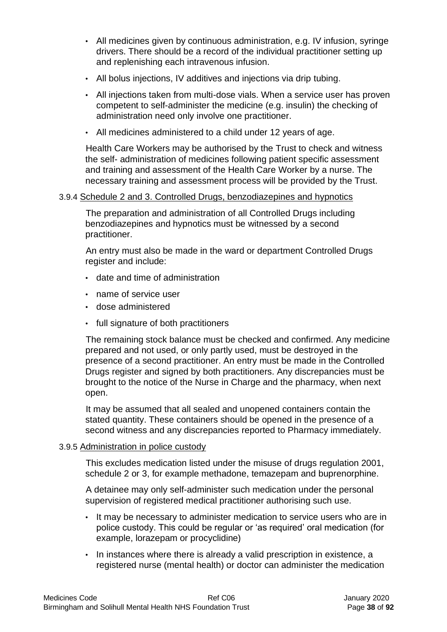- All medicines given by continuous administration, e.g. IV infusion, syringe drivers. There should be a record of the individual practitioner setting up and replenishing each intravenous infusion.
- All bolus injections, IV additives and injections via drip tubing.
- All injections taken from multi-dose vials. When a service user has proven competent to self-administer the medicine (e.g. insulin) the checking of administration need only involve one practitioner.
- All medicines administered to a child under 12 years of age.

Health Care Workers may be authorised by the Trust to check and witness the self- administration of medicines following patient specific assessment and training and assessment of the Health Care Worker by a nurse. The necessary training and assessment process will be provided by the Trust.

### 3.9.4 Schedule 2 and 3. Controlled Drugs, benzodiazepines and hypnotics

The preparation and administration of all Controlled Drugs including benzodiazepines and hypnotics must be witnessed by a second practitioner.

An entry must also be made in the ward or department Controlled Drugs register and include:

- date and time of administration
- name of service user
- dose administered
- full signature of both practitioners

The remaining stock balance must be checked and confirmed. Any medicine prepared and not used, or only partly used, must be destroyed in the presence of a second practitioner. An entry must be made in the Controlled Drugs register and signed by both practitioners. Any discrepancies must be brought to the notice of the Nurse in Charge and the pharmacy, when next open.

It may be assumed that all sealed and unopened containers contain the stated quantity. These containers should be opened in the presence of a second witness and any discrepancies reported to Pharmacy immediately.

### 3.9.5 Administration in police custody

This excludes medication listed under the misuse of drugs regulation 2001, schedule 2 or 3, for example methadone, temazepam and buprenorphine.

A detainee may only self-administer such medication under the personal supervision of registered medical practitioner authorising such use.

- It may be necessary to administer medication to service users who are in police custody. This could be regular or 'as required' oral medication (for example, lorazepam or procyclidine)
- In instances where there is already a valid prescription in existence, a registered nurse (mental health) or doctor can administer the medication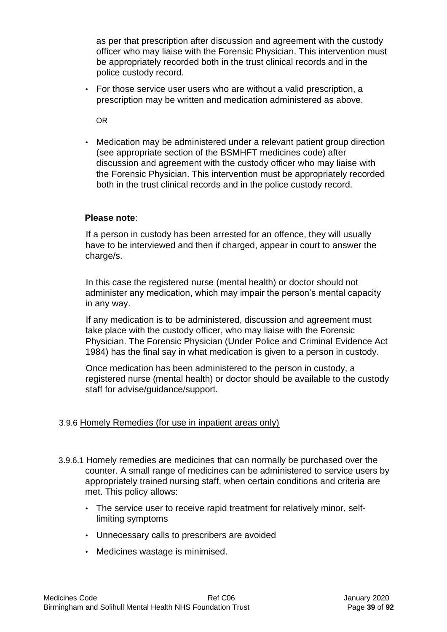as per that prescription after discussion and agreement with the custody officer who may liaise with the Forensic Physician. This intervention must be appropriately recorded both in the trust clinical records and in the police custody record.

• For those service user users who are without a valid prescription, a prescription may be written and medication administered as above.

OR

• Medication may be administered under a relevant patient group direction (see appropriate section of the BSMHFT medicines code) after discussion and agreement with the custody officer who may liaise with the Forensic Physician. This intervention must be appropriately recorded both in the trust clinical records and in the police custody record.

### **Please note**:

If a person in custody has been arrested for an offence, they will usually have to be interviewed and then if charged, appear in court to answer the charge/s.

In this case the registered nurse (mental health) or doctor should not administer any medication, which may impair the person's mental capacity in any way.

If any medication is to be administered, discussion and agreement must take place with the custody officer, who may liaise with the Forensic Physician. The Forensic Physician (Under Police and Criminal Evidence Act 1984) has the final say in what medication is given to a person in custody.

Once medication has been administered to the person in custody, a registered nurse (mental health) or doctor should be available to the custody staff for advise/guidance/support.

## 3.9.6 Homely Remedies (for use in inpatient areas only)

- 3.9.6.1 Homely remedies are medicines that can normally be purchased over the counter. A small range of medicines can be administered to service users by appropriately trained nursing staff, when certain conditions and criteria are met. This policy allows:
	- The service user to receive rapid treatment for relatively minor, selflimiting symptoms
	- Unnecessary calls to prescribers are avoided
	- Medicines wastage is minimised.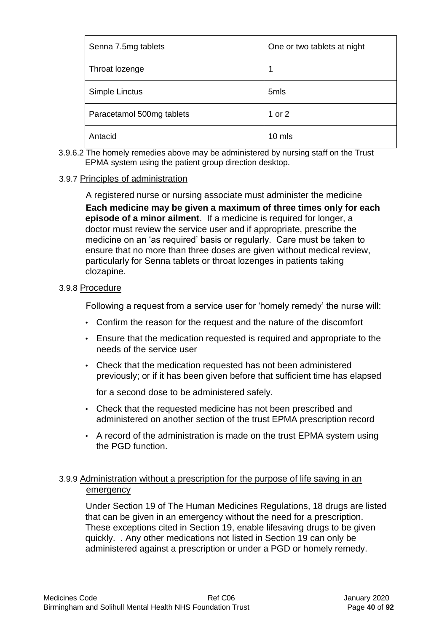| Senna 7.5mg tablets       | One or two tablets at night |
|---------------------------|-----------------------------|
| Throat lozenge            | 1                           |
| Simple Linctus            | 5mls                        |
| Paracetamol 500mg tablets | 1 or 2                      |
| Antacid                   | 10 mls                      |

3.9.6.2 The homely remedies above may be administered by nursing staff on the Trust EPMA system using the patient group direction desktop.

#### 3.9.7 Principles of administration

A registered nurse or nursing associate must administer the medicine

**Each medicine may be given a maximum of three times only for each episode of a minor ailment**. If a medicine is required for longer, a doctor must review the service user and if appropriate, prescribe the medicine on an 'as required' basis or regularly. Care must be taken to ensure that no more than three doses are given without medical review, particularly for Senna tablets or throat lozenges in patients taking clozapine.

#### 3.9.8 Procedure

Following a request from a service user for 'homely remedy' the nurse will:

- Confirm the reason for the request and the nature of the discomfort
- Ensure that the medication requested is required and appropriate to the needs of the service user
- Check that the medication requested has not been administered previously; or if it has been given before that sufficient time has elapsed

for a second dose to be administered safely.

- Check that the requested medicine has not been prescribed and administered on another section of the trust EPMA prescription record
- A record of the administration is made on the trust EPMA system using the PGD function.

## 3.9.9 Administration without a prescription for the purpose of life saving in an emergency

Under Section 19 of The Human Medicines Regulations, 18 drugs are listed that can be given in an emergency without the need for a prescription. These exceptions cited in Section 19, enable lifesaving drugs to be given quickly. . Any other medications not listed in Section 19 can only be administered against a prescription or under a PGD or homely remedy.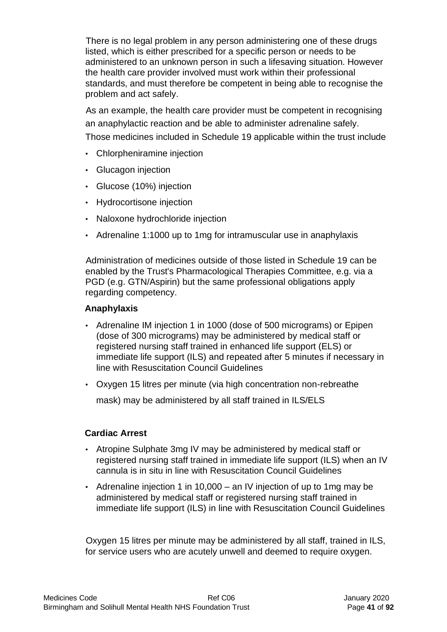There is no legal problem in any person administering one of these drugs listed, which is either prescribed for a specific person or needs to be administered to an unknown person in such a lifesaving situation. However the health care provider involved must work within their professional standards, and must therefore be competent in being able to recognise the problem and act safely.

As an example, the health care provider must be competent in recognising an anaphylactic reaction and be able to administer adrenaline safely. Those medicines included in Schedule 19 applicable within the trust include

- Chlorpheniramine injection
- Glucagon injection
- Glucose (10%) injection
- Hydrocortisone injection
- Naloxone hydrochloride injection
- Adrenaline 1:1000 up to 1mg for intramuscular use in anaphylaxis

Administration of medicines outside of those listed in Schedule 19 can be enabled by the Trust's Pharmacological Therapies Committee, e.g. via a PGD (e.g. GTN/Aspirin) but the same professional obligations apply regarding competency.

### **Anaphylaxis**

- Adrenaline IM injection 1 in 1000 (dose of 500 micrograms) or Epipen (dose of 300 micrograms) may be administered by medical staff or registered nursing staff trained in enhanced life support (ELS) or immediate life support (ILS) and repeated after 5 minutes if necessary in line with Resuscitation Council Guidelines
- Oxygen 15 litres per minute (via high concentration non-rebreathe

mask) may be administered by all staff trained in ILS/ELS

## **Cardiac Arrest**

- Atropine Sulphate 3mg IV may be administered by medical staff or registered nursing staff trained in immediate life support (ILS) when an IV cannula is in situ in line with Resuscitation Council Guidelines
- Adrenaline injection 1 in 10,000 an IV injection of up to 1mg may be administered by medical staff or registered nursing staff trained in immediate life support (ILS) in line with Resuscitation Council Guidelines

Oxygen 15 litres per minute may be administered by all staff, trained in ILS, for service users who are acutely unwell and deemed to require oxygen.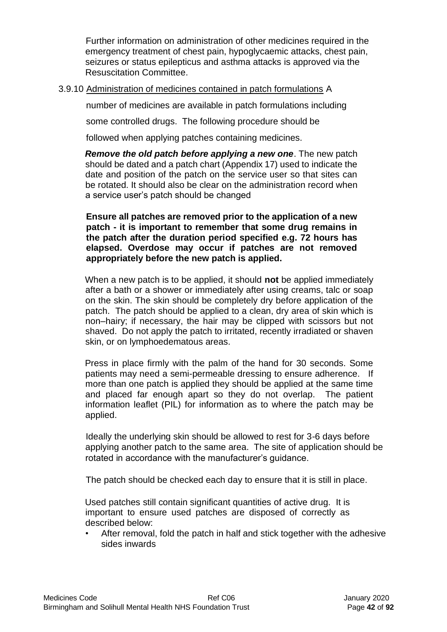Further information on administration of other medicines required in the emergency treatment of chest pain, hypoglycaemic attacks, chest pain, seizures or status epilepticus and asthma attacks is approved via the Resuscitation Committee.

### 3.9.10 Administration of medicines contained in patch formulations A

number of medicines are available in patch formulations including

some controlled drugs. The following procedure should be

followed when applying patches containing medicines.

*Remove the old patch before applying a new one*. The new patch should be dated and a patch chart (Appendix 17) used to indicate the date and position of the patch on the service user so that sites can be rotated. It should also be clear on the administration record when a service user's patch should be changed

**Ensure all patches are removed prior to the application of a new patch - it is important to remember that some drug remains in the patch after the duration period specified e.g. 72 hours has elapsed. Overdose may occur if patches are not removed appropriately before the new patch is applied.** 

When a new patch is to be applied, it should **not** be applied immediately after a bath or a shower or immediately after using creams, talc or soap on the skin. The skin should be completely dry before application of the patch. The patch should be applied to a clean, dry area of skin which is non–hairy; if necessary, the hair may be clipped with scissors but not shaved. Do not apply the patch to irritated, recently irradiated or shaven skin, or on lymphoedematous areas.

Press in place firmly with the palm of the hand for 30 seconds. Some patients may need a semi-permeable dressing to ensure adherence. If more than one patch is applied they should be applied at the same time and placed far enough apart so they do not overlap. The patient information leaflet (PIL) for information as to where the patch may be applied.

Ideally the underlying skin should be allowed to rest for 3-6 days before applying another patch to the same area. The site of application should be rotated in accordance with the manufacturer's guidance.

The patch should be checked each day to ensure that it is still in place.

Used patches still contain significant quantities of active drug. It is important to ensure used patches are disposed of correctly as described below:

• After removal, fold the patch in half and stick together with the adhesive sides inwards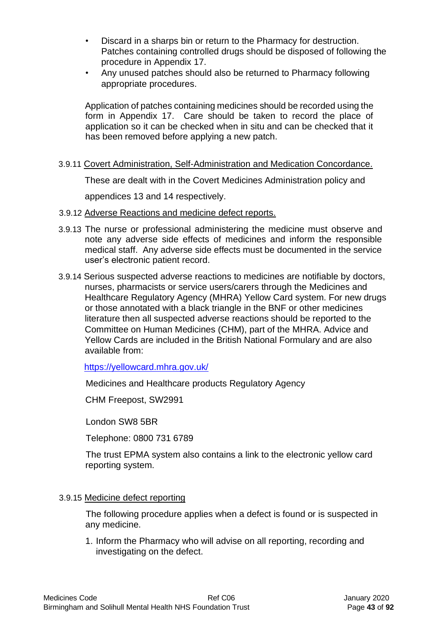- Discard in a sharps bin or return to the Pharmacy for destruction. Patches containing controlled drugs should be disposed of following the procedure in Appendix 17.
- Any unused patches should also be returned to Pharmacy following appropriate procedures.

Application of patches containing medicines should be recorded using the form in Appendix 17. Care should be taken to record the place of application so it can be checked when in situ and can be checked that it has been removed before applying a new patch.

3.9.11 Covert Administration, Self-Administration and Medication Concordance.

These are dealt with in the Covert Medicines Administration policy and

appendices 13 and 14 respectively.

- 3.9.12 Adverse Reactions and medicine defect reports.
- 3.9.13 The nurse or professional administering the medicine must observe and note any adverse side effects of medicines and inform the responsible medical staff. Any adverse side effects must be documented in the service user's electronic patient record.
- 3.9.14 Serious suspected adverse reactions to medicines are notifiable by doctors, nurses, pharmacists or service users/carers through the Medicines and Healthcare Regulatory Agency (MHRA) Yellow Card system. For new drugs or those annotated with a black triangle in the BNF or other medicines literature then all suspected adverse reactions should be reported to the Committee on Human Medicines (CHM), part of the MHRA. Advice and Yellow Cards are included in the British National Formulary and are also available from:

<https://yellowcard.mhra.gov.uk/>

Medicines and Healthcare products Regulatory Agency

CHM Freepost, SW2991

London SW8 5BR

Telephone: 0800 731 6789

The trust EPMA system also contains a link to the electronic yellow card reporting system.

#### 3.9.15 Medicine defect reporting

The following procedure applies when a defect is found or is suspected in any medicine.

1. Inform the Pharmacy who will advise on all reporting, recording and investigating on the defect.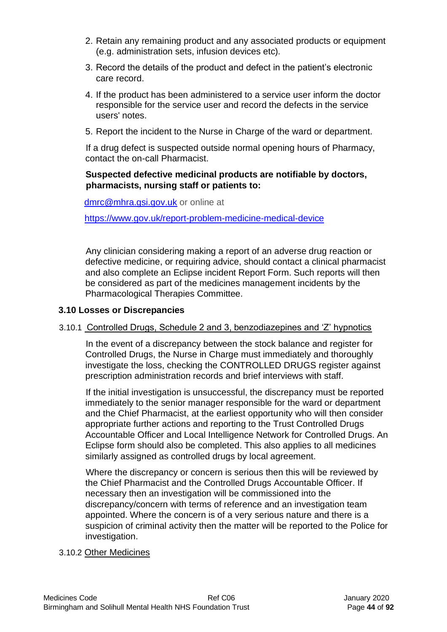- 2. Retain any remaining product and any associated products or equipment (e.g. administration sets, infusion devices etc).
- 3. Record the details of the product and defect in the patient's electronic care record.
- 4. If the product has been administered to a service user inform the doctor responsible for the service user and record the defects in the service users' notes.
- 5. Report the incident to the Nurse in Charge of the ward or department.

If a drug defect is suspected outside normal opening hours of Pharmacy, contact the on-call Pharmacist.

### **Suspected defective medicinal products are notifiable by doctors, pharmacists, nursing staff or patients to:**

dmrc@mhra.gsi.gov.uk or online at

<https://www.gov.uk/report-problem-medicine-medical-device>

Any clinician considering making a report of an adverse drug reaction or defective medicine, or requiring advice, should contact a clinical pharmacist and also complete an Eclipse incident Report Form. Such reports will then be considered as part of the medicines management incidents by the Pharmacological Therapies Committee.

### **3.10 Losses or Discrepancies**

### 3.10.1 Controlled Drugs, Schedule 2 and 3, benzodiazepines and 'Z' hypnotics

In the event of a discrepancy between the stock balance and register for Controlled Drugs, the Nurse in Charge must immediately and thoroughly investigate the loss, checking the CONTROLLED DRUGS register against prescription administration records and brief interviews with staff.

If the initial investigation is unsuccessful, the discrepancy must be reported immediately to the senior manager responsible for the ward or department and the Chief Pharmacist, at the earliest opportunity who will then consider appropriate further actions and reporting to the Trust Controlled Drugs Accountable Officer and Local Intelligence Network for Controlled Drugs. An Eclipse form should also be completed. This also applies to all medicines similarly assigned as controlled drugs by local agreement.

Where the discrepancy or concern is serious then this will be reviewed by the Chief Pharmacist and the Controlled Drugs Accountable Officer. If necessary then an investigation will be commissioned into the discrepancy/concern with terms of reference and an investigation team appointed. Where the concern is of a very serious nature and there is a suspicion of criminal activity then the matter will be reported to the Police for investigation.

### 3.10.2 Other Medicines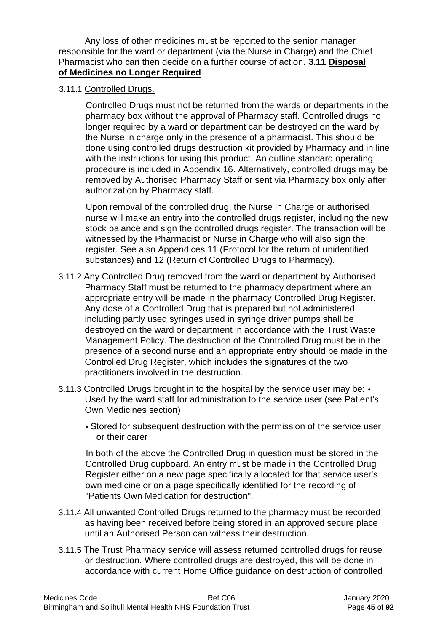Any loss of other medicines must be reported to the senior manager responsible for the ward or department (via the Nurse in Charge) and the Chief Pharmacist who can then decide on a further course of action. **3.11 Disposal of Medicines no Longer Required**

3.11.1 Controlled Drugs.

Controlled Drugs must not be returned from the wards or departments in the pharmacy box without the approval of Pharmacy staff. Controlled drugs no longer required by a ward or department can be destroyed on the ward by the Nurse in charge only in the presence of a pharmacist. This should be done using controlled drugs destruction kit provided by Pharmacy and in line with the instructions for using this product. An outline standard operating procedure is included in Appendix 16. Alternatively, controlled drugs may be removed by Authorised Pharmacy Staff or sent via Pharmacy box only after authorization by Pharmacy staff.

Upon removal of the controlled drug, the Nurse in Charge or authorised nurse will make an entry into the controlled drugs register, including the new stock balance and sign the controlled drugs register. The transaction will be witnessed by the Pharmacist or Nurse in Charge who will also sign the register. See also Appendices 11 (Protocol for the return of unidentified substances) and 12 (Return of Controlled Drugs to Pharmacy).

- 3.11.2 Any Controlled Drug removed from the ward or department by Authorised Pharmacy Staff must be returned to the pharmacy department where an appropriate entry will be made in the pharmacy Controlled Drug Register. Any dose of a Controlled Drug that is prepared but not administered, including partly used syringes used in syringe driver pumps shall be destroyed on the ward or department in accordance with the Trust Waste Management Policy. The destruction of the Controlled Drug must be in the presence of a second nurse and an appropriate entry should be made in the Controlled Drug Register, which includes the signatures of the two practitioners involved in the destruction.
- 3.11.3 Controlled Drugs brought in to the hospital by the service user may be: Used by the ward staff for administration to the service user (see Patient's Own Medicines section)
	- Stored for subsequent destruction with the permission of the service user or their carer

In both of the above the Controlled Drug in question must be stored in the Controlled Drug cupboard. An entry must be made in the Controlled Drug Register either on a new page specifically allocated for that service user's own medicine or on a page specifically identified for the recording of "Patients Own Medication for destruction".

- 3.11.4 All unwanted Controlled Drugs returned to the pharmacy must be recorded as having been received before being stored in an approved secure place until an Authorised Person can witness their destruction.
- 3.11.5 The Trust Pharmacy service will assess returned controlled drugs for reuse or destruction. Where controlled drugs are destroyed, this will be done in accordance with current Home Office guidance on destruction of controlled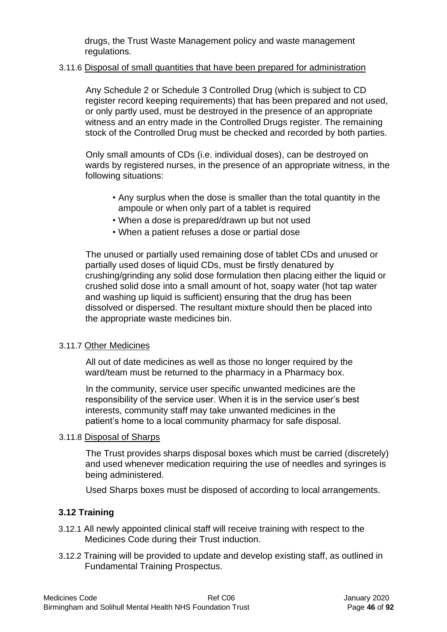drugs, the Trust Waste Management policy and waste management regulations.

### 3.11.6 Disposal of small quantities that have been prepared for administration

Any Schedule 2 or Schedule 3 Controlled Drug (which is subject to CD register record keeping requirements) that has been prepared and not used, or only partly used, must be destroyed in the presence of an appropriate witness and an entry made in the Controlled Drugs register. The remaining stock of the Controlled Drug must be checked and recorded by both parties.

Only small amounts of CDs (i.e. individual doses), can be destroyed on wards by registered nurses, in the presence of an appropriate witness, in the following situations:

- Any surplus when the dose is smaller than the total quantity in the ampoule or when only part of a tablet is required
- When a dose is prepared/drawn up but not used
- When a patient refuses a dose or partial dose

The unused or partially used remaining dose of tablet CDs and unused or partially used doses of liquid CDs, must be firstly denatured by crushing/grinding any solid dose formulation then placing either the liquid or crushed solid dose into a small amount of hot, soapy water (hot tap water and washing up liquid is sufficient) ensuring that the drug has been dissolved or dispersed. The resultant mixture should then be placed into the appropriate waste medicines bin.

## 3.11.7 Other Medicines

All out of date medicines as well as those no longer required by the ward/team must be returned to the pharmacy in a Pharmacy box.

In the community, service user specific unwanted medicines are the responsibility of the service user. When it is in the service user's best interests, community staff may take unwanted medicines in the patient's home to a local community pharmacy for safe disposal.

### 3.11.8 Disposal of Sharps

The Trust provides sharps disposal boxes which must be carried (discretely) and used whenever medication requiring the use of needles and syringes is being administered.

Used Sharps boxes must be disposed of according to local arrangements.

# **3.12 Training**

- 3.12.1 All newly appointed clinical staff will receive training with respect to the Medicines Code during their Trust induction.
- 3.12.2 Training will be provided to update and develop existing staff, as outlined in Fundamental Training Prospectus.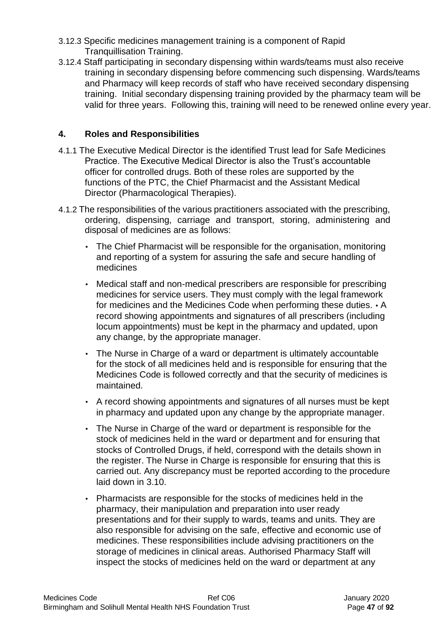- 3.12.3 Specific medicines management training is a component of Rapid Tranquillisation Training.
- 3.12.4 Staff participating in secondary dispensing within wards/teams must also receive training in secondary dispensing before commencing such dispensing. Wards/teams and Pharmacy will keep records of staff who have received secondary dispensing training. Initial secondary dispensing training provided by the pharmacy team will be valid for three years. Following this, training will need to be renewed online every year.

## **4. Roles and Responsibilities**

- 4.1.1 The Executive Medical Director is the identified Trust lead for Safe Medicines Practice. The Executive Medical Director is also the Trust's accountable officer for controlled drugs. Both of these roles are supported by the functions of the PTC, the Chief Pharmacist and the Assistant Medical Director (Pharmacological Therapies).
- 4.1.2 The responsibilities of the various practitioners associated with the prescribing, ordering, dispensing, carriage and transport, storing, administering and disposal of medicines are as follows:
	- The Chief Pharmacist will be responsible for the organisation, monitoring and reporting of a system for assuring the safe and secure handling of medicines
	- Medical staff and non-medical prescribers are responsible for prescribing medicines for service users. They must comply with the legal framework for medicines and the Medicines Code when performing these duties. • A record showing appointments and signatures of all prescribers (including locum appointments) must be kept in the pharmacy and updated, upon any change, by the appropriate manager.
	- The Nurse in Charge of a ward or department is ultimately accountable for the stock of all medicines held and is responsible for ensuring that the Medicines Code is followed correctly and that the security of medicines is maintained.
	- A record showing appointments and signatures of all nurses must be kept in pharmacy and updated upon any change by the appropriate manager.
	- The Nurse in Charge of the ward or department is responsible for the stock of medicines held in the ward or department and for ensuring that stocks of Controlled Drugs, if held, correspond with the details shown in the register. The Nurse in Charge is responsible for ensuring that this is carried out. Any discrepancy must be reported according to the procedure laid down in 3.10.
	- Pharmacists are responsible for the stocks of medicines held in the pharmacy, their manipulation and preparation into user ready presentations and for their supply to wards, teams and units. They are also responsible for advising on the safe, effective and economic use of medicines. These responsibilities include advising practitioners on the storage of medicines in clinical areas. Authorised Pharmacy Staff will inspect the stocks of medicines held on the ward or department at any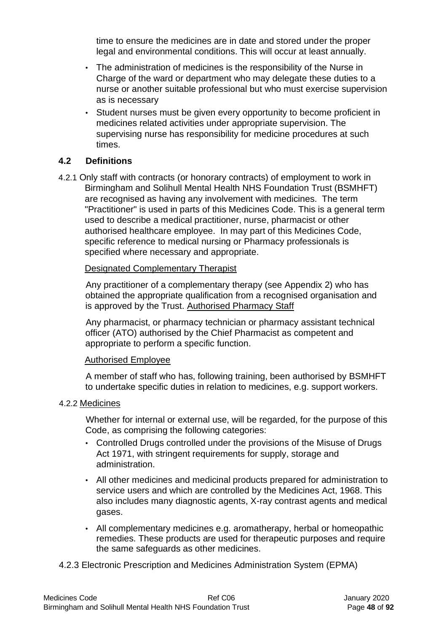time to ensure the medicines are in date and stored under the proper legal and environmental conditions. This will occur at least annually.

- The administration of medicines is the responsibility of the Nurse in Charge of the ward or department who may delegate these duties to a nurse or another suitable professional but who must exercise supervision as is necessary
- Student nurses must be given every opportunity to become proficient in medicines related activities under appropriate supervision. The supervising nurse has responsibility for medicine procedures at such times.

### **4.2 Definitions**

4.2.1 Only staff with contracts (or honorary contracts) of employment to work in Birmingham and Solihull Mental Health NHS Foundation Trust (BSMHFT) are recognised as having any involvement with medicines. The term "Practitioner" is used in parts of this Medicines Code. This is a general term used to describe a medical practitioner, nurse, pharmacist or other authorised healthcare employee. In may part of this Medicines Code, specific reference to medical nursing or Pharmacy professionals is specified where necessary and appropriate.

#### Designated Complementary Therapist

Any practitioner of a complementary therapy (see Appendix 2) who has obtained the appropriate qualification from a recognised organisation and is approved by the Trust. Authorised Pharmacy Staff

Any pharmacist, or pharmacy technician or pharmacy assistant technical officer (ATO) authorised by the Chief Pharmacist as competent and appropriate to perform a specific function.

### Authorised Employee

A member of staff who has, following training, been authorised by BSMHFT to undertake specific duties in relation to medicines, e.g. support workers.

### 4.2.2 Medicines

Whether for internal or external use, will be regarded, for the purpose of this Code, as comprising the following categories:

- Controlled Drugs controlled under the provisions of the Misuse of Drugs Act 1971, with stringent requirements for supply, storage and administration.
- All other medicines and medicinal products prepared for administration to service users and which are controlled by the Medicines Act, 1968. This also includes many diagnostic agents, X-ray contrast agents and medical gases.
- All complementary medicines e.g. aromatherapy, herbal or homeopathic remedies. These products are used for therapeutic purposes and require the same safeguards as other medicines.

### 4.2.3 Electronic Prescription and Medicines Administration System (EPMA)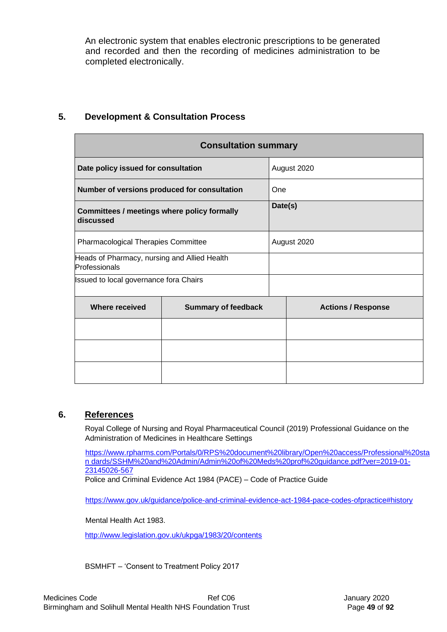An electronic system that enables electronic prescriptions to be generated and recorded and then the recording of medicines administration to be completed electronically.

|                                                               | <b>Consultation summary</b> |         |                           |  |  |  |
|---------------------------------------------------------------|-----------------------------|---------|---------------------------|--|--|--|
| Date policy issued for consultation                           |                             |         | August 2020               |  |  |  |
| Number of versions produced for consultation                  |                             |         | One                       |  |  |  |
| Committees / meetings where policy formally<br>discussed      |                             | Date(s) |                           |  |  |  |
| <b>Pharmacological Therapies Committee</b>                    |                             |         | August 2020               |  |  |  |
| Heads of Pharmacy, nursing and Allied Health<br>Professionals |                             |         |                           |  |  |  |
| Issued to local governance fora Chairs                        |                             |         |                           |  |  |  |
| <b>Where received</b>                                         | <b>Summary of feedback</b>  |         | <b>Actions / Response</b> |  |  |  |
|                                                               |                             |         |                           |  |  |  |
|                                                               |                             |         |                           |  |  |  |
|                                                               |                             |         |                           |  |  |  |

### **5. Development & Consultation Process**

#### **6. References**

Royal College of Nursing and Royal Pharmaceutical Council (2019) Professional Guidance on the Administration of Medicines in Healthcare Settings

[https://www.rpharms.com/Portals/0/RPS%20document%20library/Open%20access/Professional%20sta](https://www.rpharms.com/Portals/0/RPS%20document%20library/Open%20access/Professional%20standards/SSHM%20and%20Admin/Admin%20of%20Meds%20prof%20guidance.pdf?ver=2019-01-23-145026-567) [n dards/SSHM%20and%20Admin/Admin%20of%20Meds%20prof%20guidance.pdf?ver=2019-01-](https://www.rpharms.com/Portals/0/RPS%20document%20library/Open%20access/Professional%20standards/SSHM%20and%20Admin/Admin%20of%20Meds%20prof%20guidance.pdf?ver=2019-01-23-145026-567) [23145026-567](https://www.rpharms.com/Portals/0/RPS%20document%20library/Open%20access/Professional%20standards/SSHM%20and%20Admin/Admin%20of%20Meds%20prof%20guidance.pdf?ver=2019-01-23-145026-567)

Police and Criminal Evidence Act 1984 (PACE) – Code of Practice Guide

[https://www.gov.uk/guidance/police-and-criminal-evidence-act-1984-pace-codes-ofpractice#history](https://www.gov.uk/guidance/police-and-criminal-evidence-act-1984-pace-codes-of-practice#history)

Mental Health Act 1983.

<http://www.legislation.gov.uk/ukpga/1983/20/contents>

BSMHFT – 'Consent to Treatment Policy 2017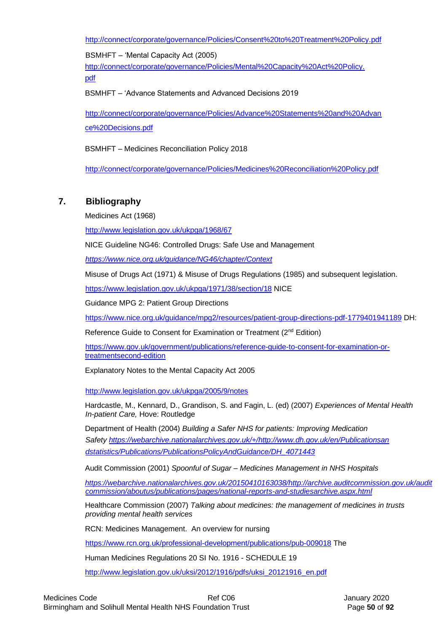<http://connect/corporate/governance/Policies/Consent%20to%20Treatment%20Policy.pdf>

BSMHFT – 'Mental Capacity Act (2005) [http://connect/corporate/governance/Policies/Mental%20Capacity%20Act%20Policy.](http://connect/corporate/governance/Policies/Mental%20Capacity%20Act%20Policy.pdf)  [pdf](http://connect/corporate/governance/Policies/Mental%20Capacity%20Act%20Policy.pdf)

BSMHFT – 'Advance Statements and Advanced Decisions 2019

[http://connect/corporate/governance/Policies/Advance%20Statements%20and%20Advan](http://connect/corporate/governance/Policies/Advance%20Statements%20and%20Advance%20Decisions.pdf)  [ce%20Decisions.pdf](http://connect/corporate/governance/Policies/Advance%20Statements%20and%20Advance%20Decisions.pdf)

BSMHFT – Medicines Reconciliation Policy 2018

<http://connect/corporate/governance/Policies/Medicines%20Reconciliation%20Policy.pdf>

## **7. Bibliography**

Medicines Act (1968)

<http://www.legislation.gov.uk/ukpga/1968/67>

NICE Guideline NG46: Controlled Drugs: Safe Use and Management

*<https://www.nice.org.uk/guidance/NG46/chapter/Context>*

Misuse of Drugs Act (1971) & Misuse of Drugs Regulations (1985) and subsequent legislation.

<https://www.legislation.gov.uk/ukpga/1971/38/section/18> NICE

Guidance MPG 2: Patient Group Directions

<https://www.nice.org.uk/guidance/mpg2/resources/patient-group-directions-pdf-1779401941189> [D](https://www.nice.org.uk/guidance/mpg2/resources/patient-group-directions-pdf-1779401941189)H:

Reference Guide to Consent for Examination or Treatment (2<sup>nd</sup> Edition)

[https://www.gov.uk/government/publications/reference-guide-to-consent-for-examination-or](https://www.gov.uk/government/publications/reference-guide-to-consent-for-examination-or-treatment-second-edition)[treatmentsecond-edition](https://www.gov.uk/government/publications/reference-guide-to-consent-for-examination-or-treatment-second-edition)

Explanatory Notes to the Mental Capacity Act 2005

<http://www.legislation.gov.uk/ukpga/2005/9/notes>

Hardcastle, M., Kennard, D., Grandison, S. and Fagin, L. (ed) (2007) *Experiences of Mental Health In-patient Care,* Hove: Routledge

Department of Health (2004) *Building a Safer NHS for patients: Improving Medication Safety [https://webarchive.nationalarchives.gov.uk/+/http://www.dh.gov.uk/en/Publicationsan](https://webarchive.nationalarchives.gov.uk/+/http:/www.dh.gov.uk/en/Publicationsandstatistics/Publications/PublicationsPolicyAndGuidance/DH_4071443)  [dstatistics/Publications/PublicationsPolicyAndGuidance/DH\\_4071443](https://webarchive.nationalarchives.gov.uk/+/http:/www.dh.gov.uk/en/Publicationsandstatistics/Publications/PublicationsPolicyAndGuidance/DH_4071443)*

Audit Commission (2001) *Spoonful of Sugar – Medicines Management in NHS Hospitals* 

*[https://webarchive.nationalarchives.gov.uk/20150410163038/http://archive.auditcommission.gov.uk/audit](https://webarchive.nationalarchives.gov.uk/20150410163038/http:/archive.audit-commission.gov.uk/auditcommission/aboutus/publications/pages/national-reports-and-studies-archive.aspx.html) [commission/aboutus/publications/pages/national-reports-and-studiesarchive.aspx.html](https://webarchive.nationalarchives.gov.uk/20150410163038/http:/archive.audit-commission.gov.uk/auditcommission/aboutus/publications/pages/national-reports-and-studies-archive.aspx.html)*

Healthcare Commission (2007) *Talking about medicines: the management of medicines in trusts providing mental health services* 

RCN: Medicines Management. An overview for nursing

<https://www.rcn.org.uk/professional-development/publications/pub-009018> The

Human Medicines Regulations 20 SI No. 1916 - SCHEDULE 19

[http://www.legislation.gov.uk/uksi/2012/1916/pdfs/uksi\\_20121916\\_en.pdf](http://www.legislation.gov.uk/uksi/2012/1916/pdfs/uksi_20121916_en.pdf)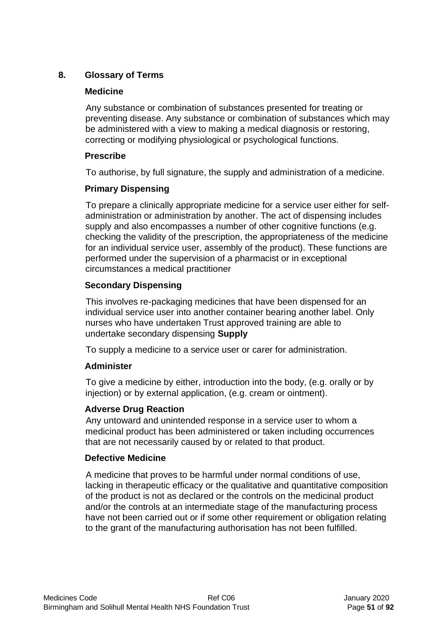# **8. Glossary of Terms**

### **Medicine**

Any substance or combination of substances presented for treating or preventing disease. Any substance or combination of substances which may be administered with a view to making a medical diagnosis or restoring, correcting or modifying physiological or psychological functions.

## **Prescribe**

To authorise, by full signature, the supply and administration of a medicine.

## **Primary Dispensing**

To prepare a clinically appropriate medicine for a service user either for selfadministration or administration by another. The act of dispensing includes supply and also encompasses a number of other cognitive functions (e.g. checking the validity of the prescription, the appropriateness of the medicine for an individual service user, assembly of the product). These functions are performed under the supervision of a pharmacist or in exceptional circumstances a medical practitioner

## **Secondary Dispensing**

This involves re-packaging medicines that have been dispensed for an individual service user into another container bearing another label. Only nurses who have undertaken Trust approved training are able to undertake secondary dispensing **Supply** 

To supply a medicine to a service user or carer for administration.

## **Administer**

To give a medicine by either, introduction into the body, (e.g. orally or by injection) or by external application, (e.g. cream or ointment).

## **Adverse Drug Reaction**

Any untoward and unintended response in a service user to whom a medicinal product has been administered or taken including occurrences that are not necessarily caused by or related to that product.

### **Defective Medicine**

A medicine that proves to be harmful under normal conditions of use, lacking in therapeutic efficacy or the qualitative and quantitative composition of the product is not as declared or the controls on the medicinal product and/or the controls at an intermediate stage of the manufacturing process have not been carried out or if some other requirement or obligation relating to the grant of the manufacturing authorisation has not been fulfilled.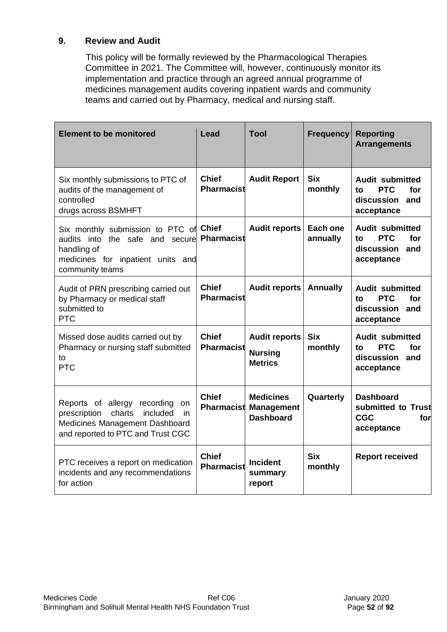## **9. Review and Audit**

This policy will be formally reviewed by the Pharmacological Therapies Committee in 2021. The Committee will, however, continuously monitor its implementation and practice through an agreed annual programme of medicines management audits covering inpatient wards and community teams and carried out by Pharmacy, medical and nursing staff.

| <b>Element to be monitored</b>                                                                                                                           | Lead                              | Tool                                                      | <b>Frequency</b>      | <b>Reporting</b><br><b>Arrangements</b>                                              |
|----------------------------------------------------------------------------------------------------------------------------------------------------------|-----------------------------------|-----------------------------------------------------------|-----------------------|--------------------------------------------------------------------------------------|
| Six monthly submissions to PTC of<br>audits of the management of<br>controlled<br>drugs across BSMHFT                                                    | <b>Chief</b><br>Pharmacist        | <b>Audit Report</b>                                       | <b>Six</b><br>monthly | <b>Audit submitted</b><br><b>PTC</b><br>for<br>tο<br>discussion<br>and<br>acceptance |
| Six monthly submission to PTC of Chief<br>audits into the safe and secure<br>handling of<br>medicines for inpatient units and<br>community teams         | Pharmacist                        | <b>Audit reports</b>                                      | Each one<br>annually  | <b>Audit submitted</b><br><b>PTC</b><br>for<br>to<br>discussion<br>and<br>acceptance |
| Audit of PRN prescribing carried out<br>by Pharmacy or medical staff<br>submitted to<br><b>PTC</b>                                                       | <b>Chief</b><br>Pharmacist        | <b>Audit reports</b>                                      | <b>Annually</b>       | <b>Audit submitted</b><br><b>PTC</b><br>for<br>tο<br>discussion<br>and<br>acceptance |
| Missed dose audits carried out by<br>Pharmacy or nursing staff submitted<br>to<br><b>PTC</b>                                                             | <b>Chief</b><br><b>Pharmacist</b> | <b>Audit reports</b><br><b>Nursing</b><br><b>Metrics</b>  | <b>Six</b><br>monthly | <b>Audit submitted</b><br><b>PTC</b><br>for<br>to<br>discussion<br>and<br>acceptance |
| Reports of allergy<br>recording<br>on<br>prescription<br>charts<br>included<br>in<br>Medicines Management Dashboard<br>and reported to PTC and Trust CGC | <b>Chief</b><br><b>Pharmacist</b> | <b>Medicines</b><br><b>Management</b><br><b>Dashboard</b> | Quarterly             | <b>Dashboard</b><br>submitted to Trust<br><b>CGC</b><br>for<br>acceptance            |
| PTC receives a report on medication<br>incidents and any recommendations<br>for action                                                                   | <b>Chief</b><br>Pharmacist        | <b>Incident</b><br>summary<br>report                      | <b>Six</b><br>monthly | <b>Report received</b>                                                               |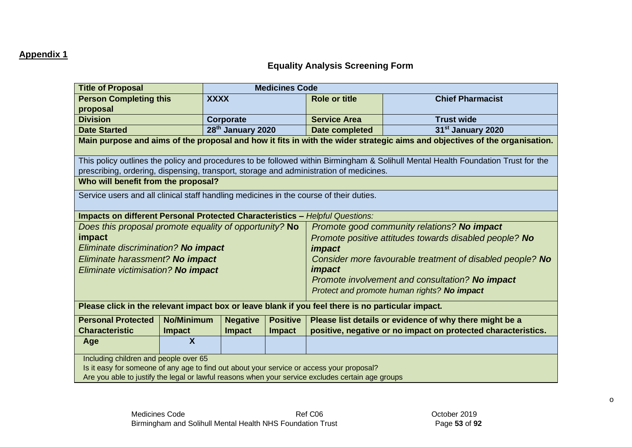## **Appendix 1**

# **Equality Analysis Screening Form**

| <b>Title of Proposal</b>                                                                                                   |                           | <b>Medicines Code</b>         |                 |                                                         |                                                                                                                                   |  |
|----------------------------------------------------------------------------------------------------------------------------|---------------------------|-------------------------------|-----------------|---------------------------------------------------------|-----------------------------------------------------------------------------------------------------------------------------------|--|
| <b>Person Completing this</b>                                                                                              |                           | <b>XXXX</b>                   |                 | <b>Role or title</b>                                    | <b>Chief Pharmacist</b>                                                                                                           |  |
| proposal                                                                                                                   |                           |                               |                 |                                                         |                                                                                                                                   |  |
| <b>Division</b>                                                                                                            |                           | Corporate                     |                 | <b>Service Area</b>                                     | <b>Trust wide</b>                                                                                                                 |  |
| <b>Date Started</b>                                                                                                        |                           | 28 <sup>th</sup> January 2020 |                 | Date completed                                          | 31 <sup>st</sup> January 2020                                                                                                     |  |
| Main purpose and aims of the proposal and how it fits in with the wider strategic aims and objectives of the organisation. |                           |                               |                 |                                                         |                                                                                                                                   |  |
|                                                                                                                            |                           |                               |                 |                                                         | This policy outlines the policy and procedures to be followed within Birmingham & Solihull Mental Health Foundation Trust for the |  |
| prescribing, ordering, dispensing, transport, storage and administration of medicines.                                     |                           |                               |                 |                                                         |                                                                                                                                   |  |
| Who will benefit from the proposal?                                                                                        |                           |                               |                 |                                                         |                                                                                                                                   |  |
| Service users and all clinical staff handling medicines in the course of their duties.                                     |                           |                               |                 |                                                         |                                                                                                                                   |  |
| <b>Impacts on different Personal Protected Characteristics - Helpful Questions:</b>                                        |                           |                               |                 |                                                         |                                                                                                                                   |  |
| Does this proposal promote equality of opportunity? No                                                                     |                           |                               |                 |                                                         | Promote good community relations? No impact                                                                                       |  |
| impact                                                                                                                     |                           |                               |                 |                                                         | Promote positive attitudes towards disabled people? No                                                                            |  |
| Eliminate discrimination? No impact                                                                                        |                           |                               |                 | <i><b>impact</b></i>                                    |                                                                                                                                   |  |
| Eliminate harassment? No impact                                                                                            |                           |                               |                 |                                                         | Consider more favourable treatment of disabled people? No                                                                         |  |
| Eliminate victimisation? No impact                                                                                         |                           |                               |                 | <i><b>impact</b></i>                                    |                                                                                                                                   |  |
|                                                                                                                            |                           |                               |                 | Promote involvement and consultation? No impact         |                                                                                                                                   |  |
|                                                                                                                            |                           |                               |                 | Protect and promote human rights? No impact             |                                                                                                                                   |  |
| Please click in the relevant impact box or leave blank if you feel there is no particular impact.                          |                           |                               |                 |                                                         |                                                                                                                                   |  |
| <b>Personal Protected</b>                                                                                                  | <b>No/Minimum</b>         | <b>Negative</b>               | <b>Positive</b> | Please list details or evidence of why there might be a |                                                                                                                                   |  |
| <b>Characteristic</b>                                                                                                      | <b>Impact</b>             | <b>Impact</b>                 | <b>Impact</b>   |                                                         | positive, negative or no impact on protected characteristics.                                                                     |  |
| Age                                                                                                                        | $\boldsymbol{\mathsf{X}}$ |                               |                 |                                                         |                                                                                                                                   |  |
| Including children and people over 65                                                                                      |                           |                               |                 |                                                         |                                                                                                                                   |  |
| Is it easy for someone of any age to find out about your service or access your proposal?                                  |                           |                               |                 |                                                         |                                                                                                                                   |  |
| Are you able to justify the legal or lawful reasons when your service excludes certain age groups                          |                           |                               |                 |                                                         |                                                                                                                                   |  |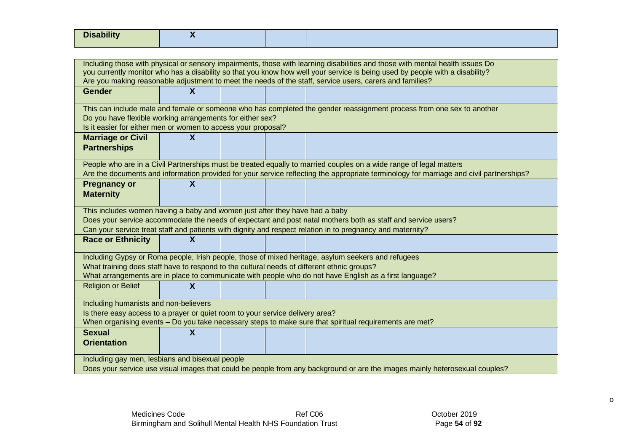| <b>Disability</b>                                                                                                           | $\boldsymbol{X}$                                                                                                                                                                        |  |  |                                                                                                                                                                                                                                          |  |  |  |
|-----------------------------------------------------------------------------------------------------------------------------|-----------------------------------------------------------------------------------------------------------------------------------------------------------------------------------------|--|--|------------------------------------------------------------------------------------------------------------------------------------------------------------------------------------------------------------------------------------------|--|--|--|
|                                                                                                                             |                                                                                                                                                                                         |  |  |                                                                                                                                                                                                                                          |  |  |  |
|                                                                                                                             |                                                                                                                                                                                         |  |  |                                                                                                                                                                                                                                          |  |  |  |
|                                                                                                                             |                                                                                                                                                                                         |  |  | Including those with physical or sensory impairments, those with learning disabilities and those with mental health issues Do                                                                                                            |  |  |  |
|                                                                                                                             |                                                                                                                                                                                         |  |  | you currently monitor who has a disability so that you know how well your service is being used by people with a disability?<br>Are you making reasonable adjustment to meet the needs of the staff, service users, carers and families? |  |  |  |
|                                                                                                                             | $\boldsymbol{X}$                                                                                                                                                                        |  |  |                                                                                                                                                                                                                                          |  |  |  |
| <b>Gender</b>                                                                                                               |                                                                                                                                                                                         |  |  |                                                                                                                                                                                                                                          |  |  |  |
|                                                                                                                             |                                                                                                                                                                                         |  |  | This can include male and female or someone who has completed the gender reassignment process from one sex to another                                                                                                                    |  |  |  |
| Do you have flexible working arrangements for either sex?                                                                   |                                                                                                                                                                                         |  |  |                                                                                                                                                                                                                                          |  |  |  |
| Is it easier for either men or women to access your proposal?                                                               |                                                                                                                                                                                         |  |  |                                                                                                                                                                                                                                          |  |  |  |
| <b>Marriage or Civil</b>                                                                                                    | $\boldsymbol{X}$                                                                                                                                                                        |  |  |                                                                                                                                                                                                                                          |  |  |  |
| <b>Partnerships</b>                                                                                                         |                                                                                                                                                                                         |  |  |                                                                                                                                                                                                                                          |  |  |  |
|                                                                                                                             |                                                                                                                                                                                         |  |  |                                                                                                                                                                                                                                          |  |  |  |
|                                                                                                                             |                                                                                                                                                                                         |  |  | People who are in a Civil Partnerships must be treated equally to married couples on a wide range of legal matters                                                                                                                       |  |  |  |
|                                                                                                                             |                                                                                                                                                                                         |  |  | Are the documents and information provided for your service reflecting the appropriate terminology for marriage and civil partnerships?                                                                                                  |  |  |  |
| <b>Pregnancy or</b>                                                                                                         | $\boldsymbol{\mathsf{X}}$                                                                                                                                                               |  |  |                                                                                                                                                                                                                                          |  |  |  |
| <b>Maternity</b>                                                                                                            |                                                                                                                                                                                         |  |  |                                                                                                                                                                                                                                          |  |  |  |
| This includes women having a baby and women just after they have had a baby                                                 |                                                                                                                                                                                         |  |  |                                                                                                                                                                                                                                          |  |  |  |
|                                                                                                                             |                                                                                                                                                                                         |  |  | Does your service accommodate the needs of expectant and post natal mothers both as staff and service users?                                                                                                                             |  |  |  |
|                                                                                                                             |                                                                                                                                                                                         |  |  | Can your service treat staff and patients with dignity and respect relation in to pregnancy and maternity?                                                                                                                               |  |  |  |
| <b>Race or Ethnicity</b>                                                                                                    | $\boldsymbol{\mathsf{X}}$                                                                                                                                                               |  |  |                                                                                                                                                                                                                                          |  |  |  |
|                                                                                                                             |                                                                                                                                                                                         |  |  |                                                                                                                                                                                                                                          |  |  |  |
|                                                                                                                             |                                                                                                                                                                                         |  |  | Including Gypsy or Roma people, Irish people, those of mixed heritage, asylum seekers and refugees                                                                                                                                       |  |  |  |
| What training does staff have to respond to the cultural needs of different ethnic groups?                                  |                                                                                                                                                                                         |  |  |                                                                                                                                                                                                                                          |  |  |  |
|                                                                                                                             |                                                                                                                                                                                         |  |  | What arrangements are in place to communicate with people who do not have English as a first language?                                                                                                                                   |  |  |  |
| <b>Religion or Belief</b>                                                                                                   | $\boldsymbol{\mathsf{X}}$                                                                                                                                                               |  |  |                                                                                                                                                                                                                                          |  |  |  |
|                                                                                                                             |                                                                                                                                                                                         |  |  |                                                                                                                                                                                                                                          |  |  |  |
| Including humanists and non-believers                                                                                       |                                                                                                                                                                                         |  |  |                                                                                                                                                                                                                                          |  |  |  |
|                                                                                                                             | Is there easy access to a prayer or quiet room to your service delivery area?<br>When organising events - Do you take necessary steps to make sure that spiritual requirements are met? |  |  |                                                                                                                                                                                                                                          |  |  |  |
|                                                                                                                             |                                                                                                                                                                                         |  |  |                                                                                                                                                                                                                                          |  |  |  |
| <b>Sexual</b>                                                                                                               | $\boldsymbol{\mathsf{X}}$                                                                                                                                                               |  |  |                                                                                                                                                                                                                                          |  |  |  |
| <b>Orientation</b>                                                                                                          |                                                                                                                                                                                         |  |  |                                                                                                                                                                                                                                          |  |  |  |
| Including gay men, lesbians and bisexual people                                                                             |                                                                                                                                                                                         |  |  |                                                                                                                                                                                                                                          |  |  |  |
| Does your service use visual images that could be people from any background or are the images mainly heterosexual couples? |                                                                                                                                                                                         |  |  |                                                                                                                                                                                                                                          |  |  |  |
|                                                                                                                             |                                                                                                                                                                                         |  |  |                                                                                                                                                                                                                                          |  |  |  |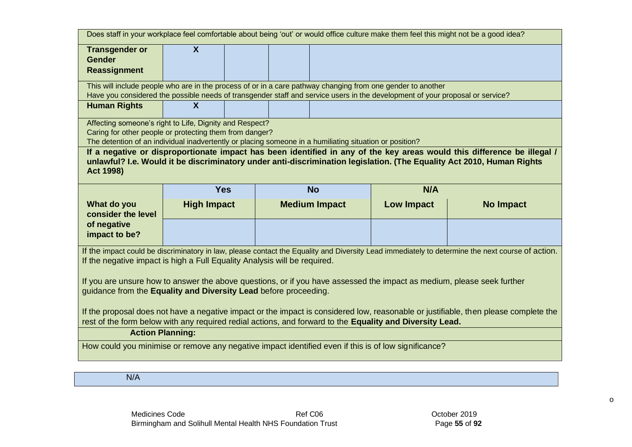|                                                                                                                                                                                                                                                                      |                                                                                                                                                                                                                               |  | Does staff in your workplace feel comfortable about being 'out' or would office culture make them feel this might not be a good idea? |                   |                                                                                                                                                  |  |  |
|----------------------------------------------------------------------------------------------------------------------------------------------------------------------------------------------------------------------------------------------------------------------|-------------------------------------------------------------------------------------------------------------------------------------------------------------------------------------------------------------------------------|--|---------------------------------------------------------------------------------------------------------------------------------------|-------------------|--------------------------------------------------------------------------------------------------------------------------------------------------|--|--|
| <b>Transgender or</b><br><b>Gender</b>                                                                                                                                                                                                                               | $\mathsf{X}$                                                                                                                                                                                                                  |  |                                                                                                                                       |                   |                                                                                                                                                  |  |  |
| <b>Reassignment</b>                                                                                                                                                                                                                                                  |                                                                                                                                                                                                                               |  |                                                                                                                                       |                   |                                                                                                                                                  |  |  |
| This will include people who are in the process of or in a care pathway changing from one gender to another<br>Have you considered the possible needs of transgender staff and service users in the development of your proposal or service?                         |                                                                                                                                                                                                                               |  |                                                                                                                                       |                   |                                                                                                                                                  |  |  |
| <b>Human Rights</b>                                                                                                                                                                                                                                                  | $\boldsymbol{X}$                                                                                                                                                                                                              |  |                                                                                                                                       |                   |                                                                                                                                                  |  |  |
|                                                                                                                                                                                                                                                                      | Affecting someone's right to Life, Dignity and Respect?<br>Caring for other people or protecting them from danger?<br>The detention of an individual inadvertently or placing someone in a humiliating situation or position? |  |                                                                                                                                       |                   |                                                                                                                                                  |  |  |
| If a negative or disproportionate impact has been identified in any of the key areas would this difference be illegal /<br>unlawful? I.e. Would it be discriminatory under anti-discrimination legislation. (The Equality Act 2010, Human Rights<br><b>Act 1998)</b> |                                                                                                                                                                                                                               |  |                                                                                                                                       |                   |                                                                                                                                                  |  |  |
|                                                                                                                                                                                                                                                                      | <b>Yes</b>                                                                                                                                                                                                                    |  | <b>No</b>                                                                                                                             | N/A               |                                                                                                                                                  |  |  |
|                                                                                                                                                                                                                                                                      |                                                                                                                                                                                                                               |  |                                                                                                                                       |                   |                                                                                                                                                  |  |  |
| What do you<br>consider the level                                                                                                                                                                                                                                    | <b>High Impact</b>                                                                                                                                                                                                            |  | <b>Medium Impact</b>                                                                                                                  | <b>Low Impact</b> | <b>No Impact</b>                                                                                                                                 |  |  |
| of negative<br>impact to be?                                                                                                                                                                                                                                         |                                                                                                                                                                                                                               |  |                                                                                                                                       |                   |                                                                                                                                                  |  |  |
| If the negative impact is high a Full Equality Analysis will be required.                                                                                                                                                                                            |                                                                                                                                                                                                                               |  |                                                                                                                                       |                   | If the impact could be discriminatory in law, please contact the Equality and Diversity Lead immediately to determine the next course of action. |  |  |
| guidance from the Equality and Diversity Lead before proceeding.                                                                                                                                                                                                     |                                                                                                                                                                                                                               |  | If you are unsure how to answer the above questions, or if you have assessed the impact as medium, please seek further                |                   |                                                                                                                                                  |  |  |
|                                                                                                                                                                                                                                                                      |                                                                                                                                                                                                                               |  | rest of the form below with any required redial actions, and forward to the Equality and Diversity Lead.                              |                   | If the proposal does not have a negative impact or the impact is considered low, reasonable or justifiable, then please complete the             |  |  |
| <b>Action Planning:</b>                                                                                                                                                                                                                                              |                                                                                                                                                                                                                               |  |                                                                                                                                       |                   |                                                                                                                                                  |  |  |
|                                                                                                                                                                                                                                                                      |                                                                                                                                                                                                                               |  | How could you minimise or remove any negative impact identified even if this is of low significance?                                  |                   |                                                                                                                                                  |  |  |

N/A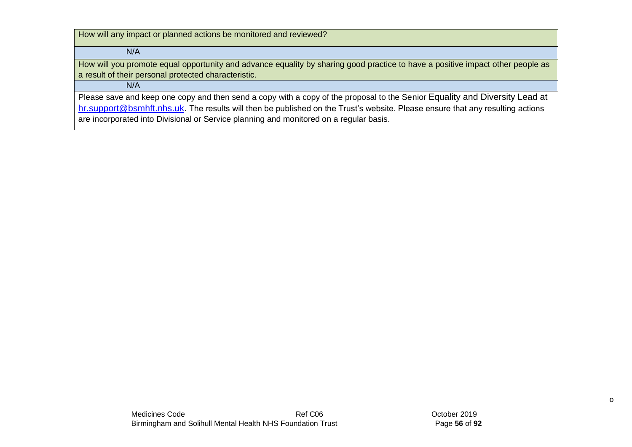How will any impact or planned actions be monitored and reviewed?

 $N/A$ 

How will you promote equal opportunity and advance equality by sharing good practice to have a positive impact other people as a result of their personal protected characteristic.

### N/A

Please save and keep one copy and then send a copy with a copy of the proposal to the Senior Equality and Diversity Lead at hr.support@bsmhft.nhs.uk. The results will then be published on the Trust's website. Please ensure that any resulting actions are incorporated into Divisional or Service planning and monitored on a regular basis.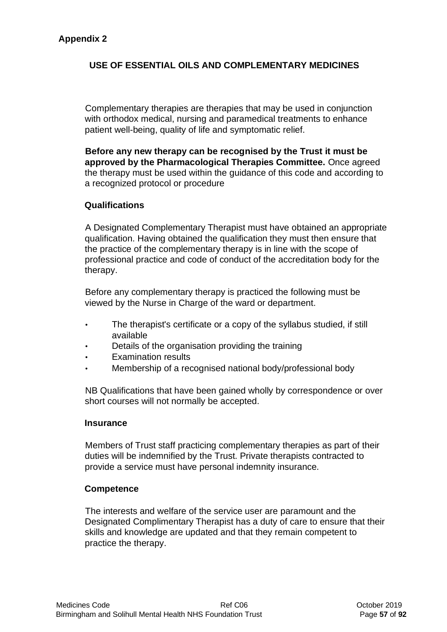## **USE OF ESSENTIAL OILS AND COMPLEMENTARY MEDICINES**

Complementary therapies are therapies that may be used in conjunction with orthodox medical, nursing and paramedical treatments to enhance patient well-being, quality of life and symptomatic relief.

**Before any new therapy can be recognised by the Trust it must be approved by the Pharmacological Therapies Committee.** Once agreed the therapy must be used within the guidance of this code and according to a recognized protocol or procedure

### **Qualifications**

A Designated Complementary Therapist must have obtained an appropriate qualification. Having obtained the qualification they must then ensure that the practice of the complementary therapy is in line with the scope of professional practice and code of conduct of the accreditation body for the therapy.

Before any complementary therapy is practiced the following must be viewed by the Nurse in Charge of the ward or department.

- The therapist's certificate or a copy of the syllabus studied, if still available
- Details of the organisation providing the training
- Examination results
- Membership of a recognised national body/professional body

NB Qualifications that have been gained wholly by correspondence or over short courses will not normally be accepted.

#### **Insurance**

Members of Trust staff practicing complementary therapies as part of their duties will be indemnified by the Trust. Private therapists contracted to provide a service must have personal indemnity insurance.

#### **Competence**

The interests and welfare of the service user are paramount and the Designated Complimentary Therapist has a duty of care to ensure that their skills and knowledge are updated and that they remain competent to practice the therapy.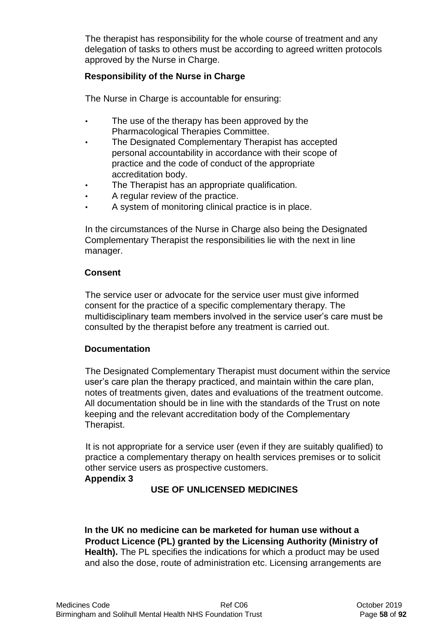The therapist has responsibility for the whole course of treatment and any delegation of tasks to others must be according to agreed written protocols approved by the Nurse in Charge.

## **Responsibility of the Nurse in Charge**

The Nurse in Charge is accountable for ensuring:

- The use of the therapy has been approved by the Pharmacological Therapies Committee.
- The Designated Complementary Therapist has accepted personal accountability in accordance with their scope of practice and the code of conduct of the appropriate accreditation body.
- The Therapist has an appropriate qualification.
- A regular review of the practice.
- A system of monitoring clinical practice is in place.

In the circumstances of the Nurse in Charge also being the Designated Complementary Therapist the responsibilities lie with the next in line manager.

## **Consent**

The service user or advocate for the service user must give informed consent for the practice of a specific complementary therapy. The multidisciplinary team members involved in the service user's care must be consulted by the therapist before any treatment is carried out.

### **Documentation**

The Designated Complementary Therapist must document within the service user's care plan the therapy practiced, and maintain within the care plan, notes of treatments given, dates and evaluations of the treatment outcome. All documentation should be in line with the standards of the Trust on note keeping and the relevant accreditation body of the Complementary Therapist.

It is not appropriate for a service user (even if they are suitably qualified) to practice a complementary therapy on health services premises or to solicit other service users as prospective customers.

### **Appendix 3**

## **USE OF UNLICENSED MEDICINES**

**In the UK no medicine can be marketed for human use without a Product Licence (PL) granted by the Licensing Authority (Ministry of Health).** The PL specifies the indications for which a product may be used and also the dose, route of administration etc. Licensing arrangements are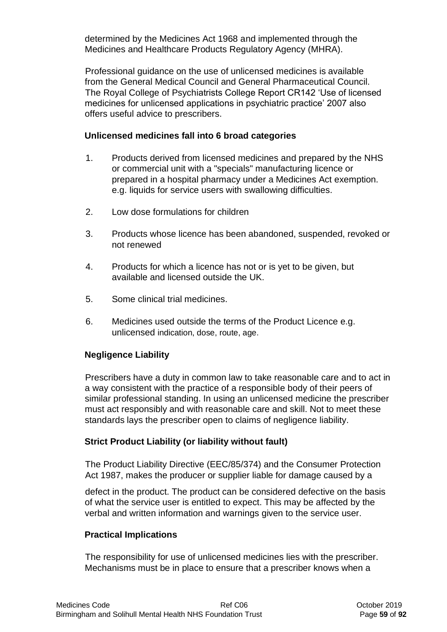determined by the Medicines Act 1968 and implemented through the Medicines and Healthcare Products Regulatory Agency (MHRA).

Professional guidance on the use of unlicensed medicines is available from the General Medical Council and General Pharmaceutical Council. The Royal College of Psychiatrists College Report CR142 'Use of licensed medicines for unlicensed applications in psychiatric practice' 2007 also offers useful advice to prescribers.

### **Unlicensed medicines fall into 6 broad categories**

- 1. Products derived from licensed medicines and prepared by the NHS or commercial unit with a "specials" manufacturing licence or prepared in a hospital pharmacy under a Medicines Act exemption. e.g. liquids for service users with swallowing difficulties.
- 2. Low dose formulations for children
- 3. Products whose licence has been abandoned, suspended, revoked or not renewed
- 4. Products for which a licence has not or is yet to be given, but available and licensed outside the UK.
- 5. Some clinical trial medicines.
- 6. Medicines used outside the terms of the Product Licence e.g. unlicensed indication, dose, route, age.

## **Negligence Liability**

Prescribers have a duty in common law to take reasonable care and to act in a way consistent with the practice of a responsible body of their peers of similar professional standing. In using an unlicensed medicine the prescriber must act responsibly and with reasonable care and skill. Not to meet these standards lays the prescriber open to claims of negligence liability.

## **Strict Product Liability (or liability without fault)**

The Product Liability Directive (EEC/85/374) and the Consumer Protection Act 1987, makes the producer or supplier liable for damage caused by a

defect in the product. The product can be considered defective on the basis of what the service user is entitled to expect. This may be affected by the verbal and written information and warnings given to the service user.

## **Practical Implications**

The responsibility for use of unlicensed medicines lies with the prescriber. Mechanisms must be in place to ensure that a prescriber knows when a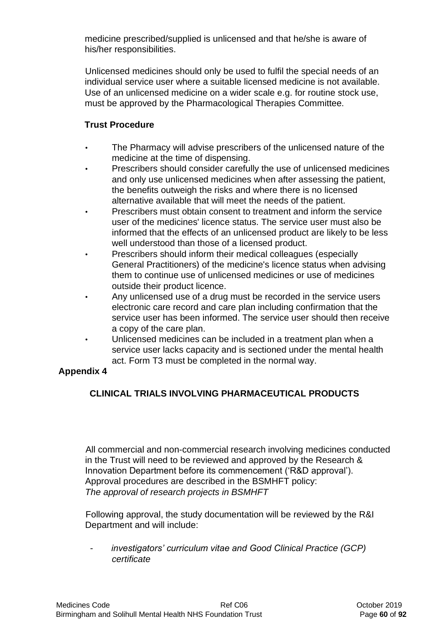medicine prescribed/supplied is unlicensed and that he/she is aware of his/her responsibilities.

Unlicensed medicines should only be used to fulfil the special needs of an individual service user where a suitable licensed medicine is not available. Use of an unlicensed medicine on a wider scale e.g. for routine stock use, must be approved by the Pharmacological Therapies Committee.

# **Trust Procedure**

- The Pharmacy will advise prescribers of the unlicensed nature of the medicine at the time of dispensing.
- Prescribers should consider carefully the use of unlicensed medicines and only use unlicensed medicines when after assessing the patient, the benefits outweigh the risks and where there is no licensed alternative available that will meet the needs of the patient.
- Prescribers must obtain consent to treatment and inform the service user of the medicines' licence status. The service user must also be informed that the effects of an unlicensed product are likely to be less well understood than those of a licensed product.
- Prescribers should inform their medical colleagues (especially General Practitioners) of the medicine's licence status when advising them to continue use of unlicensed medicines or use of medicines outside their product licence.
- Any unlicensed use of a drug must be recorded in the service users electronic care record and care plan including confirmation that the service user has been informed. The service user should then receive a copy of the care plan.
- Unlicensed medicines can be included in a treatment plan when a service user lacks capacity and is sectioned under the mental health act. Form T3 must be completed in the normal way.

## **Appendix 4**

# **CLINICAL TRIALS INVOLVING PHARMACEUTICAL PRODUCTS**

All commercial and non-commercial research involving medicines conducted in the Trust will need to be reviewed and approved by the Research & Innovation Department before its commencement ('R&D approval'). Approval procedures are described in the BSMHFT policy: *The approval of research projects in BSMHFT* 

Following approval, the study documentation will be reviewed by the R&I Department and will include:

- *investigators' curriculum vitae and Good Clinical Practice (GCP) certificate*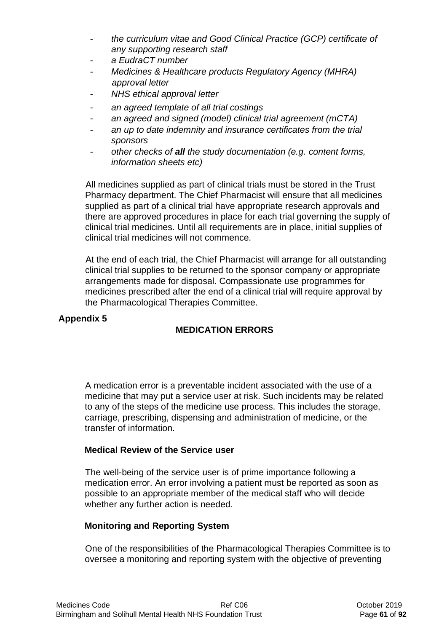- *the curriculum vitae and Good Clinical Practice (GCP) certificate of any supporting research staff*
- *a EudraCT number*
- *Medicines & Healthcare products Regulatory Agency (MHRA) approval letter*
- *NHS ethical approval letter*
- *an agreed template of all trial costings*
- *an agreed and signed (model) clinical trial agreement (mCTA)*
- *an up to date indemnity and insurance certificates from the trial sponsors*
- *other checks of all the study documentation (e.g. content forms, information sheets etc)*

All medicines supplied as part of clinical trials must be stored in the Trust Pharmacy department. The Chief Pharmacist will ensure that all medicines supplied as part of a clinical trial have appropriate research approvals and there are approved procedures in place for each trial governing the supply of clinical trial medicines. Until all requirements are in place, initial supplies of clinical trial medicines will not commence.

At the end of each trial, the Chief Pharmacist will arrange for all outstanding clinical trial supplies to be returned to the sponsor company or appropriate arrangements made for disposal. Compassionate use programmes for medicines prescribed after the end of a clinical trial will require approval by the Pharmacological Therapies Committee.

### **Appendix 5**

## **MEDICATION ERRORS**

A medication error is a preventable incident associated with the use of a medicine that may put a service user at risk. Such incidents may be related to any of the steps of the medicine use process. This includes the storage, carriage, prescribing, dispensing and administration of medicine, or the transfer of information.

### **Medical Review of the Service user**

The well-being of the service user is of prime importance following a medication error. An error involving a patient must be reported as soon as possible to an appropriate member of the medical staff who will decide whether any further action is needed.

## **Monitoring and Reporting System**

One of the responsibilities of the Pharmacological Therapies Committee is to oversee a monitoring and reporting system with the objective of preventing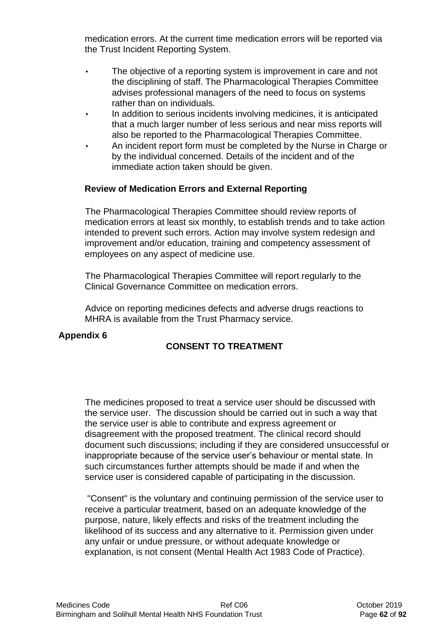medication errors. At the current time medication errors will be reported via the Trust Incident Reporting System.

- The objective of a reporting system is improvement in care and not the disciplining of staff. The Pharmacological Therapies Committee advises professional managers of the need to focus on systems rather than on individuals.
- In addition to serious incidents involving medicines, it is anticipated that a much larger number of less serious and near miss reports will also be reported to the Pharmacological Therapies Committee.
- An incident report form must be completed by the Nurse in Charge or by the individual concerned. Details of the incident and of the immediate action taken should be given.

### **Review of Medication Errors and External Reporting**

The Pharmacological Therapies Committee should review reports of medication errors at least six monthly, to establish trends and to take action intended to prevent such errors. Action may involve system redesign and improvement and/or education, training and competency assessment of employees on any aspect of medicine use.

The Pharmacological Therapies Committee will report regularly to the Clinical Governance Committee on medication errors.

Advice on reporting medicines defects and adverse drugs reactions to MHRA is available from the Trust Pharmacy service.

### **Appendix 6**

# **CONSENT TO TREATMENT**

The medicines proposed to treat a service user should be discussed with the service user. The discussion should be carried out in such a way that the service user is able to contribute and express agreement or disagreement with the proposed treatment. The clinical record should document such discussions; including if they are considered unsuccessful or inappropriate because of the service user's behaviour or mental state. In such circumstances further attempts should be made if and when the service user is considered capable of participating in the discussion.

"Consent" is the voluntary and continuing permission of the service user to receive a particular treatment, based on an adequate knowledge of the purpose, nature, likely effects and risks of the treatment including the likelihood of its success and any alternative to it. Permission given under any unfair or undue pressure, or without adequate knowledge or explanation, is not consent (Mental Health Act 1983 Code of Practice).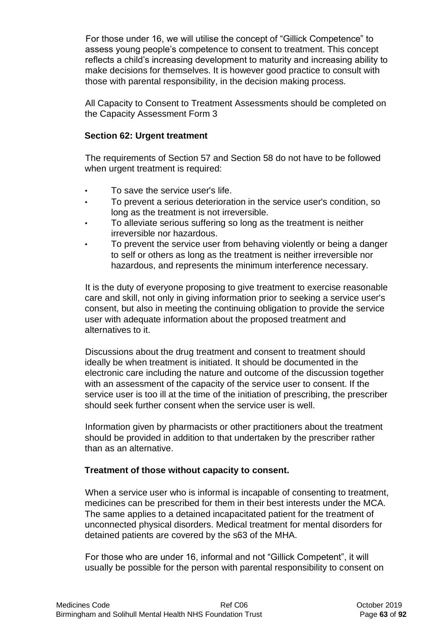For those under 16, we will utilise the concept of "Gillick Competence" to assess young people's competence to consent to treatment. This concept reflects a child's increasing development to maturity and increasing ability to make decisions for themselves. It is however good practice to consult with those with parental responsibility, in the decision making process.

All Capacity to Consent to Treatment Assessments should be completed on the Capacity Assessment Form 3

### **Section 62: Urgent treatment**

The requirements of Section 57 and Section 58 do not have to be followed when urgent treatment is required:

- To save the service user's life.
- To prevent a serious deterioration in the service user's condition, so long as the treatment is not irreversible.
- To alleviate serious suffering so long as the treatment is neither irreversible nor hazardous.
- To prevent the service user from behaving violently or being a danger to self or others as long as the treatment is neither irreversible nor hazardous, and represents the minimum interference necessary.

It is the duty of everyone proposing to give treatment to exercise reasonable care and skill, not only in giving information prior to seeking a service user's consent, but also in meeting the continuing obligation to provide the service user with adequate information about the proposed treatment and alternatives to it.

Discussions about the drug treatment and consent to treatment should ideally be when treatment is initiated. It should be documented in the electronic care including the nature and outcome of the discussion together with an assessment of the capacity of the service user to consent. If the service user is too ill at the time of the initiation of prescribing, the prescriber should seek further consent when the service user is well.

Information given by pharmacists or other practitioners about the treatment should be provided in addition to that undertaken by the prescriber rather than as an alternative.

### **Treatment of those without capacity to consent.**

When a service user who is informal is incapable of consenting to treatment, medicines can be prescribed for them in their best interests under the MCA. The same applies to a detained incapacitated patient for the treatment of unconnected physical disorders. Medical treatment for mental disorders for detained patients are covered by the s63 of the MHA.

For those who are under 16, informal and not "Gillick Competent", it will usually be possible for the person with parental responsibility to consent on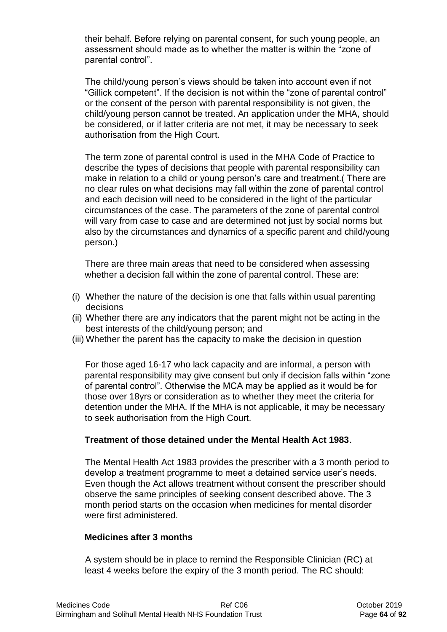their behalf. Before relying on parental consent, for such young people, an assessment should made as to whether the matter is within the "zone of parental control".

The child/young person's views should be taken into account even if not "Gillick competent". If the decision is not within the "zone of parental control" or the consent of the person with parental responsibility is not given, the child/young person cannot be treated. An application under the MHA, should be considered, or if latter criteria are not met, it may be necessary to seek authorisation from the High Court.

The term zone of parental control is used in the MHA Code of Practice to describe the types of decisions that people with parental responsibility can make in relation to a child or young person's care and treatment.( There are no clear rules on what decisions may fall within the zone of parental control and each decision will need to be considered in the light of the particular circumstances of the case. The parameters of the zone of parental control will vary from case to case and are determined not just by social norms but also by the circumstances and dynamics of a specific parent and child/young person.)

There are three main areas that need to be considered when assessing whether a decision fall within the zone of parental control. These are:

- (i) Whether the nature of the decision is one that falls within usual parenting decisions
- (ii) Whether there are any indicators that the parent might not be acting in the best interests of the child/young person; and
- (iii) Whether the parent has the capacity to make the decision in question

For those aged 16-17 who lack capacity and are informal, a person with parental responsibility may give consent but only if decision falls within "zone of parental control". Otherwise the MCA may be applied as it would be for those over 18yrs or consideration as to whether they meet the criteria for detention under the MHA. If the MHA is not applicable, it may be necessary to seek authorisation from the High Court.

### **Treatment of those detained under the Mental Health Act 1983**.

The Mental Health Act 1983 provides the prescriber with a 3 month period to develop a treatment programme to meet a detained service user's needs. Even though the Act allows treatment without consent the prescriber should observe the same principles of seeking consent described above. The 3 month period starts on the occasion when medicines for mental disorder were first administered.

### **Medicines after 3 months**

A system should be in place to remind the Responsible Clinician (RC) at least 4 weeks before the expiry of the 3 month period. The RC should: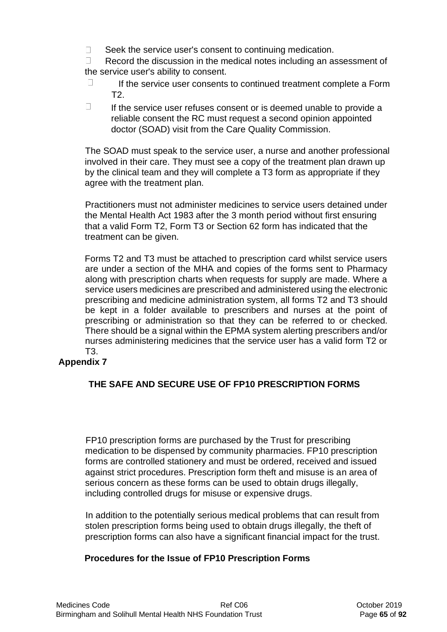$\Box$ Seek the service user's consent to continuing medication.

 $\Box$ Record the discussion in the medical notes including an assessment of the service user's ability to consent.

- $\Box$ If the service user consents to continued treatment complete a Form T2.
- $\Box$ If the service user refuses consent or is deemed unable to provide a reliable consent the RC must request a second opinion appointed doctor (SOAD) visit from the Care Quality Commission.

The SOAD must speak to the service user, a nurse and another professional involved in their care. They must see a copy of the treatment plan drawn up by the clinical team and they will complete a T3 form as appropriate if they agree with the treatment plan.

Practitioners must not administer medicines to service users detained under the Mental Health Act 1983 after the 3 month period without first ensuring that a valid Form T2, Form T3 or Section 62 form has indicated that the treatment can be given.

Forms T2 and T3 must be attached to prescription card whilst service users are under a section of the MHA and copies of the forms sent to Pharmacy along with prescription charts when requests for supply are made. Where a service users medicines are prescribed and administered using the electronic prescribing and medicine administration system, all forms T2 and T3 should be kept in a folder available to prescribers and nurses at the point of prescribing or administration so that they can be referred to or checked. There should be a signal within the EPMA system alerting prescribers and/or nurses administering medicines that the service user has a valid form T2 or T3.

# **Appendix 7**

# **THE SAFE AND SECURE USE OF FP10 PRESCRIPTION FORMS**

FP10 prescription forms are purchased by the Trust for prescribing medication to be dispensed by community pharmacies. FP10 prescription forms are controlled stationery and must be ordered, received and issued against strict procedures. Prescription form theft and misuse is an area of serious concern as these forms can be used to obtain drugs illegally, including controlled drugs for misuse or expensive drugs.

In addition to the potentially serious medical problems that can result from stolen prescription forms being used to obtain drugs illegally, the theft of prescription forms can also have a significant financial impact for the trust.

## **Procedures for the Issue of FP10 Prescription Forms**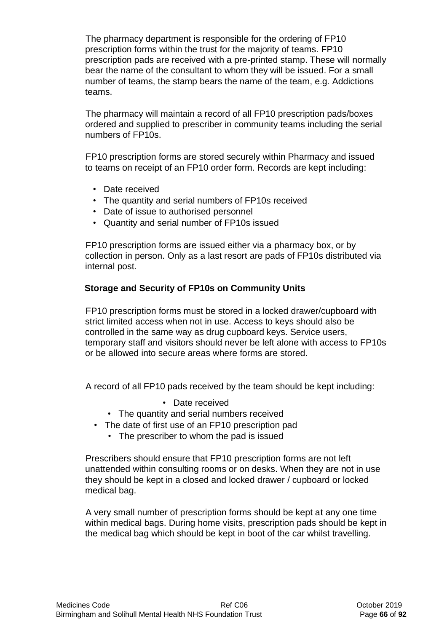The pharmacy department is responsible for the ordering of FP10 prescription forms within the trust for the majority of teams. FP10 prescription pads are received with a pre-printed stamp. These will normally bear the name of the consultant to whom they will be issued. For a small number of teams, the stamp bears the name of the team, e.g. Addictions teams.

The pharmacy will maintain a record of all FP10 prescription pads/boxes ordered and supplied to prescriber in community teams including the serial numbers of FP10s.

FP10 prescription forms are stored securely within Pharmacy and issued to teams on receipt of an FP10 order form. Records are kept including:

- Date received
- The quantity and serial numbers of FP10s received
- Date of issue to authorised personnel
- Quantity and serial number of FP10s issued

FP10 prescription forms are issued either via a pharmacy box, or by collection in person. Only as a last resort are pads of FP10s distributed via internal post.

### **Storage and Security of FP10s on Community Units**

FP10 prescription forms must be stored in a locked drawer/cupboard with strict limited access when not in use. Access to keys should also be controlled in the same way as drug cupboard keys. Service users, temporary staff and visitors should never be left alone with access to FP10s or be allowed into secure areas where forms are stored.

A record of all FP10 pads received by the team should be kept including:

- Date received
- The quantity and serial numbers received
- The date of first use of an FP10 prescription pad
	- The prescriber to whom the pad is issued

Prescribers should ensure that FP10 prescription forms are not left unattended within consulting rooms or on desks. When they are not in use they should be kept in a closed and locked drawer / cupboard or locked medical bag.

A very small number of prescription forms should be kept at any one time within medical bags. During home visits, prescription pads should be kept in the medical bag which should be kept in boot of the car whilst travelling.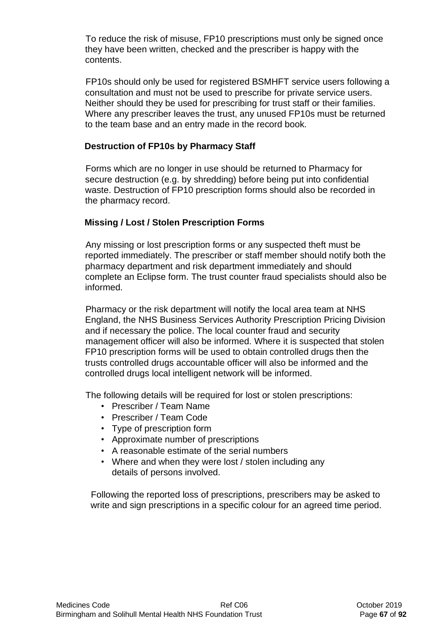To reduce the risk of misuse, FP10 prescriptions must only be signed once they have been written, checked and the prescriber is happy with the contents.

FP10s should only be used for registered BSMHFT service users following a consultation and must not be used to prescribe for private service users. Neither should they be used for prescribing for trust staff or their families. Where any prescriber leaves the trust, any unused FP10s must be returned to the team base and an entry made in the record book.

### **Destruction of FP10s by Pharmacy Staff**

Forms which are no longer in use should be returned to Pharmacy for secure destruction (e.g. by shredding) before being put into confidential waste. Destruction of FP10 prescription forms should also be recorded in the pharmacy record.

## **Missing / Lost / Stolen Prescription Forms**

Any missing or lost prescription forms or any suspected theft must be reported immediately. The prescriber or staff member should notify both the pharmacy department and risk department immediately and should complete an Eclipse form. The trust counter fraud specialists should also be informed.

Pharmacy or the risk department will notify the local area team at NHS England, the NHS Business Services Authority Prescription Pricing Division and if necessary the police. The local counter fraud and security management officer will also be informed*.* Where it is suspected that stolen FP10 prescription forms will be used to obtain controlled drugs then the trusts controlled drugs accountable officer will also be informed and the controlled drugs local intelligent network will be informed.

The following details will be required for lost or stolen prescriptions:

- Prescriber / Team Name
- Prescriber / Team Code
- Type of prescription form
- Approximate number of prescriptions
- A reasonable estimate of the serial numbers
- Where and when they were lost / stolen including any details of persons involved.

Following the reported loss of prescriptions, prescribers may be asked to write and sign prescriptions in a specific colour for an agreed time period.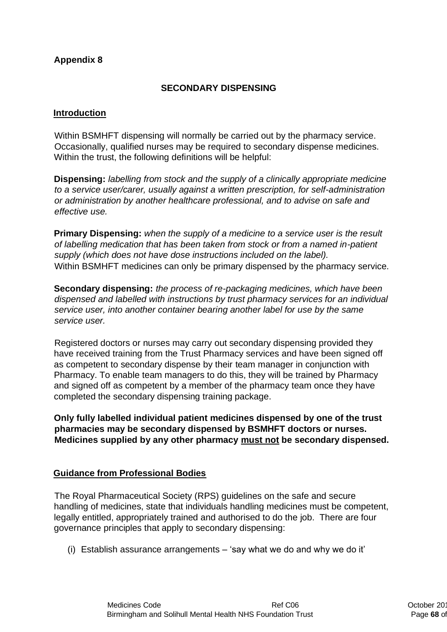## **Appendix 8**

## **SECONDARY DISPENSING**

### **Introduction**

Within BSMHFT dispensing will normally be carried out by the pharmacy service. Occasionally, qualified nurses may be required to secondary dispense medicines. Within the trust, the following definitions will be helpful:

**Dispensing:** *labelling from stock and the supply of a clinically appropriate medicine to a service user/carer, usually against a written prescription, for self-administration or administration by another healthcare professional, and to advise on safe and effective use.* 

**Primary Dispensing:** *when the supply of a medicine to a service user is the result of labelling medication that has been taken from stock or from a named in-patient supply (which does not have dose instructions included on the label).*  Within BSMHFT medicines can only be primary dispensed by the pharmacy service.

**Secondary dispensing:** *the process of re-packaging medicines, which have been dispensed and labelled with instructions by trust pharmacy services for an individual service user, into another container bearing another label for use by the same service user.* 

Registered doctors or nurses may carry out secondary dispensing provided they have received training from the Trust Pharmacy services and have been signed off as competent to secondary dispense by their team manager in conjunction with Pharmacy. To enable team managers to do this, they will be trained by Pharmacy and signed off as competent by a member of the pharmacy team once they have completed the secondary dispensing training package.

**Only fully labelled individual patient medicines dispensed by one of the trust pharmacies may be secondary dispensed by BSMHFT doctors or nurses. Medicines supplied by any other pharmacy must not be secondary dispensed.** 

### **Guidance from Professional Bodies**

The Royal Pharmaceutical Society (RPS) guidelines on the safe and secure handling of medicines, state that individuals handling medicines must be competent, legally entitled, appropriately trained and authorised to do the job. There are four governance principles that apply to secondary dispensing:

(i) Establish assurance arrangements – 'say what we do and why we do it'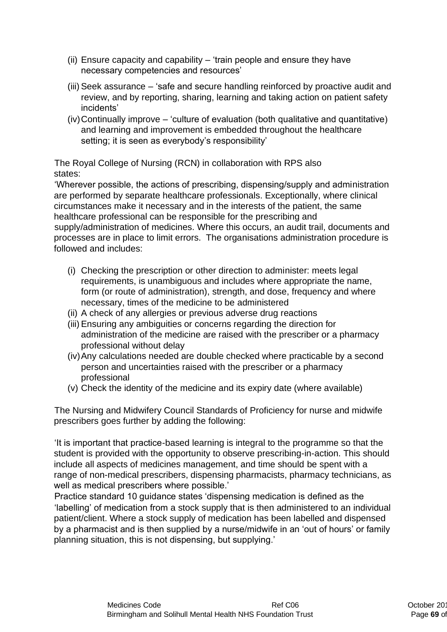- (ii) Ensure capacity and capability 'train people and ensure they have necessary competencies and resources'
- (iii) Seek assurance 'safe and secure handling reinforced by proactive audit and review, and by reporting, sharing, learning and taking action on patient safety incidents'
- (iv)Continually improve 'culture of evaluation (both qualitative and quantitative) and learning and improvement is embedded throughout the healthcare setting; it is seen as everybody's responsibility'

The Royal College of Nursing (RCN) in collaboration with RPS also states:

'Wherever possible, the actions of prescribing, dispensing/supply and administration are performed by separate healthcare professionals. Exceptionally, where clinical circumstances make it necessary and in the interests of the patient, the same healthcare professional can be responsible for the prescribing and supply/administration of medicines. Where this occurs, an audit trail, documents and processes are in place to limit errors. The organisations administration procedure is followed and includes:

- (i) Checking the prescription or other direction to administer: meets legal requirements, is unambiguous and includes where appropriate the name, form (or route of administration), strength, and dose, frequency and where necessary, times of the medicine to be administered
- (ii) A check of any allergies or previous adverse drug reactions
- (iii)Ensuring any ambiguities or concerns regarding the direction for administration of the medicine are raised with the prescriber or a pharmacy professional without delay
- (iv)Any calculations needed are double checked where practicable by a second person and uncertainties raised with the prescriber or a pharmacy professional
- (v) Check the identity of the medicine and its expiry date (where available)

The Nursing and Midwifery Council Standards of Proficiency for nurse and midwife prescribers goes further by adding the following:

'It is important that practice-based learning is integral to the programme so that the student is provided with the opportunity to observe prescribing-in-action. This should include all aspects of medicines management, and time should be spent with a range of non-medical prescribers, dispensing pharmacists, pharmacy technicians, as well as medical prescribers where possible.'

Practice standard 10 guidance states 'dispensing medication is defined as the 'labelling' of medication from a stock supply that is then administered to an individual patient/client. Where a stock supply of medication has been labelled and dispensed by a pharmacist and is then supplied by a nurse/midwife in an 'out of hours' or family planning situation, this is not dispensing, but supplying.'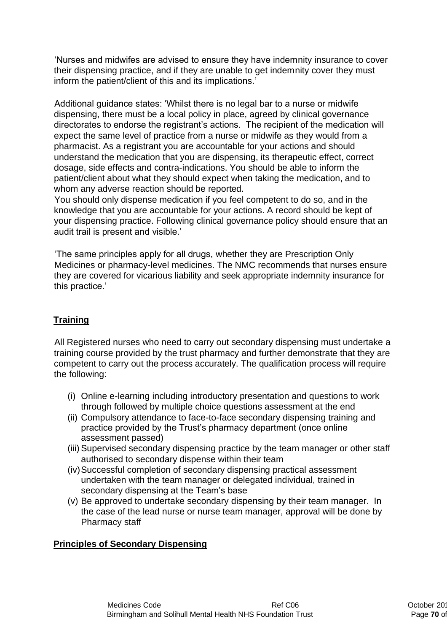'Nurses and midwifes are advised to ensure they have indemnity insurance to cover their dispensing practice, and if they are unable to get indemnity cover they must inform the patient/client of this and its implications.'

Additional guidance states: 'Whilst there is no legal bar to a nurse or midwife dispensing, there must be a local policy in place, agreed by clinical governance directorates to endorse the registrant's actions. The recipient of the medication will expect the same level of practice from a nurse or midwife as they would from a pharmacist. As a registrant you are accountable for your actions and should understand the medication that you are dispensing, its therapeutic effect, correct dosage, side effects and contra-indications. You should be able to inform the patient/client about what they should expect when taking the medication, and to whom any adverse reaction should be reported.

You should only dispense medication if you feel competent to do so, and in the knowledge that you are accountable for your actions. A record should be kept of your dispensing practice. Following clinical governance policy should ensure that an audit trail is present and visible.'

'The same principles apply for all drugs, whether they are Prescription Only Medicines or pharmacy-level medicines. The NMC recommends that nurses ensure they are covered for vicarious liability and seek appropriate indemnity insurance for this practice.'

## **Training**

All Registered nurses who need to carry out secondary dispensing must undertake a training course provided by the trust pharmacy and further demonstrate that they are competent to carry out the process accurately. The qualification process will require the following:

- (i) Online e-learning including introductory presentation and questions to work through followed by multiple choice questions assessment at the end
- (ii) Compulsory attendance to face-to-face secondary dispensing training and practice provided by the Trust's pharmacy department (once online assessment passed)
- (iii) Supervised secondary dispensing practice by the team manager or other staff authorised to secondary dispense within their team
- (iv)Successful completion of secondary dispensing practical assessment undertaken with the team manager or delegated individual, trained in secondary dispensing at the Team's base
- (v) Be approved to undertake secondary dispensing by their team manager. In the case of the lead nurse or nurse team manager, approval will be done by Pharmacy staff

### **Principles of Secondary Dispensing**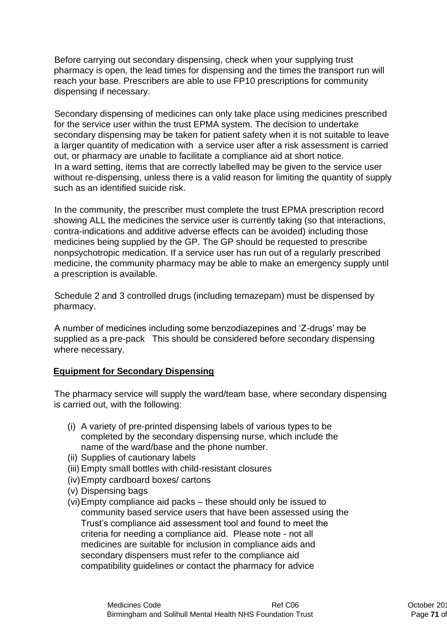Before carrying out secondary dispensing, check when your supplying trust pharmacy is open, the lead times for dispensing and the times the transport run will reach your base. Prescribers are able to use FP10 prescriptions for community dispensing if necessary.

Secondary dispensing of medicines can only take place using medicines prescribed for the service user within the trust EPMA system. The decision to undertake secondary dispensing may be taken for patient safety when it is not suitable to leave a larger quantity of medication with a service user after a risk assessment is carried out, or pharmacy are unable to facilitate a compliance aid at short notice. In a ward setting, items that are correctly labelled may be given to the service user without re-dispensing, unless there is a valid reason for limiting the quantity of supply such as an identified suicide risk.

In the community, the prescriber must complete the trust EPMA prescription record showing ALL the medicines the service user is currently taking (so that interactions, contra-indications and additive adverse effects can be avoided) including those medicines being supplied by the GP. The GP should be requested to prescribe nonpsychotropic medication. If a service user has run out of a regularly prescribed medicine, the community pharmacy may be able to make an emergency supply until a prescription is available.

Schedule 2 and 3 controlled drugs (including temazepam) must be dispensed by pharmacy.

A number of medicines including some benzodiazepines and 'Z-drugs' may be supplied as a pre-pack This should be considered before secondary dispensing where necessary.

### **Equipment for Secondary Dispensing**

The pharmacy service will supply the ward/team base, where secondary dispensing is carried out, with the following:

- (i) A variety of pre-printed dispensing labels of various types to be completed by the secondary dispensing nurse, which include the name of the ward/base and the phone number.
- (ii) Supplies of cautionary labels
- (iii)Empty small bottles with child-resistant closures
- (iv)Empty cardboard boxes/ cartons
- (v) Dispensing bags
- (vi)Empty compliance aid packs these should only be issued to community based service users that have been assessed using the Trust's compliance aid assessment tool and found to meet the criteria for needing a compliance aid. Please note - not all medicines are suitable for inclusion in compliance aids and secondary dispensers must refer to the compliance aid compatibility guidelines or contact the pharmacy for advice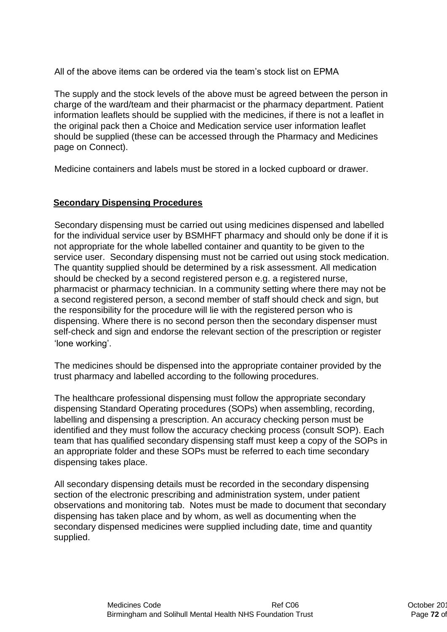All of the above items can be ordered via the team's stock list on EPMA

The supply and the stock levels of the above must be agreed between the person in charge of the ward/team and their pharmacist or the pharmacy department. Patient information leaflets should be supplied with the medicines, if there is not a leaflet in the original pack then a Choice and Medication service user information leaflet should be supplied (these can be accessed through the Pharmacy and Medicines page on Connect).

Medicine containers and labels must be stored in a locked cupboard or drawer.

### **Secondary Dispensing Procedures**

Secondary dispensing must be carried out using medicines dispensed and labelled for the individual service user by BSMHFT pharmacy and should only be done if it is not appropriate for the whole labelled container and quantity to be given to the service user. Secondary dispensing must not be carried out using stock medication. The quantity supplied should be determined by a risk assessment. All medication should be checked by a second registered person e.g. a registered nurse, pharmacist or pharmacy technician. In a community setting where there may not be a second registered person, a second member of staff should check and sign, but the responsibility for the procedure will lie with the registered person who is dispensing. Where there is no second person then the secondary dispenser must self-check and sign and endorse the relevant section of the prescription or register 'lone working'.

The medicines should be dispensed into the appropriate container provided by the trust pharmacy and labelled according to the following procedures.

The healthcare professional dispensing must follow the appropriate secondary dispensing Standard Operating procedures (SOPs) when assembling, recording, labelling and dispensing a prescription. An accuracy checking person must be identified and they must follow the accuracy checking process (consult SOP). Each team that has qualified secondary dispensing staff must keep a copy of the SOPs in an appropriate folder and these SOPs must be referred to each time secondary dispensing takes place.

All secondary dispensing details must be recorded in the secondary dispensing section of the electronic prescribing and administration system, under patient observations and monitoring tab. Notes must be made to document that secondary dispensing has taken place and by whom, as well as documenting when the secondary dispensed medicines were supplied including date, time and quantity supplied.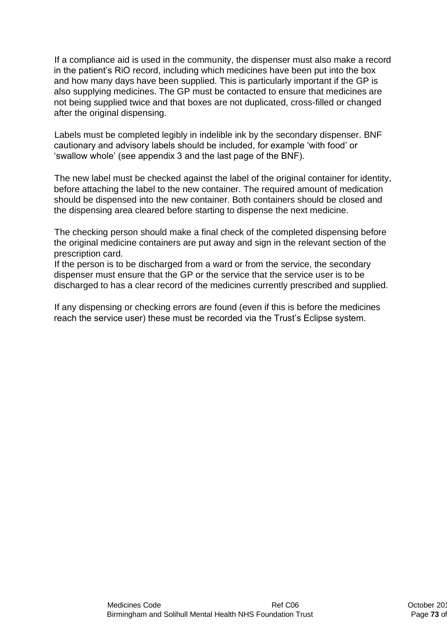If a compliance aid is used in the community, the dispenser must also make a record in the patient's RiO record, including which medicines have been put into the box and how many days have been supplied. This is particularly important if the GP is also supplying medicines. The GP must be contacted to ensure that medicines are not being supplied twice and that boxes are not duplicated, cross-filled or changed after the original dispensing.

Labels must be completed legibly in indelible ink by the secondary dispenser. BNF cautionary and advisory labels should be included, for example 'with food' or 'swallow whole' (see appendix 3 and the last page of the BNF).

The new label must be checked against the label of the original container for identity, before attaching the label to the new container. The required amount of medication should be dispensed into the new container. Both containers should be closed and the dispensing area cleared before starting to dispense the next medicine.

The checking person should make a final check of the completed dispensing before the original medicine containers are put away and sign in the relevant section of the prescription card.

If the person is to be discharged from a ward or from the service, the secondary dispenser must ensure that the GP or the service that the service user is to be discharged to has a clear record of the medicines currently prescribed and supplied.

If any dispensing or checking errors are found (even if this is before the medicines reach the service user) these must be recorded via the Trust's Eclipse system.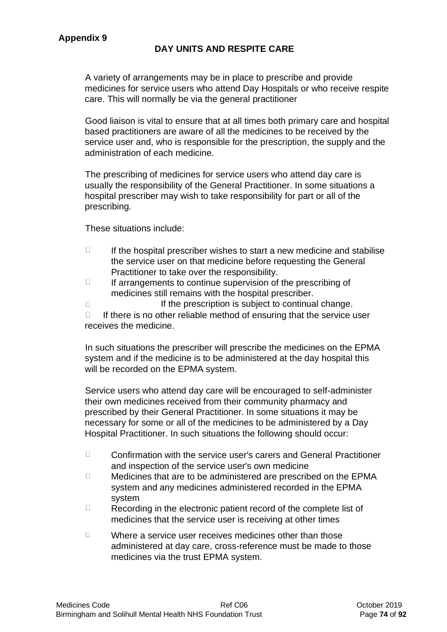# **DAY UNITS AND RESPITE CARE**

A variety of arrangements may be in place to prescribe and provide medicines for service users who attend Day Hospitals or who receive respite care. This will normally be via the general practitioner

Good liaison is vital to ensure that at all times both primary care and hospital based practitioners are aware of all the medicines to be received by the service user and, who is responsible for the prescription, the supply and the administration of each medicine.

The prescribing of medicines for service users who attend day care is usually the responsibility of the General Practitioner. In some situations a hospital prescriber may wish to take responsibility for part or all of the prescribing.

These situations include:

- $\Box$ If the hospital prescriber wishes to start a new medicine and stabilise the service user on that medicine before requesting the General Practitioner to take over the responsibility.
- $\Box$ If arrangements to continue supervision of the prescribing of medicines still remains with the hospital prescriber.
- If the prescription is subject to continual change.  $\Box$

 $\Box$ If there is no other reliable method of ensuring that the service user receives the medicine.

In such situations the prescriber will prescribe the medicines on the EPMA system and if the medicine is to be administered at the day hospital this will be recorded on the EPMA system.

Service users who attend day care will be encouraged to self-administer their own medicines received from their community pharmacy and prescribed by their General Practitioner. In some situations it may be necessary for some or all of the medicines to be administered by a Day Hospital Practitioner. In such situations the following should occur:

- $\Box$ Confirmation with the service user's carers and General Practitioner and inspection of the service user's own medicine
- $\Box$ Medicines that are to be administered are prescribed on the EPMA system and any medicines administered recorded in the EPMA system
- $\Box$ Recording in the electronic patient record of the complete list of medicines that the service user is receiving at other times
- $\Box$ Where a service user receives medicines other than those administered at day care, cross-reference must be made to those medicines via the trust EPMA system.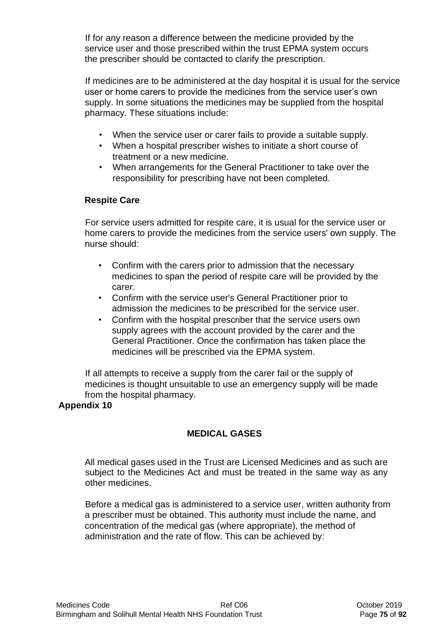If for any reason a difference between the medicine provided by the service user and those prescribed within the trust EPMA system occurs the prescriber should be contacted to clarify the prescription.

If medicines are to be administered at the day hospital it is usual for the service user or home carers to provide the medicines from the service user's own supply. In some situations the medicines may be supplied from the hospital pharmacy. These situations include:

- When the service user or carer fails to provide a suitable supply.
- When a hospital prescriber wishes to initiate a short course of treatment or a new medicine.
- When arrangements for the General Practitioner to take over the responsibility for prescribing have not been completed.

# **Respite Care**

For service users admitted for respite care, it is usual for the service user or home carers to provide the medicines from the service users' own supply. The nurse should:

- Confirm with the carers prior to admission that the necessary medicines to span the period of respite care will be provided by the carer.
- Confirm with the service user's General Practitioner prior to admission the medicines to be prescribed for the service user.
- Confirm with the hospital prescriber that the service users own supply agrees with the account provided by the carer and the General Practitioner. Once the confirmation has taken place the medicines will be prescribed via the EPMA system.

If all attempts to receive a supply from the carer fail or the supply of medicines is thought unsuitable to use an emergency supply will be made from the hospital pharmacy.

### **Appendix 10**

# **MEDICAL GASES**

All medical gases used in the Trust are Licensed Medicines and as such are subject to the Medicines Act and must be treated in the same way as any other medicines.

Before a medical gas is administered to a service user, written authority from a prescriber must be obtained. This authority must include the name, and concentration of the medical gas (where appropriate), the method of administration and the rate of flow. This can be achieved by: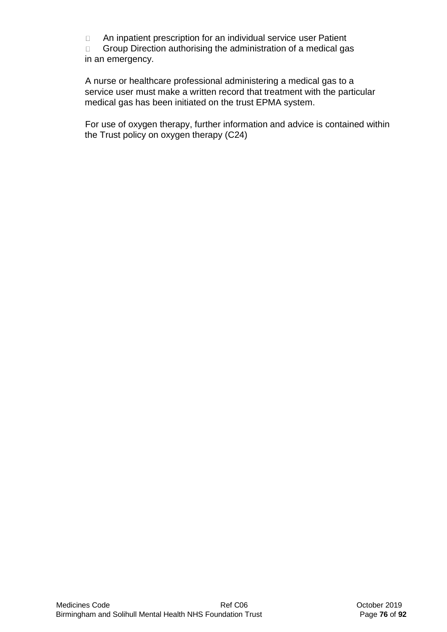An inpatient prescription for an individual service user Patient  $\Box$ 

 $\Box$ Group Direction authorising the administration of a medical gas in an emergency.

A nurse or healthcare professional administering a medical gas to a service user must make a written record that treatment with the particular medical gas has been initiated on the trust EPMA system.

For use of oxygen therapy, further information and advice is contained within the Trust policy on oxygen therapy (C24)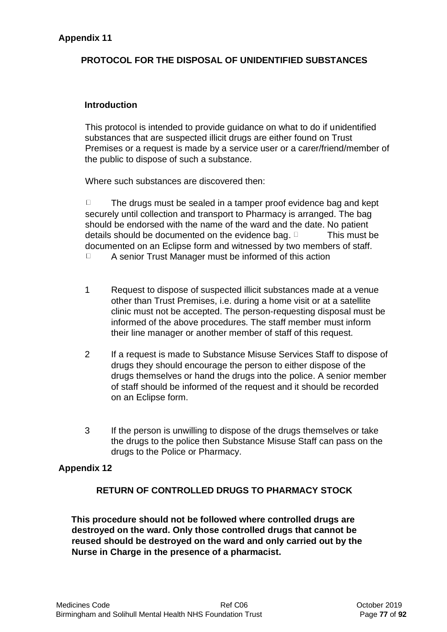# **Appendix 11**

# **PROTOCOL FOR THE DISPOSAL OF UNIDENTIFIED SUBSTANCES**

#### **Introduction**

This protocol is intended to provide guidance on what to do if unidentified substances that are suspected illicit drugs are either found on Trust Premises or a request is made by a service user or a carer/friend/member of the public to dispose of such a substance.

Where such substances are discovered then:

 $\Box$ The drugs must be sealed in a tamper proof evidence bag and kept securely until collection and transport to Pharmacy is arranged. The bag should be endorsed with the name of the ward and the date. No patient details should be documented on the evidence bag.  $\Box$  This must be documented on an Eclipse form and witnessed by two members of staff.  $\Box$ A senior Trust Manager must be informed of this action

- 1 Request to dispose of suspected illicit substances made at a venue other than Trust Premises, i.e. during a home visit or at a satellite clinic must not be accepted. The person-requesting disposal must be informed of the above procedures. The staff member must inform their line manager or another member of staff of this request.
- 2 If a request is made to Substance Misuse Services Staff to dispose of drugs they should encourage the person to either dispose of the drugs themselves or hand the drugs into the police. A senior member of staff should be informed of the request and it should be recorded on an Eclipse form.
- 3 If the person is unwilling to dispose of the drugs themselves or take the drugs to the police then Substance Misuse Staff can pass on the drugs to the Police or Pharmacy.

### **Appendix 12**

### **RETURN OF CONTROLLED DRUGS TO PHARMACY STOCK**

**This procedure should not be followed where controlled drugs are destroyed on the ward. Only those controlled drugs that cannot be reused should be destroyed on the ward and only carried out by the Nurse in Charge in the presence of a pharmacist.**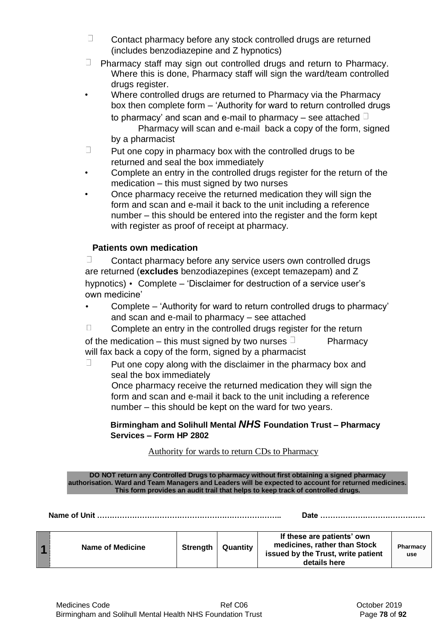- $\Box$ Contact pharmacy before any stock controlled drugs are returned (includes benzodiazepine and Z hypnotics)
- $\Box$  Pharmacy staff may sign out controlled drugs and return to Pharmacy. Where this is done, Pharmacy staff will sign the ward/team controlled drugs register.
- Where controlled drugs are returned to Pharmacy via the Pharmacy box then complete form – 'Authority for ward to return controlled drugs to pharmacy' and scan and e-mail to pharmacy – see attached  $\Box$ Pharmacy will scan and e-mail back a copy of the form, signed by a pharmacist
- $\Box$ Put one copy in pharmacy box with the controlled drugs to be returned and seal the box immediately
- Complete an entry in the controlled drugs register for the return of the medication – this must signed by two nurses
- Once pharmacy receive the returned medication they will sign the form and scan and e-mail it back to the unit including a reference number – this should be entered into the register and the form kept with register as proof of receipt at pharmacy.

# **Patients own medication**

П Contact pharmacy before any service users own controlled drugs are returned (**excludes** benzodiazepines (except temazepam) and Z hypnotics) • Complete – 'Disclaimer for destruction of a service user's own medicine'

• Complete – 'Authority for ward to return controlled drugs to pharmacy' and scan and e-mail to pharmacy – see attached

 $\Box$ Complete an entry in the controlled drugs register for the return of the medication – this must signed by two nurses  $\Box$  Pharmacy will fax back a copy of the form, signed by a pharmacist

 $\Box$ Put one copy along with the disclaimer in the pharmacy box and seal the box immediately Once pharmacy receive the returned medication they will sign the form and scan and e-mail it back to the unit including a reference number – this should be kept on the ward for two years.

### **Birmingham and Solihull Mental** *NHS* **Foundation Trust – Pharmacy Services – Form HP 2802**

# Authority for wards to return CDs to Pharmacy

**DO NOT return any Controlled Drugs to pharmacy without first obtaining a signed pharmacy authorisation. Ward and Team Managers and Leaders will be expected to account for returned medicines. This form provides an audit trail that helps to keep track of controlled drugs.** 

**Name of Unit ……………………………………………………………….. Date ……………………………………** 

|  | <b>Name of Medicine</b> | <b>Strength</b> | Quantity | If these are patients' own<br>medicines, rather than Stock<br>issued by the Trust, write patient<br>details here | Pharmacy<br>use |
|--|-------------------------|-----------------|----------|------------------------------------------------------------------------------------------------------------------|-----------------|
|--|-------------------------|-----------------|----------|------------------------------------------------------------------------------------------------------------------|-----------------|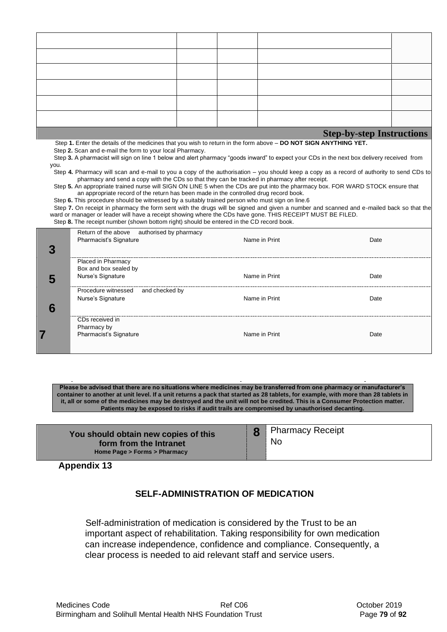| <b>Step-by-step Instructions</b> |  |  |  |  |  |
|----------------------------------|--|--|--|--|--|

Step **1.** Enter the details of the medicines that you wish to return in the form above – **DO NOT SIGN ANYTHING YET.** 

Step **2.** Scan and e-mail the form to your local Pharmacy.

Step **3.** A pharmacist will sign on line 1 below and alert pharmacy "goods inward" to expect your CDs in the next box delivery received from you.

Step **4.** Pharmacy will scan and e-mail to you a copy of the authorisation – you should keep a copy as a record of authority to send CDs to pharmacy and send a copy with the CDs so that they can be tracked in pharmacy after receipt.

Step **5.** An appropriate trained nurse will SIGN ON LINE 5 when the CDs are put into the pharmacy box. FOR WARD STOCK ensure that an appropriate record of the return has been made in the controlled drug record book.

Step **6.** This procedure should be witnessed by a suitably trained person who must sign on line.6

Step **7.** On receipt in pharmacy the form sent with the drugs will be signed and given a number and scanned and e-mailed back so that the ward or manager or leader will have a receipt showing where the CDs have gone. THIS RECEIPT MUST BE FILED. Step **8.** The receipt number (shown bottom right) should be entered in the CD record book.

|   | authorised by pharmacy<br>Return of the above<br>Pharmacist's Signature | Name in Print | Date |
|---|-------------------------------------------------------------------------|---------------|------|
|   | Placed in Pharmacy                                                      |               |      |
|   | Box and box sealed by                                                   |               |      |
| C | Nurse's Signature                                                       | Name in Print | Date |
|   | Procedure witnessed<br>and checked by                                   |               |      |
|   | Nurse's Signature                                                       | Name in Print | Date |
| n |                                                                         |               |      |
|   | CDs received in                                                         |               |      |
|   | Pharmacy by                                                             |               |      |
|   | Pharmacist's Signature                                                  | Name in Print | Date |
|   |                                                                         |               |      |

**Please be advised that there are no situations where medicines may be transferred from one pharmacy or manufacturer's container to another at unit level. If a unit returns a pack that started as 28 tablets, for example, with more than 28 tablets in it, all or some of the medicines may be destroyed and the unit will not be credited. This is a Consumer Protection matter. Patients may be exposed to risks if audit trails are compromised by unauthorised decanting.** 

**You should obtain new copies of this form from the Intranet Home Page > Forms > Pharmacy 8** Pharmacy Receipt No

**Appendix 13**

# **SELF-ADMINISTRATION OF MEDICATION**

Self-administration of medication is considered by the Trust to be an important aspect of rehabilitation. Taking responsibility for own medication can increase independence, confidence and compliance. Consequently, a clear process is needed to aid relevant staff and service users.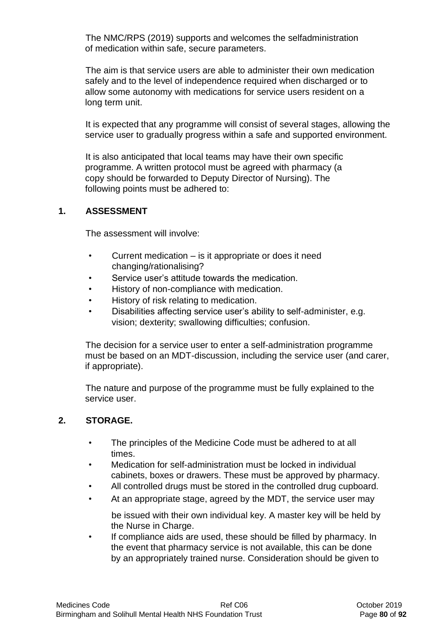The NMC/RPS (2019) supports and welcomes the selfadministration of medication within safe, secure parameters.

The aim is that service users are able to administer their own medication safely and to the level of independence required when discharged or to allow some autonomy with medications for service users resident on a long term unit.

It is expected that any programme will consist of several stages, allowing the service user to gradually progress within a safe and supported environment.

It is also anticipated that local teams may have their own specific programme. A written protocol must be agreed with pharmacy (a copy should be forwarded to Deputy Director of Nursing). The following points must be adhered to:

### **1. ASSESSMENT**

The assessment will involve:

- Current medication is it appropriate or does it need changing/rationalising?
- Service user's attitude towards the medication.
- History of non-compliance with medication.
- History of risk relating to medication.
- Disabilities affecting service user's ability to self-administer, e.g. vision; dexterity; swallowing difficulties; confusion.

The decision for a service user to enter a self-administration programme must be based on an MDT-discussion, including the service user (and carer, if appropriate).

The nature and purpose of the programme must be fully explained to the service user.

### **2. STORAGE.**

- The principles of the Medicine Code must be adhered to at all times.
- Medication for self-administration must be locked in individual cabinets, boxes or drawers. These must be approved by pharmacy.
- All controlled drugs must be stored in the controlled drug cupboard.
- At an appropriate stage, agreed by the MDT, the service user may

be issued with their own individual key. A master key will be held by the Nurse in Charge.

• If compliance aids are used, these should be filled by pharmacy. In the event that pharmacy service is not available, this can be done by an appropriately trained nurse. Consideration should be given to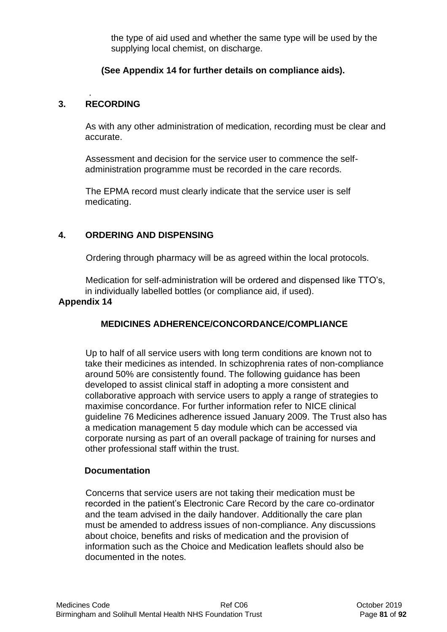the type of aid used and whether the same type will be used by the supplying local chemist, on discharge.

# **(See Appendix 14 for further details on compliance aids).**

# **3. RECORDING**

.

As with any other administration of medication, recording must be clear and accurate.

Assessment and decision for the service user to commence the selfadministration programme must be recorded in the care records.

The EPMA record must clearly indicate that the service user is self medicating.

# **4. ORDERING AND DISPENSING**

Ordering through pharmacy will be as agreed within the local protocols.

Medication for self-administration will be ordered and dispensed like TTO's, in individually labelled bottles (or compliance aid, if used).

### **Appendix 14**

# **MEDICINES ADHERENCE/CONCORDANCE/COMPLIANCE**

Up to half of all service users with long term conditions are known not to take their medicines as intended. In schizophrenia rates of non-compliance around 50% are consistently found. The following guidance has been developed to assist clinical staff in adopting a more consistent and collaborative approach with service users to apply a range of strategies to maximise concordance. For further information refer to NICE clinical guideline 76 Medicines adherence issued January 2009. The Trust also has a medication management 5 day module which can be accessed via corporate nursing as part of an overall package of training for nurses and other professional staff within the trust.

### **Documentation**

Concerns that service users are not taking their medication must be recorded in the patient's Electronic Care Record by the care co-ordinator and the team advised in the daily handover. Additionally the care plan must be amended to address issues of non-compliance. Any discussions about choice, benefits and risks of medication and the provision of information such as the Choice and Medication leaflets should also be documented in the notes.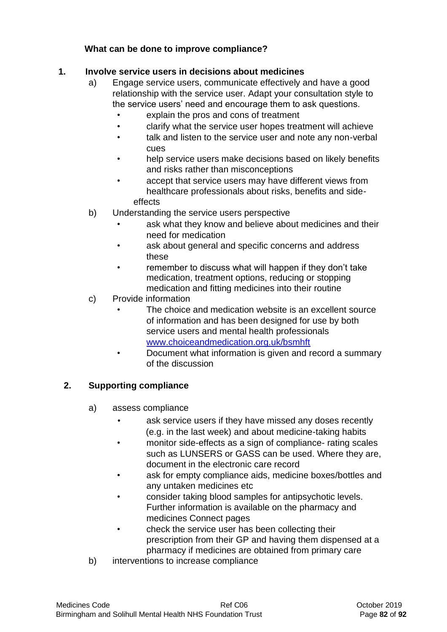# **What can be done to improve compliance?**

# **1. Involve service users in decisions about medicines**

- a) Engage service users, communicate effectively and have a good relationship with the service user. Adapt your consultation style to the service users' need and encourage them to ask questions.
	- explain the pros and cons of treatment
	- clarify what the service user hopes treatment will achieve
	- talk and listen to the service user and note any non-verbal cues
	- help service users make decisions based on likely benefits and risks rather than misconceptions
	- accept that service users may have different views from healthcare professionals about risks, benefits and sideeffects
- b) Understanding the service users perspective
	- ask what they know and believe about medicines and their need for medication
	- ask about general and specific concerns and address these
	- remember to discuss what will happen if they don't take medication, treatment options, reducing or stopping medication and fitting medicines into their routine
- c) Provide information
	- The choice and medication website is an excellent source of information and has been designed for use by both service users and mental health professionals [www.choiceandmedication.org.uk/bsmhft](http://www.choiceandmedication.org.uk/bsmhft)
	- Document what information is given and record a summary of the discussion

# **2. Supporting compliance**

- a) assess compliance
	- ask service users if they have missed any doses recently (e.g. in the last week) and about medicine-taking habits
	- monitor side-effects as a sign of compliance- rating scales such as LUNSERS or GASS can be used. Where they are, document in the electronic care record
	- ask for empty compliance aids, medicine boxes/bottles and any untaken medicines etc
	- consider taking blood samples for antipsychotic levels. Further information is available on the pharmacy and medicines Connect pages
	- check the service user has been collecting their prescription from their GP and having them dispensed at a pharmacy if medicines are obtained from primary care
- b) interventions to increase compliance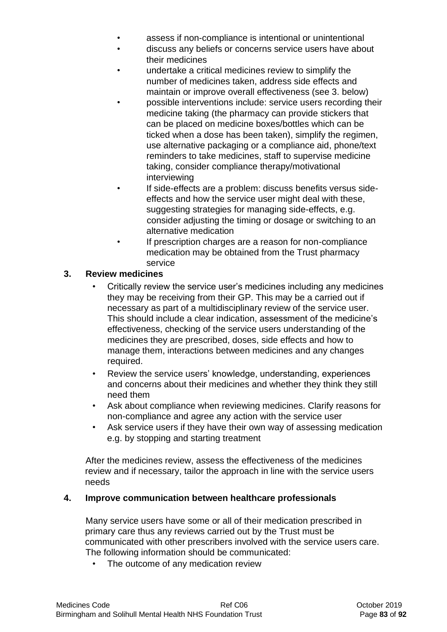- assess if non-compliance is intentional or unintentional
- discuss any beliefs or concerns service users have about their medicines
- undertake a critical medicines review to simplify the number of medicines taken, address side effects and maintain or improve overall effectiveness (see 3. below)
- possible interventions include: service users recording their medicine taking (the pharmacy can provide stickers that can be placed on medicine boxes/bottles which can be ticked when a dose has been taken), simplify the regimen, use alternative packaging or a compliance aid, phone/text reminders to take medicines, staff to supervise medicine taking, consider compliance therapy/motivational interviewing
- If side-effects are a problem: discuss benefits versus sideeffects and how the service user might deal with these, suggesting strategies for managing side-effects, e.g. consider adjusting the timing or dosage or switching to an alternative medication
- If prescription charges are a reason for non-compliance medication may be obtained from the Trust pharmacy service

# **3. Review medicines**

- Critically review the service user's medicines including any medicines they may be receiving from their GP. This may be a carried out if necessary as part of a multidisciplinary review of the service user. This should include a clear indication, assessment of the medicine's effectiveness, checking of the service users understanding of the medicines they are prescribed, doses, side effects and how to manage them, interactions between medicines and any changes required.
- Review the service users' knowledge, understanding, experiences and concerns about their medicines and whether they think they still need them
- Ask about compliance when reviewing medicines. Clarify reasons for non-compliance and agree any action with the service user
- Ask service users if they have their own way of assessing medication e.g. by stopping and starting treatment

After the medicines review, assess the effectiveness of the medicines review and if necessary, tailor the approach in line with the service users needs

# **4. Improve communication between healthcare professionals**

Many service users have some or all of their medication prescribed in primary care thus any reviews carried out by the Trust must be communicated with other prescribers involved with the service users care. The following information should be communicated:

The outcome of any medication review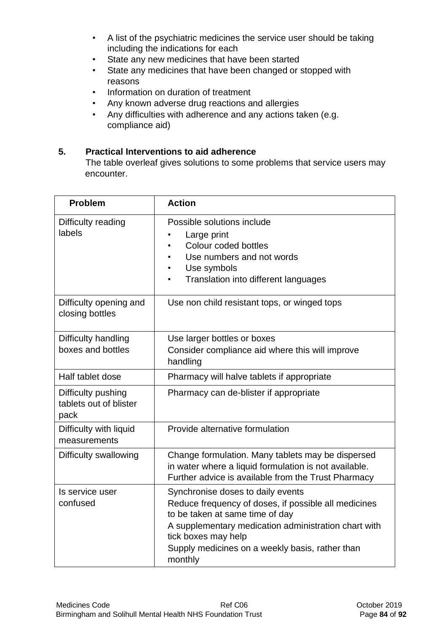- A list of the psychiatric medicines the service user should be taking including the indications for each
- State any new medicines that have been started
- State any medicines that have been changed or stopped with reasons
- Information on duration of treatment
- Any known adverse drug reactions and allergies
- Any difficulties with adherence and any actions taken (e.g. compliance aid)

### **5. Practical Interventions to aid adherence**

The table overleaf gives solutions to some problems that service users may encounter.

| <b>Problem</b>                                       | <b>Action</b>                                                                                                                                                                                                                                                             |
|------------------------------------------------------|---------------------------------------------------------------------------------------------------------------------------------------------------------------------------------------------------------------------------------------------------------------------------|
| Difficulty reading<br>labels                         | Possible solutions include<br>Large print<br>Colour coded bottles<br>$\bullet$<br>Use numbers and not words<br>$\bullet$<br>Use symbols<br>$\bullet$<br>Translation into different languages<br>$\bullet$                                                                 |
| Difficulty opening and<br>closing bottles            | Use non child resistant tops, or winged tops                                                                                                                                                                                                                              |
| Difficulty handling<br>boxes and bottles             | Use larger bottles or boxes<br>Consider compliance aid where this will improve<br>handling                                                                                                                                                                                |
| Half tablet dose                                     | Pharmacy will halve tablets if appropriate                                                                                                                                                                                                                                |
| Difficulty pushing<br>tablets out of blister<br>pack | Pharmacy can de-blister if appropriate                                                                                                                                                                                                                                    |
| Difficulty with liquid<br>measurements               | Provide alternative formulation                                                                                                                                                                                                                                           |
| Difficulty swallowing                                | Change formulation. Many tablets may be dispersed<br>in water where a liquid formulation is not available.<br>Further advice is available from the Trust Pharmacy                                                                                                         |
| Is service user<br>confused                          | Synchronise doses to daily events<br>Reduce frequency of doses, if possible all medicines<br>to be taken at same time of day<br>A supplementary medication administration chart with<br>tick boxes may help<br>Supply medicines on a weekly basis, rather than<br>monthly |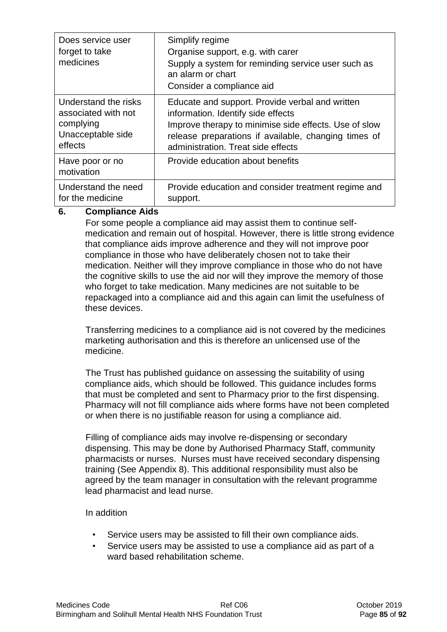| Does service user<br>forget to take<br>medicines | Simplify regime<br>Organise support, e.g. with carer<br>Supply a system for reminding service user such as<br>an alarm or chart<br>Consider a compliance aid |
|--------------------------------------------------|--------------------------------------------------------------------------------------------------------------------------------------------------------------|
| Understand the risks                             | Educate and support. Provide verbal and written                                                                                                              |
| associated with not                              | information. Identify side effects                                                                                                                           |
| complying                                        | Improve therapy to minimise side effects. Use of slow                                                                                                        |
| Unacceptable side                                | release preparations if available, changing times of                                                                                                         |
| effects                                          | administration. Treat side effects                                                                                                                           |
| Have poor or no<br>motivation                    | Provide education about benefits                                                                                                                             |
| Understand the need                              | Provide education and consider treatment regime and                                                                                                          |
| for the medicine                                 | support.                                                                                                                                                     |

# **6. Compliance Aids**

For some people a compliance aid may assist them to continue selfmedication and remain out of hospital. However, there is little strong evidence that compliance aids improve adherence and they will not improve poor compliance in those who have deliberately chosen not to take their medication. Neither will they improve compliance in those who do not have the cognitive skills to use the aid nor will they improve the memory of those who forget to take medication. Many medicines are not suitable to be repackaged into a compliance aid and this again can limit the usefulness of these devices.

Transferring medicines to a compliance aid is not covered by the medicines marketing authorisation and this is therefore an unlicensed use of the medicine.

The Trust has published guidance on assessing the suitability of using compliance aids, which should be followed. This guidance includes forms that must be completed and sent to Pharmacy prior to the first dispensing. Pharmacy will not fill compliance aids where forms have not been completed or when there is no justifiable reason for using a compliance aid.

Filling of compliance aids may involve re-dispensing or secondary dispensing. This may be done by Authorised Pharmacy Staff, community pharmacists or nurses. Nurses must have received secondary dispensing training (See Appendix 8). This additional responsibility must also be agreed by the team manager in consultation with the relevant programme lead pharmacist and lead nurse.

### In addition

- Service users may be assisted to fill their own compliance aids.
- Service users may be assisted to use a compliance aid as part of a ward based rehabilitation scheme.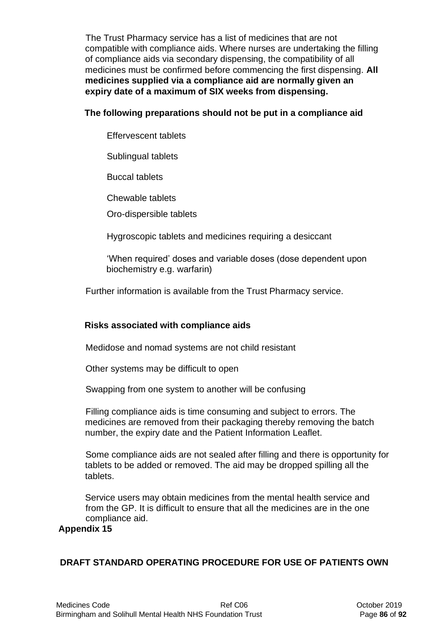The Trust Pharmacy service has a list of medicines that are not compatible with compliance aids. Where nurses are undertaking the filling of compliance aids via secondary dispensing, the compatibility of all medicines must be confirmed before commencing the first dispensing. **All medicines supplied via a compliance aid are normally given an expiry date of a maximum of SIX weeks from dispensing.** 

### **The following preparations should not be put in a compliance aid**

Effervescent tablets

Sublingual tablets

Buccal tablets

Chewable tablets

Oro-dispersible tablets

Hygroscopic tablets and medicines requiring a desiccant

'When required' doses and variable doses (dose dependent upon biochemistry e.g. warfarin)

Further information is available from the Trust Pharmacy service.

# **Risks associated with compliance aids**

Medidose and nomad systems are not child resistant

Other systems may be difficult to open

Swapping from one system to another will be confusing

Filling compliance aids is time consuming and subject to errors. The medicines are removed from their packaging thereby removing the batch number, the expiry date and the Patient Information Leaflet.

Some compliance aids are not sealed after filling and there is opportunity for tablets to be added or removed. The aid may be dropped spilling all the tablets.

Service users may obtain medicines from the mental health service and from the GP. It is difficult to ensure that all the medicines are in the one compliance aid.

### **Appendix 15**

# **DRAFT STANDARD OPERATING PROCEDURE FOR USE OF PATIENTS OWN**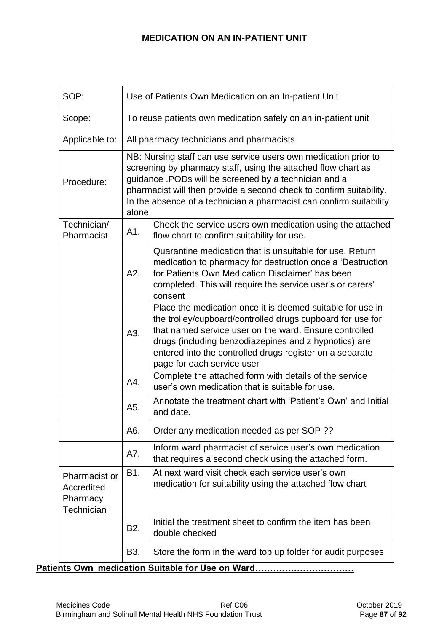# **MEDICATION ON AN IN-PATIENT UNIT**

| SOP:                                                                                                                    | Use of Patients Own Medication on an In-patient Unit          |                                                                                                                                                                                                                                                                                                                                         |  |  |  |  |  |
|-------------------------------------------------------------------------------------------------------------------------|---------------------------------------------------------------|-----------------------------------------------------------------------------------------------------------------------------------------------------------------------------------------------------------------------------------------------------------------------------------------------------------------------------------------|--|--|--|--|--|
| Scope:                                                                                                                  | To reuse patients own medication safely on an in-patient unit |                                                                                                                                                                                                                                                                                                                                         |  |  |  |  |  |
| Applicable to:                                                                                                          | All pharmacy technicians and pharmacists                      |                                                                                                                                                                                                                                                                                                                                         |  |  |  |  |  |
| Procedure:                                                                                                              | alone.                                                        | NB: Nursing staff can use service users own medication prior to<br>screening by pharmacy staff, using the attached flow chart as<br>guidance .PODs will be screened by a technician and a<br>pharmacist will then provide a second check to confirm suitability.<br>In the absence of a technician a pharmacist can confirm suitability |  |  |  |  |  |
| Technician/<br>Pharmacist                                                                                               | A1.                                                           | Check the service users own medication using the attached<br>flow chart to confirm suitability for use.                                                                                                                                                                                                                                 |  |  |  |  |  |
|                                                                                                                         | A2.                                                           | Quarantine medication that is unsuitable for use. Return<br>medication to pharmacy for destruction once a 'Destruction<br>for Patients Own Medication Disclaimer' has been<br>completed. This will require the service user's or carers'<br>consent                                                                                     |  |  |  |  |  |
|                                                                                                                         | A3.                                                           | Place the medication once it is deemed suitable for use in<br>the trolley/cupboard/controlled drugs cupboard for use for<br>that named service user on the ward. Ensure controlled<br>drugs (including benzodiazepines and z hypnotics) are<br>entered into the controlled drugs register on a separate<br>page for each service user   |  |  |  |  |  |
|                                                                                                                         | A4.                                                           | Complete the attached form with details of the service<br>user's own medication that is suitable for use.                                                                                                                                                                                                                               |  |  |  |  |  |
|                                                                                                                         | A5.                                                           | Annotate the treatment chart with 'Patient's Own' and initial<br>and date.                                                                                                                                                                                                                                                              |  |  |  |  |  |
|                                                                                                                         | A6.                                                           | Order any medication needed as per SOP ??                                                                                                                                                                                                                                                                                               |  |  |  |  |  |
| Inform ward pharmacist of service user's own medication<br>A7.<br>that requires a second check using the attached form. |                                                               |                                                                                                                                                                                                                                                                                                                                         |  |  |  |  |  |
| Pharmacist or<br>Accredited<br>Pharmacy<br>Technician                                                                   | B1.                                                           | At next ward visit check each service user's own<br>medication for suitability using the attached flow chart                                                                                                                                                                                                                            |  |  |  |  |  |
| Initial the treatment sheet to confirm the item has been<br>B <sub>2</sub> .<br>double checked                          |                                                               |                                                                                                                                                                                                                                                                                                                                         |  |  |  |  |  |
|                                                                                                                         | B3.                                                           | Store the form in the ward top up folder for audit purposes                                                                                                                                                                                                                                                                             |  |  |  |  |  |

**Patients Own medication Suitable for Use on Ward……………………………**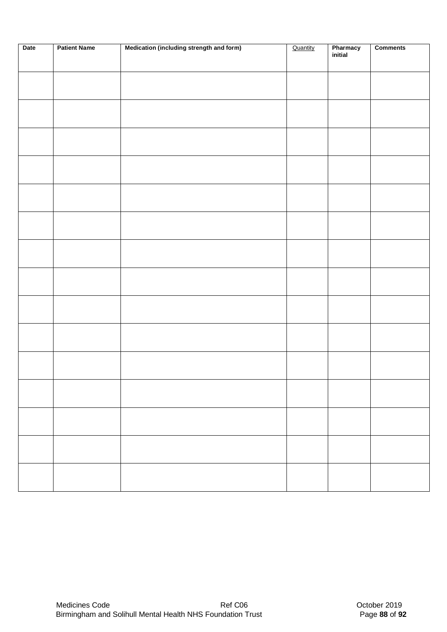| Date | <b>Patient Name</b> | Medication (including strength and form) | Quantity | Pharmacy<br>initial | <b>Comments</b> |
|------|---------------------|------------------------------------------|----------|---------------------|-----------------|
|      |                     |                                          |          |                     |                 |
|      |                     |                                          |          |                     |                 |
|      |                     |                                          |          |                     |                 |
|      |                     |                                          |          |                     |                 |
|      |                     |                                          |          |                     |                 |
|      |                     |                                          |          |                     |                 |
|      |                     |                                          |          |                     |                 |
|      |                     |                                          |          |                     |                 |
|      |                     |                                          |          |                     |                 |
|      |                     |                                          |          |                     |                 |
|      |                     |                                          |          |                     |                 |
|      |                     |                                          |          |                     |                 |
|      |                     |                                          |          |                     |                 |
|      |                     |                                          |          |                     |                 |
|      |                     |                                          |          |                     |                 |
|      |                     |                                          |          |                     |                 |
|      |                     |                                          |          |                     |                 |
|      |                     |                                          |          |                     |                 |
|      |                     |                                          |          |                     |                 |
|      |                     |                                          |          |                     |                 |
|      |                     |                                          |          |                     |                 |
|      |                     |                                          |          |                     |                 |
|      |                     |                                          |          |                     |                 |
|      |                     |                                          |          |                     |                 |
|      |                     |                                          |          |                     |                 |
|      |                     |                                          |          |                     |                 |
|      |                     |                                          |          |                     |                 |
|      |                     |                                          |          |                     |                 |
|      |                     |                                          |          |                     |                 |
|      |                     |                                          |          |                     |                 |
|      |                     |                                          |          |                     |                 |
|      |                     |                                          |          |                     |                 |
|      |                     |                                          |          |                     |                 |
|      |                     |                                          |          |                     |                 |
|      |                     |                                          |          |                     |                 |
|      |                     |                                          |          |                     |                 |
|      |                     |                                          |          |                     |                 |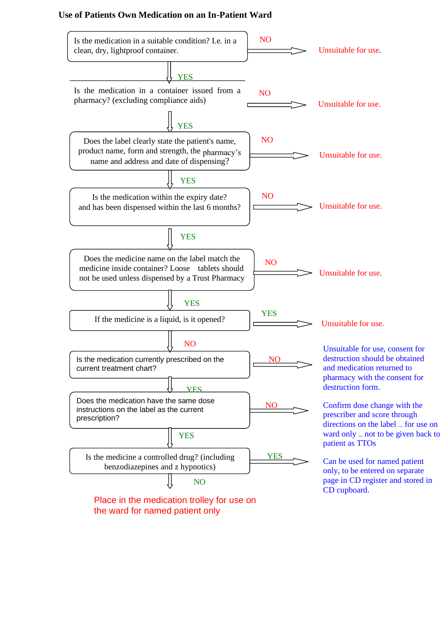#### **Use of Patients Own Medication on an In-Patient Ward**



the ward for named patient only

directions on the label – for use on ward only  $\equiv$  not to be given back to

only, to be entered on separate page in CD register and stored in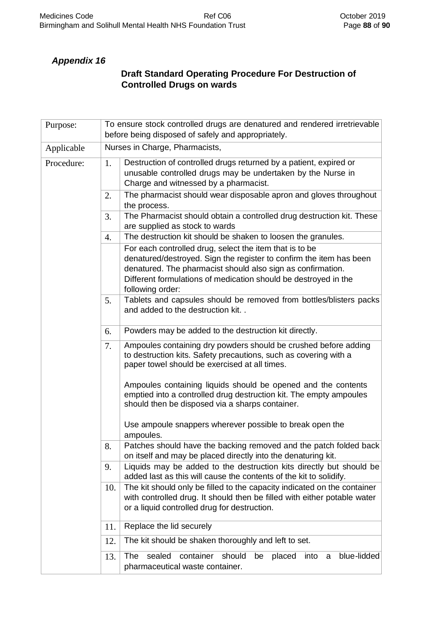# *Appendix 16*

# **Draft Standard Operating Procedure For Destruction of Controlled Drugs on wards**

| Purpose:   | To ensure stock controlled drugs are denatured and rendered irretrievable<br>before being disposed of safely and appropriately. |                                                                                                                                                                                                                                                                                      |  |  |  |  |  |  |  |
|------------|---------------------------------------------------------------------------------------------------------------------------------|--------------------------------------------------------------------------------------------------------------------------------------------------------------------------------------------------------------------------------------------------------------------------------------|--|--|--|--|--|--|--|
| Applicable |                                                                                                                                 | Nurses in Charge, Pharmacists,                                                                                                                                                                                                                                                       |  |  |  |  |  |  |  |
| Procedure: | 1.                                                                                                                              | Destruction of controlled drugs returned by a patient, expired or<br>unusable controlled drugs may be undertaken by the Nurse in<br>Charge and witnessed by a pharmacist.                                                                                                            |  |  |  |  |  |  |  |
|            | 2.                                                                                                                              | The pharmacist should wear disposable apron and gloves throughout<br>the process.                                                                                                                                                                                                    |  |  |  |  |  |  |  |
|            | 3.                                                                                                                              | The Pharmacist should obtain a controlled drug destruction kit. These<br>are supplied as stock to wards                                                                                                                                                                              |  |  |  |  |  |  |  |
|            | 4.                                                                                                                              | The destruction kit should be shaken to loosen the granules.                                                                                                                                                                                                                         |  |  |  |  |  |  |  |
|            |                                                                                                                                 | For each controlled drug, select the item that is to be<br>denatured/destroyed. Sign the register to confirm the item has been<br>denatured. The pharmacist should also sign as confirmation.<br>Different formulations of medication should be destroyed in the<br>following order: |  |  |  |  |  |  |  |
|            | 5.                                                                                                                              | Tablets and capsules should be removed from bottles/blisters packs<br>and added to the destruction kit                                                                                                                                                                               |  |  |  |  |  |  |  |
|            | 6.                                                                                                                              | Powders may be added to the destruction kit directly.                                                                                                                                                                                                                                |  |  |  |  |  |  |  |
|            | 7.                                                                                                                              | Ampoules containing dry powders should be crushed before adding<br>to destruction kits. Safety precautions, such as covering with a<br>paper towel should be exercised at all times.                                                                                                 |  |  |  |  |  |  |  |
|            |                                                                                                                                 | Ampoules containing liquids should be opened and the contents<br>emptied into a controlled drug destruction kit. The empty ampoules<br>should then be disposed via a sharps container.                                                                                               |  |  |  |  |  |  |  |
|            |                                                                                                                                 | Use ampoule snappers wherever possible to break open the<br>ampoules.                                                                                                                                                                                                                |  |  |  |  |  |  |  |
|            | 8.                                                                                                                              | Patches should have the backing removed and the patch folded back<br>on itself and may be placed directly into the denaturing kit.                                                                                                                                                   |  |  |  |  |  |  |  |
|            | 9.                                                                                                                              | Liquids may be added to the destruction kits directly but should be<br>added last as this will cause the contents of the kit to solidify.                                                                                                                                            |  |  |  |  |  |  |  |
|            | 10.                                                                                                                             | The kit should only be filled to the capacity indicated on the container<br>with controlled drug. It should then be filled with either potable water<br>or a liquid controlled drug for destruction.                                                                                 |  |  |  |  |  |  |  |
|            | 11.                                                                                                                             | Replace the lid securely                                                                                                                                                                                                                                                             |  |  |  |  |  |  |  |
|            | 12.                                                                                                                             | The kit should be shaken thoroughly and left to set.                                                                                                                                                                                                                                 |  |  |  |  |  |  |  |
|            | 13.                                                                                                                             | sealed<br>container<br>should<br>blue-lidded<br>The<br>be<br>placed<br>into<br>a<br>pharmaceutical waste container.                                                                                                                                                                  |  |  |  |  |  |  |  |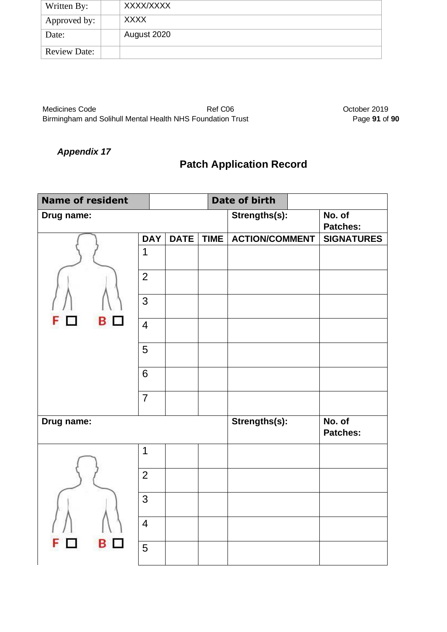| Written By:         | XXXX/XXXX   |
|---------------------|-------------|
| Approved by:        | <b>XXXX</b> |
| Date:               | August 2020 |
| <b>Review Date:</b> |             |

Medicines Code **Ref C06** Ref C06 **October 2019** Birmingham and Solihull Mental Health NHS Foundation Trust **Page 91** of 90

# *Appendix 17*

# **Patch Application Record**

| <b>Name of resident</b> |                |             |             |  | Date of birth         |                           |
|-------------------------|----------------|-------------|-------------|--|-----------------------|---------------------------|
| Drug name:              |                |             |             |  | Strengths(s):         | No. of                    |
|                         |                |             |             |  |                       | <b>Patches:</b>           |
|                         | <b>DAY</b>     | <b>DATE</b> | <b>TIME</b> |  | <b>ACTION/COMMENT</b> | <b>SIGNATURES</b>         |
|                         | 1              |             |             |  |                       |                           |
|                         | $\overline{2}$ |             |             |  |                       |                           |
|                         | 3              |             |             |  |                       |                           |
| в                       | $\overline{4}$ |             |             |  |                       |                           |
|                         | 5              |             |             |  |                       |                           |
|                         | 6              |             |             |  |                       |                           |
|                         | $\overline{7}$ |             |             |  |                       |                           |
| Drug name:              |                |             |             |  | Strengths(s):         | No. of<br><b>Patches:</b> |
|                         | 1              |             |             |  |                       |                           |
|                         | $\overline{2}$ |             |             |  |                       |                           |
|                         | 3              |             |             |  |                       |                           |
|                         | $\overline{4}$ |             |             |  |                       |                           |
| В                       | 5              |             |             |  |                       |                           |